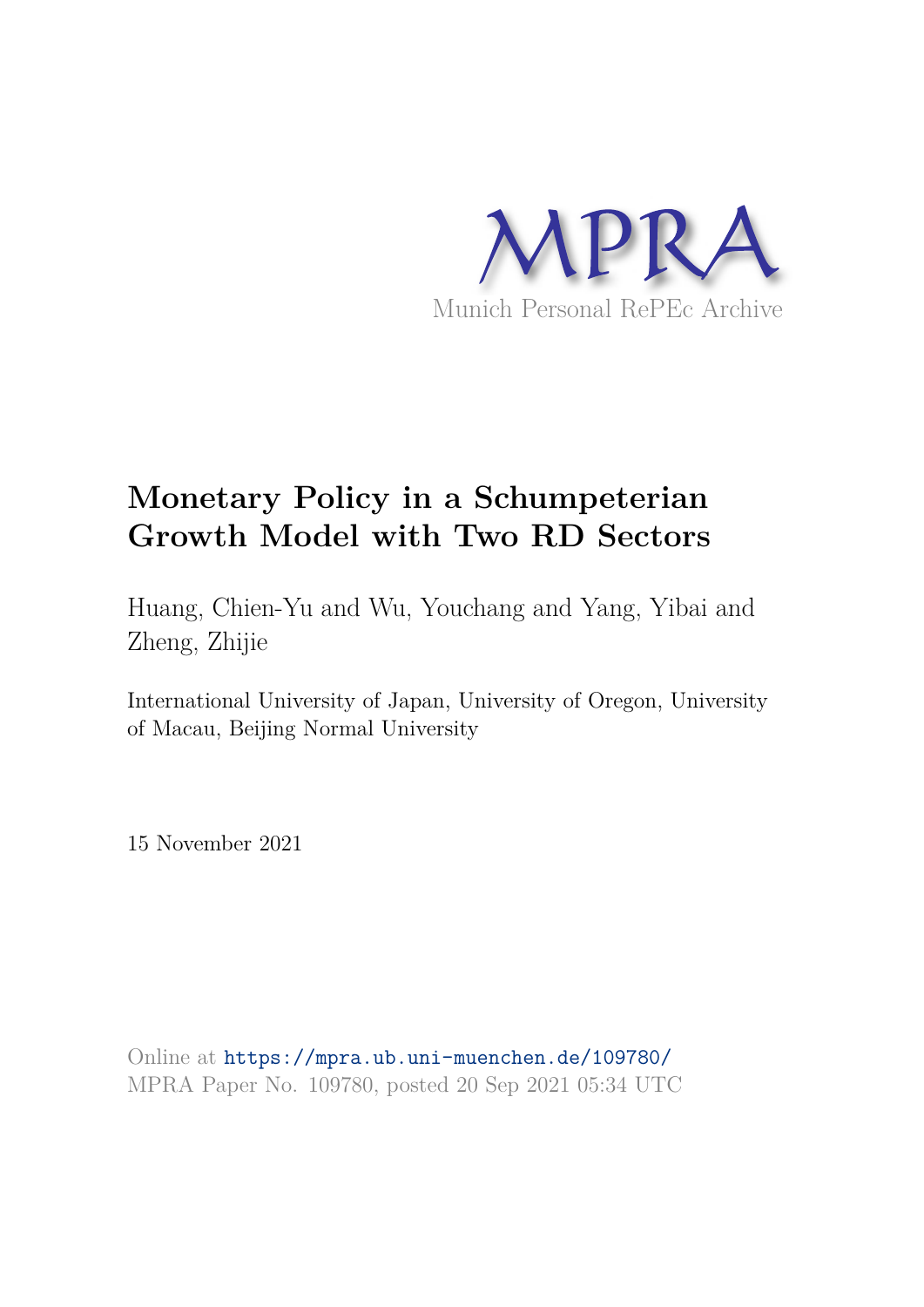

# **Monetary Policy in a Schumpeterian Growth Model with Two RD Sectors**

Huang, Chien-Yu and Wu, Youchang and Yang, Yibai and Zheng, Zhijie

International University of Japan, University of Oregon, University of Macau, Beijing Normal University

15 November 2021

Online at https://mpra.ub.uni-muenchen.de/109780/ MPRA Paper No. 109780, posted 20 Sep 2021 05:34 UTC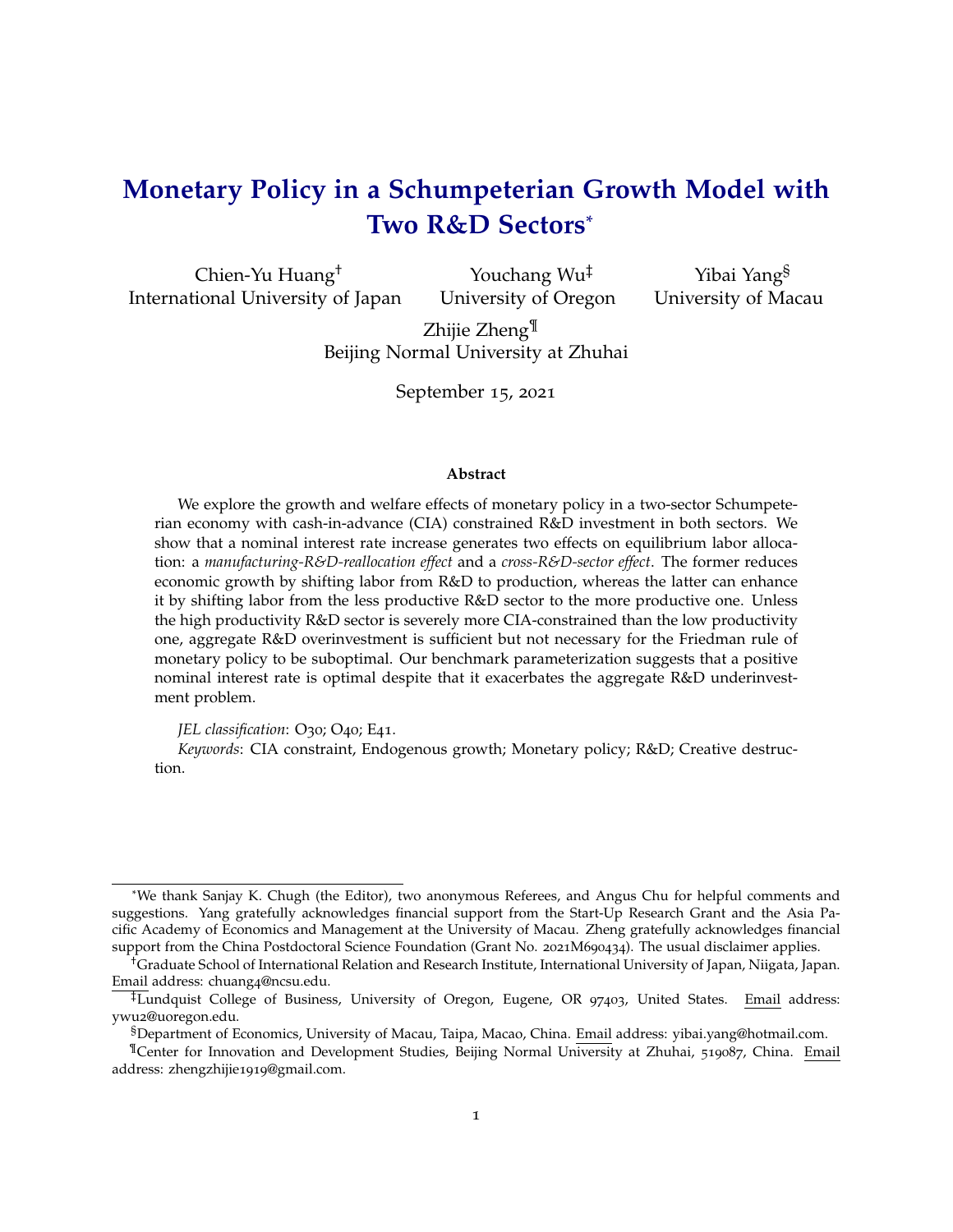## **Monetary Policy in a Schumpeterian Growth Model with Two R&D Sectors**\*

Chien-Yu Huang† International University of Japan

Youchang Wu‡ University of Oregon

Yibai Yang§ University of Macau

Zhijie Zheng<sup>¶</sup> Beijing Normal University at Zhuhai

September 15, 2021

#### **Abstract**

We explore the growth and welfare effects of monetary policy in a two-sector Schumpeterian economy with cash-in-advance (CIA) constrained R&D investment in both sectors. We show that a nominal interest rate increase generates two effects on equilibrium labor allocation: a *manufacturing-R&D-reallocation effect* and a *cross-R&D-sector effect*. The former reduces economic growth by shifting labor from R&D to production, whereas the latter can enhance it by shifting labor from the less productive R&D sector to the more productive one. Unless the high productivity R&D sector is severely more CIA-constrained than the low productivity one, aggregate R&D overinvestment is sufficient but not necessary for the Friedman rule of monetary policy to be suboptimal. Our benchmark parameterization suggests that a positive nominal interest rate is optimal despite that it exacerbates the aggregate R&D underinvestment problem.

#### *JEL classification*: O<sub>30</sub>; O<sub>40</sub>; E<sub>41</sub>.

*Keywords*: CIA constraint, Endogenous growth; Monetary policy; R&D; Creative destruction.

<sup>\*</sup>We thank Sanjay K. Chugh (the Editor), two anonymous Referees, and Angus Chu for helpful comments and suggestions. Yang gratefully acknowledges financial support from the Start-Up Research Grant and the Asia Pacific Academy of Economics and Management at the University of Macau. Zheng gratefully acknowledges financial support from the China Postdoctoral Science Foundation (Grant No. 2021M690434). The usual disclaimer applies.

<sup>†</sup>Graduate School of International Relation and Research Institute, International University of Japan, Niigata, Japan. Email address: chuang4@ncsu.edu.

<sup>‡</sup>Lundquist College of Business, University of Oregon, Eugene, OR 97403, United States. Email address: ywu2@uoregon.edu.

<sup>§</sup>Department of Economics, University of Macau, Taipa, Macao, China. Email address: yibai.yang@hotmail.com.

<sup>¶</sup>Center for Innovation and Development Studies, Beijing Normal University at Zhuhai, 519087, China. Email address: zhengzhijie1919@gmail.com.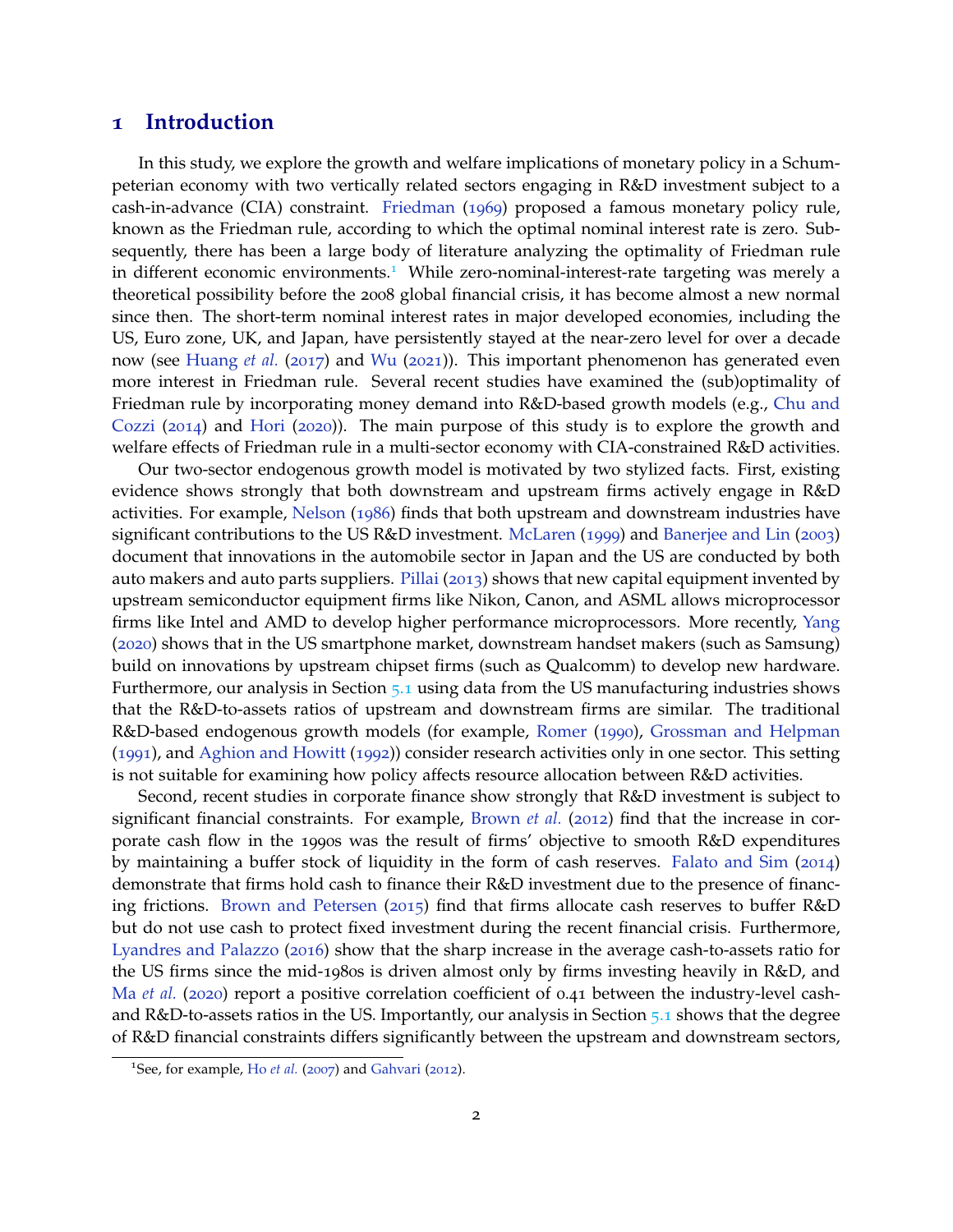## **1 Introduction**

In this study, we explore the growth and welfare implications of monetary policy in a Schumpeterian economy with two vertically related sectors engaging in R&D investment subject to a cash-in-advance (CIA) constraint. Friedman (1969) proposed a famous monetary policy rule, known as the Friedman rule, according to which the optimal nominal interest rate is zero. Subsequently, there has been a large body of literature analyzing the optimality of Friedman rule in different economic environments.<sup>1</sup> While zero-nominal-interest-rate targeting was merely a theoretical possibility before the 2008 global financial crisis, it has become almost a new normal since then. The short-term nominal interest rates in major developed economies, including the US, Euro zone, UK, and Japan, have persistently stayed at the near-zero level for over a decade now (see Huang *et al.* (2017) and Wu (2021)). This important phenomenon has generated even more interest in Friedman rule. Several recent studies have examined the (sub)optimality of Friedman rule by incorporating money demand into R&D-based growth models (e.g., Chu and Cozzi (2014) and Hori (2020)). The main purpose of this study is to explore the growth and welfare effects of Friedman rule in a multi-sector economy with CIA-constrained R&D activities.

Our two-sector endogenous growth model is motivated by two stylized facts. First, existing evidence shows strongly that both downstream and upstream firms actively engage in R&D activities. For example, Nelson (1986) finds that both upstream and downstream industries have significant contributions to the US R&D investment. McLaren (1999) and Banerjee and Lin (2003) document that innovations in the automobile sector in Japan and the US are conducted by both auto makers and auto parts suppliers. Pillai (2013) shows that new capital equipment invented by upstream semiconductor equipment firms like Nikon, Canon, and ASML allows microprocessor firms like Intel and AMD to develop higher performance microprocessors. More recently, Yang (2020) shows that in the US smartphone market, downstream handset makers (such as Samsung) build on innovations by upstream chipset firms (such as Qualcomm) to develop new hardware. Furthermore, our analysis in Section 5.1 using data from the US manufacturing industries shows that the R&D-to-assets ratios of upstream and downstream firms are similar. The traditional R&D-based endogenous growth models (for example, Romer (1990), Grossman and Helpman (1991), and Aghion and Howitt (1992)) consider research activities only in one sector. This setting is not suitable for examining how policy affects resource allocation between R&D activities.

Second, recent studies in corporate finance show strongly that R&D investment is subject to significant financial constraints. For example, Brown *et al.* (2012) find that the increase in corporate cash flow in the 1990s was the result of firms' objective to smooth R&D expenditures by maintaining a buffer stock of liquidity in the form of cash reserves. Falato and Sim (2014) demonstrate that firms hold cash to finance their R&D investment due to the presence of financing frictions. Brown and Petersen (2015) find that firms allocate cash reserves to buffer R&D but do not use cash to protect fixed investment during the recent financial crisis. Furthermore, Lyandres and Palazzo (2016) show that the sharp increase in the average cash-to-assets ratio for the US firms since the mid-1980s is driven almost only by firms investing heavily in R&D, and Ma *et al.* (2020) report a positive correlation coefficient of 0.41 between the industry-level cashand R&D-to-assets ratios in the US. Importantly, our analysis in Section 5.1 shows that the degree of R&D financial constraints differs significantly between the upstream and downstream sectors,

<sup>&</sup>lt;sup>1</sup>See, for example, Ho *et al.* (2007) and Gahvari (2012).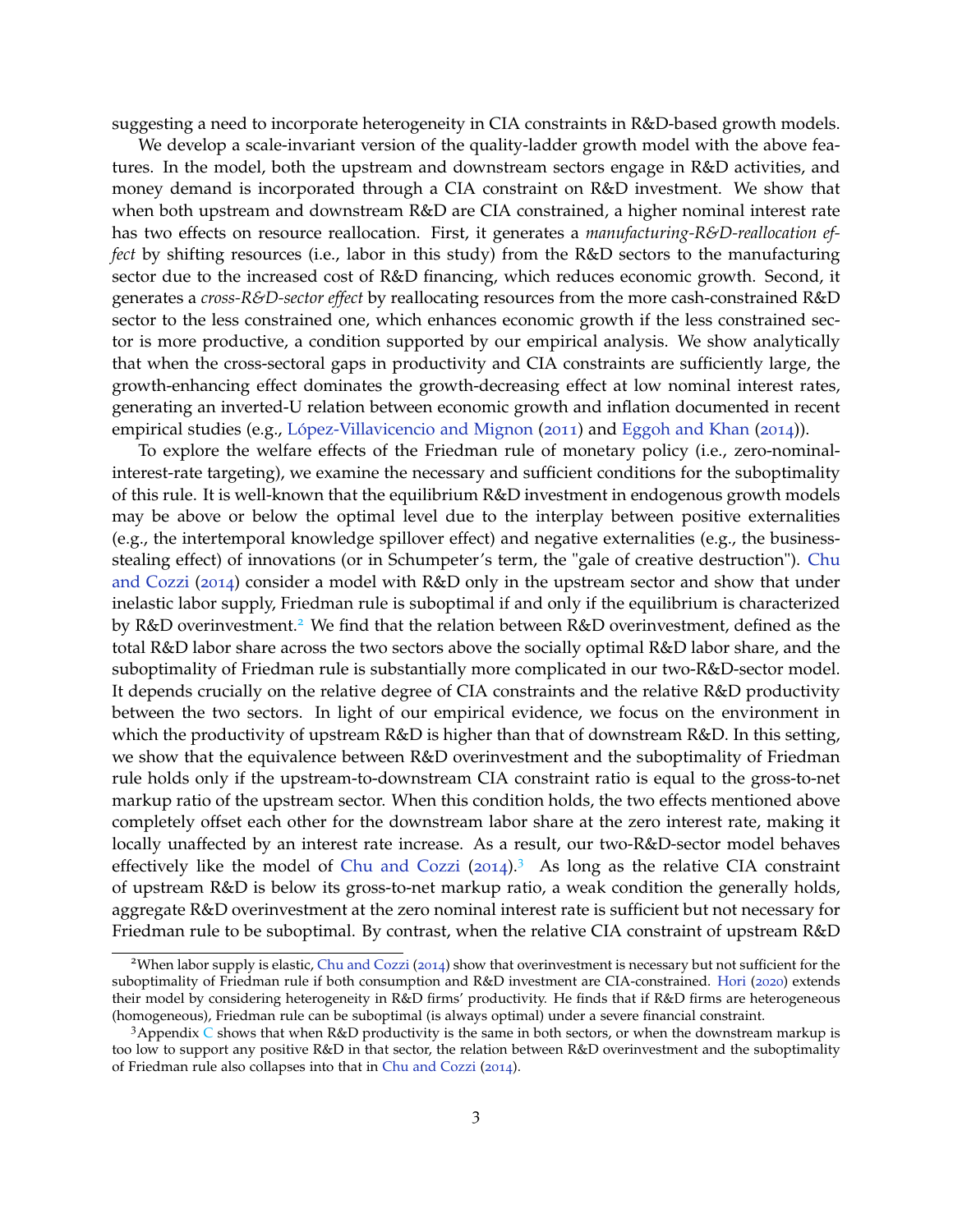suggesting a need to incorporate heterogeneity in CIA constraints in R&D-based growth models.

We develop a scale-invariant version of the quality-ladder growth model with the above features. In the model, both the upstream and downstream sectors engage in R&D activities, and money demand is incorporated through a CIA constraint on R&D investment. We show that when both upstream and downstream R&D are CIA constrained, a higher nominal interest rate has two effects on resource reallocation. First, it generates a *manufacturing-R&D-reallocation effect* by shifting resources (i.e., labor in this study) from the R&D sectors to the manufacturing sector due to the increased cost of R&D financing, which reduces economic growth. Second, it generates a *cross-R&D-sector effect* by reallocating resources from the more cash-constrained R&D sector to the less constrained one, which enhances economic growth if the less constrained sector is more productive, a condition supported by our empirical analysis. We show analytically that when the cross-sectoral gaps in productivity and CIA constraints are sufficiently large, the growth-enhancing effect dominates the growth-decreasing effect at low nominal interest rates, generating an inverted-U relation between economic growth and inflation documented in recent empirical studies (e.g., López-Villavicencio and Mignon (2011) and Eggoh and Khan (2014)).

To explore the welfare effects of the Friedman rule of monetary policy (i.e., zero-nominalinterest-rate targeting), we examine the necessary and sufficient conditions for the suboptimality of this rule. It is well-known that the equilibrium R&D investment in endogenous growth models may be above or below the optimal level due to the interplay between positive externalities (e.g., the intertemporal knowledge spillover effect) and negative externalities (e.g., the businessstealing effect) of innovations (or in Schumpeter's term, the "gale of creative destruction"). Chu and Cozzi (2014) consider a model with R&D only in the upstream sector and show that under inelastic labor supply, Friedman rule is suboptimal if and only if the equilibrium is characterized by R&D overinvestment.<sup>2</sup> We find that the relation between R&D overinvestment, defined as the total R&D labor share across the two sectors above the socially optimal R&D labor share, and the suboptimality of Friedman rule is substantially more complicated in our two-R&D-sector model. It depends crucially on the relative degree of CIA constraints and the relative R&D productivity between the two sectors. In light of our empirical evidence, we focus on the environment in which the productivity of upstream R&D is higher than that of downstream R&D. In this setting, we show that the equivalence between R&D overinvestment and the suboptimality of Friedman rule holds only if the upstream-to-downstream CIA constraint ratio is equal to the gross-to-net markup ratio of the upstream sector. When this condition holds, the two effects mentioned above completely offset each other for the downstream labor share at the zero interest rate, making it locally unaffected by an interest rate increase. As a result, our two-R&D-sector model behaves effectively like the model of Chu and Cozzi  $(2014)^3$ . As long as the relative CIA constraint of upstream R&D is below its gross-to-net markup ratio, a weak condition the generally holds, aggregate R&D overinvestment at the zero nominal interest rate is sufficient but not necessary for Friedman rule to be suboptimal. By contrast, when the relative CIA constraint of upstream R&D

<sup>2</sup>When labor supply is elastic, Chu and Cozzi (2014) show that overinvestment is necessary but not sufficient for the suboptimality of Friedman rule if both consumption and R&D investment are CIA-constrained. Hori (2020) extends their model by considering heterogeneity in R&D firms' productivity. He finds that if R&D firms are heterogeneous (homogeneous), Friedman rule can be suboptimal (is always optimal) under a severe financial constraint.

<sup>3</sup>Appendix  $C$  shows that when R&D productivity is the same in both sectors, or when the downstream markup is too low to support any positive R&D in that sector, the relation between R&D overinvestment and the suboptimality of Friedman rule also collapses into that in Chu and Cozzi (2014).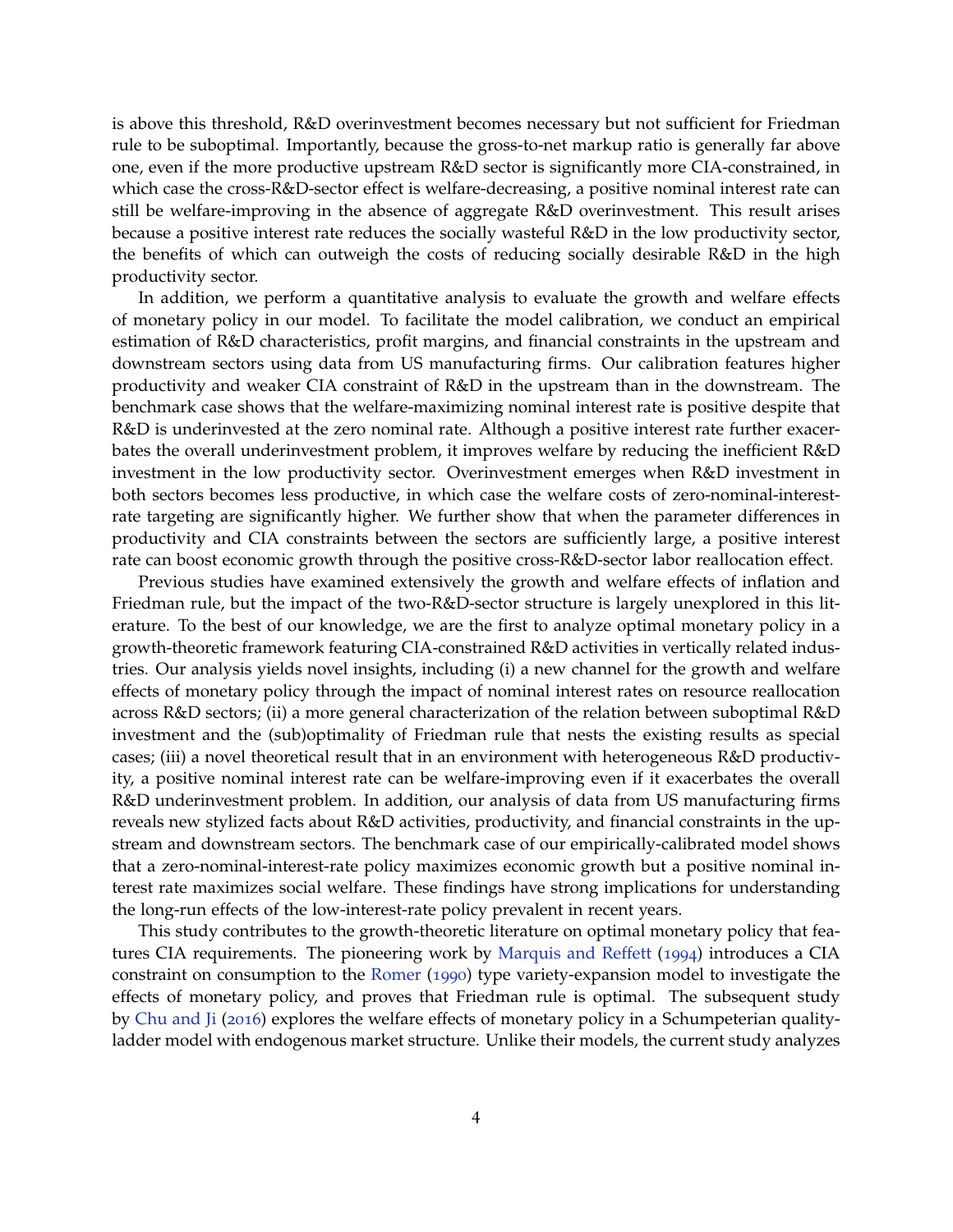is above this threshold, R&D overinvestment becomes necessary but not sufficient for Friedman rule to be suboptimal. Importantly, because the gross-to-net markup ratio is generally far above one, even if the more productive upstream R&D sector is significantly more CIA-constrained, in which case the cross-R&D-sector effect is welfare-decreasing, a positive nominal interest rate can still be welfare-improving in the absence of aggregate R&D overinvestment. This result arises because a positive interest rate reduces the socially wasteful R&D in the low productivity sector, the benefits of which can outweigh the costs of reducing socially desirable R&D in the high productivity sector.

In addition, we perform a quantitative analysis to evaluate the growth and welfare effects of monetary policy in our model. To facilitate the model calibration, we conduct an empirical estimation of R&D characteristics, profit margins, and financial constraints in the upstream and downstream sectors using data from US manufacturing firms. Our calibration features higher productivity and weaker CIA constraint of R&D in the upstream than in the downstream. The benchmark case shows that the welfare-maximizing nominal interest rate is positive despite that R&D is underinvested at the zero nominal rate. Although a positive interest rate further exacerbates the overall underinvestment problem, it improves welfare by reducing the inefficient R&D investment in the low productivity sector. Overinvestment emerges when R&D investment in both sectors becomes less productive, in which case the welfare costs of zero-nominal-interestrate targeting are significantly higher. We further show that when the parameter differences in productivity and CIA constraints between the sectors are sufficiently large, a positive interest rate can boost economic growth through the positive cross-R&D-sector labor reallocation effect.

Previous studies have examined extensively the growth and welfare effects of inflation and Friedman rule, but the impact of the two-R&D-sector structure is largely unexplored in this literature. To the best of our knowledge, we are the first to analyze optimal monetary policy in a growth-theoretic framework featuring CIA-constrained R&D activities in vertically related industries. Our analysis yields novel insights, including (i) a new channel for the growth and welfare effects of monetary policy through the impact of nominal interest rates on resource reallocation across R&D sectors; (ii) a more general characterization of the relation between suboptimal R&D investment and the (sub)optimality of Friedman rule that nests the existing results as special cases; (iii) a novel theoretical result that in an environment with heterogeneous R&D productivity, a positive nominal interest rate can be welfare-improving even if it exacerbates the overall R&D underinvestment problem. In addition, our analysis of data from US manufacturing firms reveals new stylized facts about R&D activities, productivity, and financial constraints in the upstream and downstream sectors. The benchmark case of our empirically-calibrated model shows that a zero-nominal-interest-rate policy maximizes economic growth but a positive nominal interest rate maximizes social welfare. These findings have strong implications for understanding the long-run effects of the low-interest-rate policy prevalent in recent years.

This study contributes to the growth-theoretic literature on optimal monetary policy that features CIA requirements. The pioneering work by Marquis and Reffett (1994) introduces a CIA constraint on consumption to the Romer (1990) type variety-expansion model to investigate the effects of monetary policy, and proves that Friedman rule is optimal. The subsequent study by Chu and Ji (2016) explores the welfare effects of monetary policy in a Schumpeterian qualityladder model with endogenous market structure. Unlike their models, the current study analyzes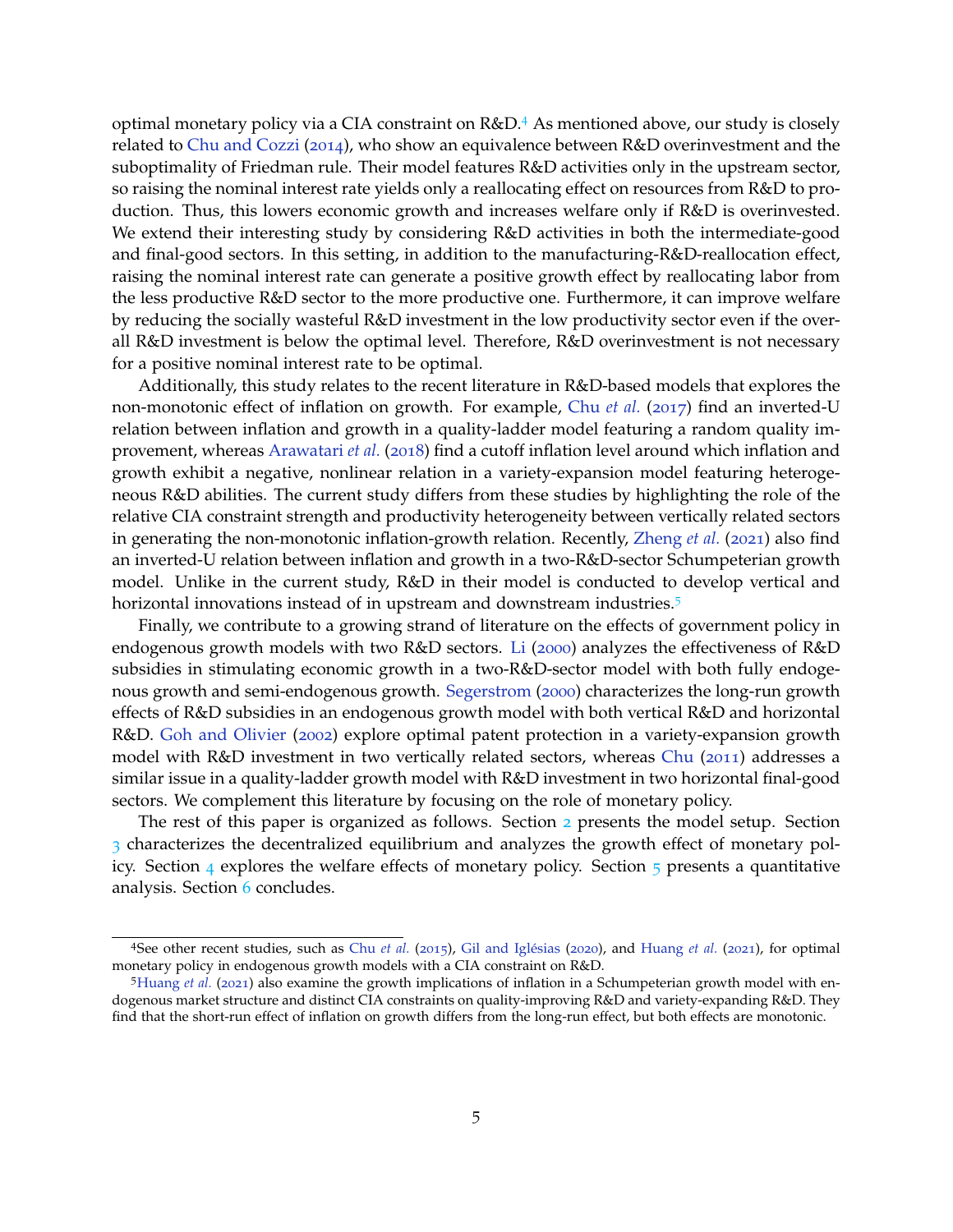optimal monetary policy via a CIA constraint on R&D.<sup>4</sup> As mentioned above, our study is closely related to Chu and Cozzi (2014), who show an equivalence between R&D overinvestment and the suboptimality of Friedman rule. Their model features R&D activities only in the upstream sector, so raising the nominal interest rate yields only a reallocating effect on resources from R&D to production. Thus, this lowers economic growth and increases welfare only if R&D is overinvested. We extend their interesting study by considering R&D activities in both the intermediate-good and final-good sectors. In this setting, in addition to the manufacturing-R&D-reallocation effect, raising the nominal interest rate can generate a positive growth effect by reallocating labor from the less productive R&D sector to the more productive one. Furthermore, it can improve welfare by reducing the socially wasteful R&D investment in the low productivity sector even if the overall R&D investment is below the optimal level. Therefore, R&D overinvestment is not necessary for a positive nominal interest rate to be optimal.

Additionally, this study relates to the recent literature in R&D-based models that explores the non-monotonic effect of inflation on growth. For example, Chu *et al.* (2017) find an inverted-U relation between inflation and growth in a quality-ladder model featuring a random quality improvement, whereas Arawatari et al. (2018) find a cutoff inflation level around which inflation and growth exhibit a negative, nonlinear relation in a variety-expansion model featuring heterogeneous R&D abilities. The current study differs from these studies by highlighting the role of the relative CIA constraint strength and productivity heterogeneity between vertically related sectors in generating the non-monotonic inflation-growth relation. Recently, Zheng et al. (2021) also find an inverted-U relation between inflation and growth in a two-R&D-sector Schumpeterian growth model. Unlike in the current study, R&D in their model is conducted to develop vertical and horizontal innovations instead of in upstream and downstream industries.<sup>5</sup>

Finally, we contribute to a growing strand of literature on the effects of government policy in endogenous growth models with two R&D sectors. Li (2000) analyzes the effectiveness of R&D subsidies in stimulating economic growth in a two-R&D-sector model with both fully endogenous growth and semi-endogenous growth. Segerstrom (2000) characterizes the long-run growth effects of R&D subsidies in an endogenous growth model with both vertical R&D and horizontal R&D. Goh and Olivier (2002) explore optimal patent protection in a variety-expansion growth model with R&D investment in two vertically related sectors, whereas Chu (2011) addresses a similar issue in a quality-ladder growth model with R&D investment in two horizontal final-good sectors. We complement this literature by focusing on the role of monetary policy.

The rest of this paper is organized as follows. Section 2 presents the model setup. Section 3 characterizes the decentralized equilibrium and analyzes the growth effect of monetary policy. Section  $\frac{4}{3}$  explores the welfare effects of monetary policy. Section  $\frac{1}{2}$  presents a quantitative analysis. Section 6 concludes.

<sup>4</sup>See other recent studies, such as Chu *et al.* (2015), Gil and Iglésias (2020), and Huang *et al.* (2021), for optimal monetary policy in endogenous growth models with a CIA constraint on R&D.

<sup>5</sup>Huang *et al.* (2021) also examine the growth implications of inflation in a Schumpeterian growth model with endogenous market structure and distinct CIA constraints on quality-improving R&D and variety-expanding R&D. They find that the short-run effect of inflation on growth differs from the long-run effect, but both effects are monotonic.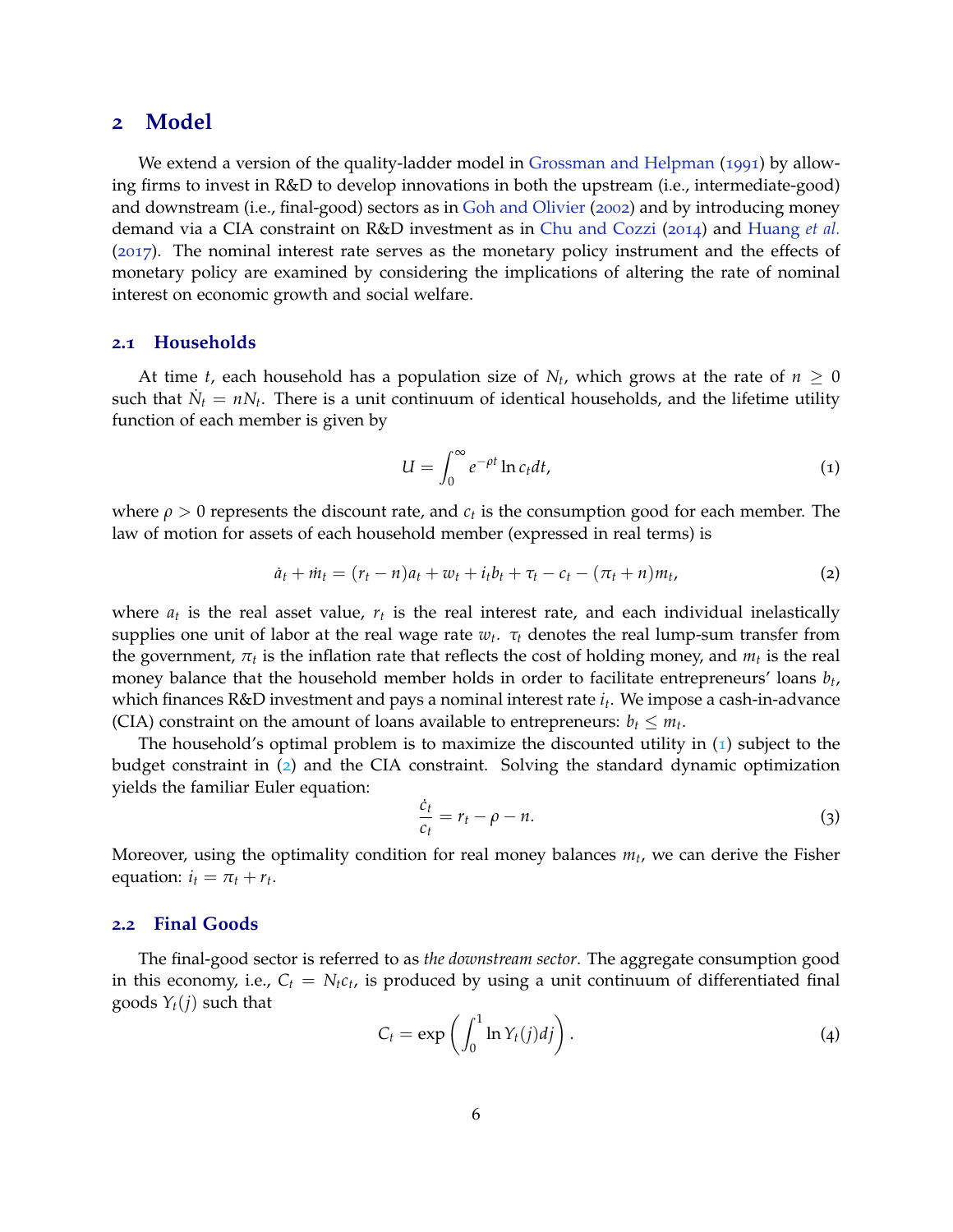## **2 Model**

We extend a version of the quality-ladder model in Grossman and Helpman (1991) by allowing firms to invest in R&D to develop innovations in both the upstream (i.e., intermediate-good) and downstream (i.e., final-good) sectors as in Goh and Olivier (2002) and by introducing money demand via a CIA constraint on R&D investment as in Chu and Cozzi (2014) and Huang *et al.* (2017). The nominal interest rate serves as the monetary policy instrument and the effects of monetary policy are examined by considering the implications of altering the rate of nominal interest on economic growth and social welfare.

## **2.1 Households**

At time *t*, each household has a population size of  $N_t$ , which grows at the rate of  $n \geq 0$ such that  $\dot{N}_t = nN_t$ . There is a unit continuum of identical households, and the lifetime utility function of each member is given by

$$
U = \int_0^\infty e^{-\rho t} \ln c_t dt,
$$
\n(1)

where  $\rho > 0$  represents the discount rate, and  $c_t$  is the consumption good for each member. The law of motion for assets of each household member (expressed in real terms) is

$$
\dot{a}_t + \dot{m}_t = (r_t - n)a_t + w_t + i_t b_t + \tau_t - c_t - (\pi_t + n)m_t, \tag{2}
$$

where  $a_t$  is the real asset value,  $r_t$  is the real interest rate, and each individual inelastically supplies one unit of labor at the real wage rate *w<sup>t</sup>* . *τ<sup>t</sup>* denotes the real lump-sum transfer from the government,  $\pi_t$  is the inflation rate that reflects the cost of holding money, and  $m_t$  is the real money balance that the household member holds in order to facilitate entrepreneurs' loans *b<sup>t</sup>* , which finances R&D investment and pays a nominal interest rate *i<sup>t</sup>* . We impose a cash-in-advance (CIA) constraint on the amount of loans available to entrepreneurs:  $b_t \leq m_t$ .

The household's optimal problem is to maximize the discounted utility in  $(1)$  subject to the budget constraint in (2) and the CIA constraint. Solving the standard dynamic optimization yields the familiar Euler equation:

$$
\frac{\dot{c}_t}{c_t} = r_t - \rho - n. \tag{3}
$$

Moreover, using the optimality condition for real money balances *m<sup>t</sup>* , we can derive the Fisher equation:  $i_t = \pi_t + r_t$ .

#### **2.2 Final Goods**

The final-good sector is referred to as *the downstream sector*. The aggregate consumption good in this economy, i.e.,  $C_t = N_t c_t$ , is produced by using a unit continuum of differentiated final goods  $Y_t(j)$  such that

$$
C_t = \exp\left(\int_0^1 \ln Y_t(j)dj\right).
$$
 (4)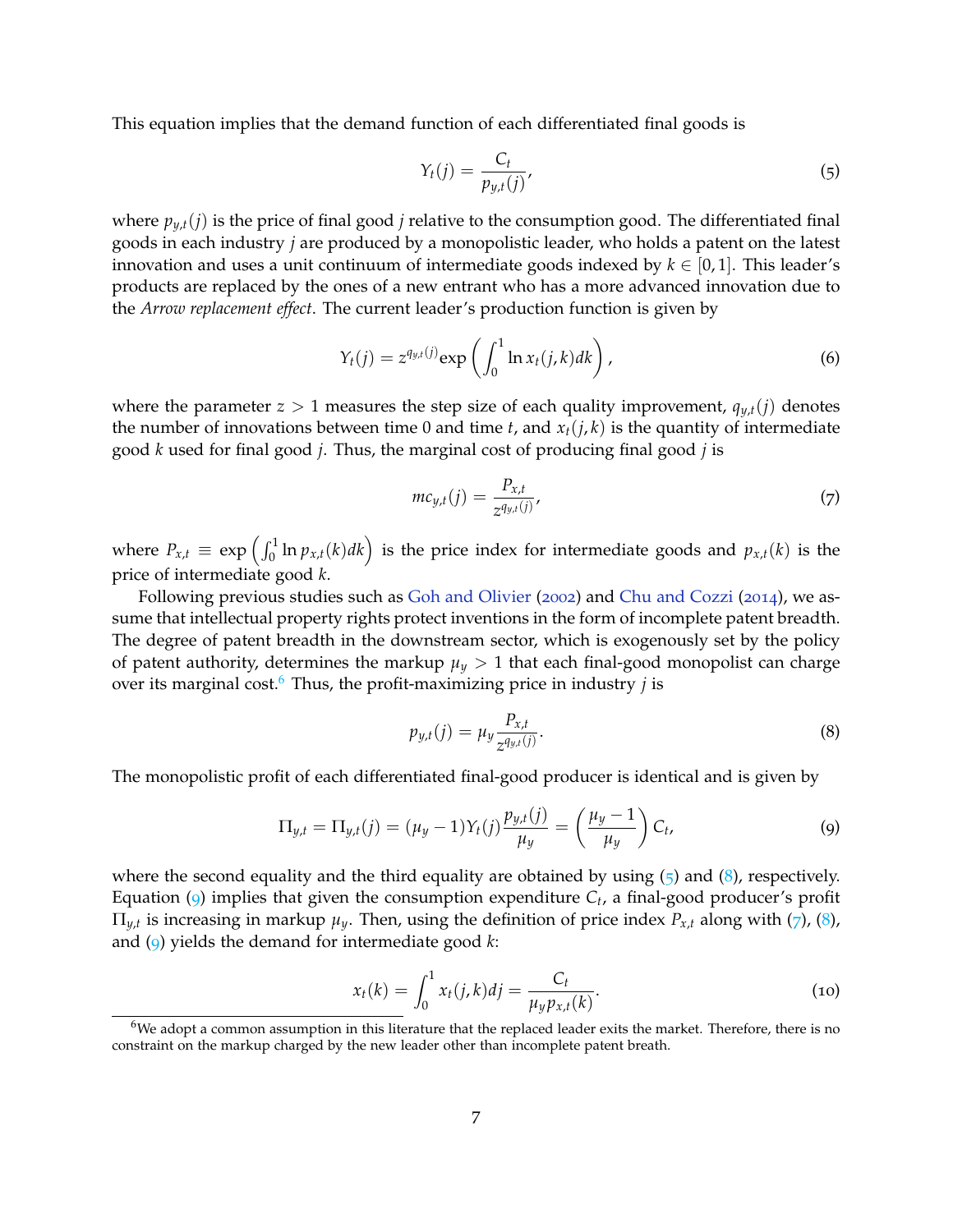This equation implies that the demand function of each differentiated final goods is

$$
Y_t(j) = \frac{C_t}{p_{y,t}(j)},\tag{5}
$$

where  $p_{y,t}(j)$  is the price of final good *j* relative to the consumption good. The differentiated final goods in each industry *j* are produced by a monopolistic leader, who holds a patent on the latest innovation and uses a unit continuum of intermediate goods indexed by  $k \in [0, 1]$ . This leader's products are replaced by the ones of a new entrant who has a more advanced innovation due to the *Arrow replacement effect*. The current leader's production function is given by

$$
Y_t(j) = z^{q_{y,t}(j)} \exp\left(\int_0^1 \ln x_t(j,k)dk\right),\tag{6}
$$

where the parameter  $z > 1$  measures the step size of each quality improvement,  $q_{y,t}(j)$  denotes the number of innovations between time 0 and time  $t$ , and  $x_t(j,k)$  is the quantity of intermediate good *k* used for final good *j*. Thus, the marginal cost of producing final good *j* is

$$
mc_{y,t}(j) = \frac{P_{x,t}}{z^{q_{y,t}(j)}},
$$
\n(7)

where  $P_{x,t} \equiv \exp\left(\int_0^1 \ln p_{x,t}(k)dk\right)$  is the price index for intermediate goods and  $p_{x,t}(k)$  is the price of intermediate good *k*.

Following previous studies such as Goh and Olivier (2002) and Chu and Cozzi (2014), we assume that intellectual property rights protect inventions in the form of incomplete patent breadth. The degree of patent breadth in the downstream sector, which is exogenously set by the policy of patent authority, determines the markup  $\mu_y > 1$  that each final-good monopolist can charge over its marginal cost.<sup>6</sup> Thus, the profit-maximizing price in industry *j* is

$$
p_{y,t}(j) = \mu_y \frac{P_{x,t}}{z^{q_{y,t}(j)}}.
$$
\n(8)

The monopolistic profit of each differentiated final-good producer is identical and is given by

$$
\Pi_{y,t} = \Pi_{y,t}(j) = (\mu_y - 1)Y_t(j)\frac{p_{y,t}(j)}{\mu_y} = \left(\frac{\mu_y - 1}{\mu_y}\right)C_t,
$$
\n(9)

where the second equality and the third equality are obtained by using  $(5)$  and  $(8)$ , respectively. Equation (9) implies that given the consumption expenditure *C<sup>t</sup>* , a final-good producer's profit  $\Pi_{y,t}$  is increasing in markup  $\mu_y$ . Then, using the definition of price index  $P_{x,t}$  along with (7), (8), and (9) yields the demand for intermediate good *k*:

$$
x_t(k) = \int_0^1 x_t(j,k)dj = \frac{C_t}{\mu_y p_{x,t}(k)}.
$$
 (10)

<sup>&</sup>lt;sup>6</sup>We adopt a common assumption in this literature that the replaced leader exits the market. Therefore, there is no constraint on the markup charged by the new leader other than incomplete patent breath.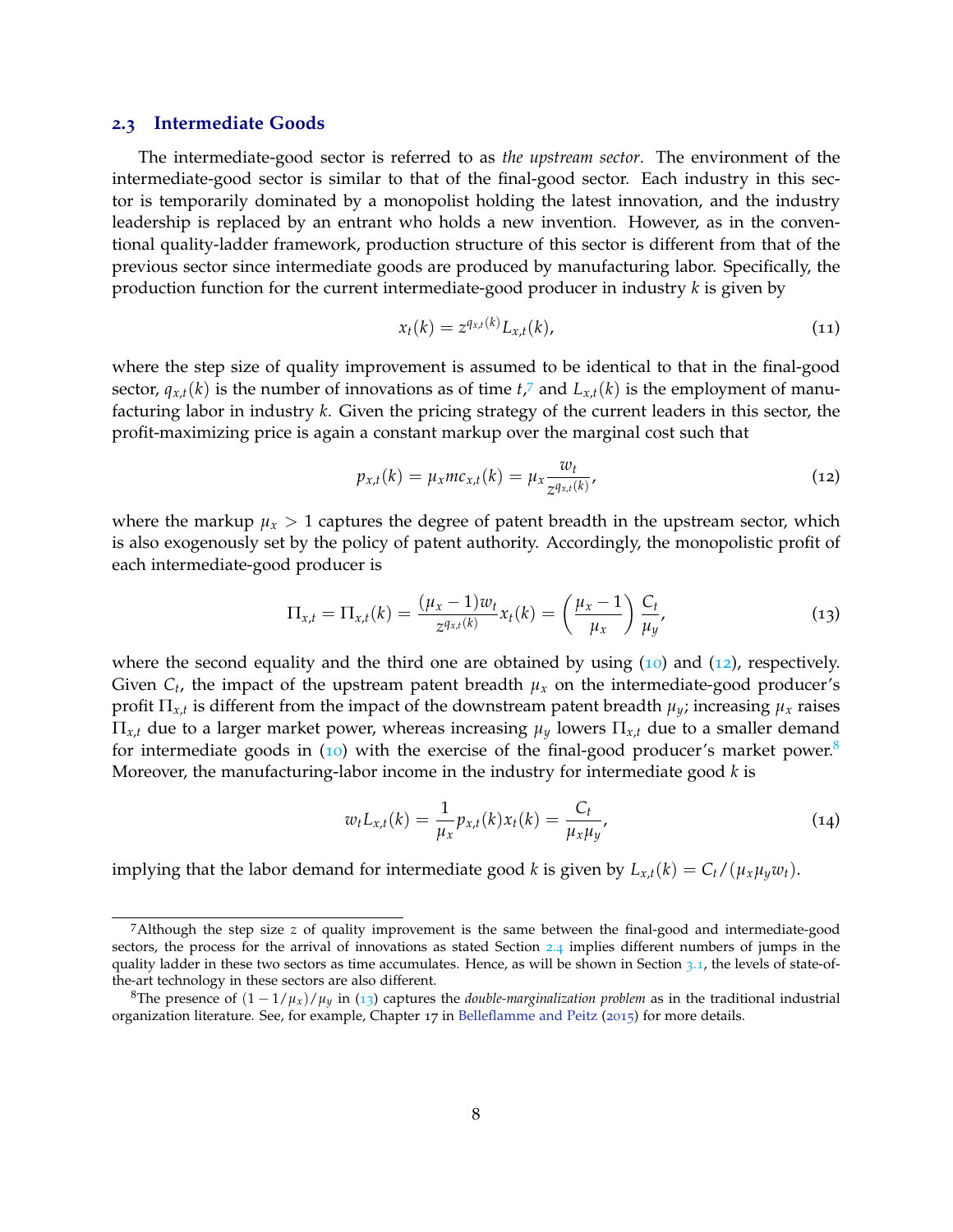#### **2.3 Intermediate Goods**

The intermediate-good sector is referred to as *the upstream sector*. The environment of the intermediate-good sector is similar to that of the final-good sector. Each industry in this sector is temporarily dominated by a monopolist holding the latest innovation, and the industry leadership is replaced by an entrant who holds a new invention. However, as in the conventional quality-ladder framework, production structure of this sector is different from that of the previous sector since intermediate goods are produced by manufacturing labor. Specifically, the production function for the current intermediate-good producer in industry *k* is given by

$$
x_t(k) = z^{q_{x,t}(k)} L_{x,t}(k), \qquad (11)
$$

where the step size of quality improvement is assumed to be identical to that in the final-good sector,  $q_{x,t}(k)$  is the number of innovations as of time  $t$ <sup> $7$ </sup> and  $L_{x,t}(k)$  is the employment of manufacturing labor in industry *k*. Given the pricing strategy of the current leaders in this sector, the profit-maximizing price is again a constant markup over the marginal cost such that

$$
p_{x,t}(k) = \mu_x m c_{x,t}(k) = \mu_x \frac{w_t}{z^{q_{x,t}(k)}},
$$
\n(12)

where the markup  $\mu_x > 1$  captures the degree of patent breadth in the upstream sector, which is also exogenously set by the policy of patent authority. Accordingly, the monopolistic profit of each intermediate-good producer is

$$
\Pi_{x,t} = \Pi_{x,t}(k) = \frac{(\mu_x - 1)w_t}{z^{q_{x,t}(k)}} x_t(k) = \left(\frac{\mu_x - 1}{\mu_x}\right) \frac{C_t}{\mu_y},
$$
\n(13)

where the second equality and the third one are obtained by using  $(10)$  and  $(12)$ , respectively. Given  $C_t$ , the impact of the upstream patent breadth  $\mu_x$  on the intermediate-good producer's profit  $\Pi_{x,t}$  is different from the impact of the downstream patent breadth  $\mu_y$ ; increasing  $\mu_x$  raises  $\Pi_{x,t}$  due to a larger market power, whereas increasing  $\mu_y$  lowers  $\Pi_{x,t}$  due to a smaller demand for intermediate goods in  $(10)$  with the exercise of the final-good producer's market power.<sup>8</sup> Moreover, the manufacturing-labor income in the industry for intermediate good *k* is

$$
w_t L_{x,t}(k) = \frac{1}{\mu_x} p_{x,t}(k) x_t(k) = \frac{C_t}{\mu_x \mu_y},
$$
\n(14)

implying that the labor demand for intermediate good *k* is given by  $L_{x,t}(k) = C_t/(\mu_x\mu_yw_t)$ .

<sup>7</sup>Although the step size *z* of quality improvement is the same between the final-good and intermediate-good sectors, the process for the arrival of innovations as stated Section 2.4 implies different numbers of jumps in the quality ladder in these two sectors as time accumulates. Hence, as will be shown in Section 3.1, the levels of state-ofthe-art technology in these sectors are also different.

<sup>&</sup>lt;sup>8</sup>The presence of  $(1 - 1/\mu_x)/\mu_y$  in (13) captures the *double-marginalization problem* as in the traditional industrial organization literature. See, for example, Chapter 17 in Belleflamme and Peitz (2015) for more details.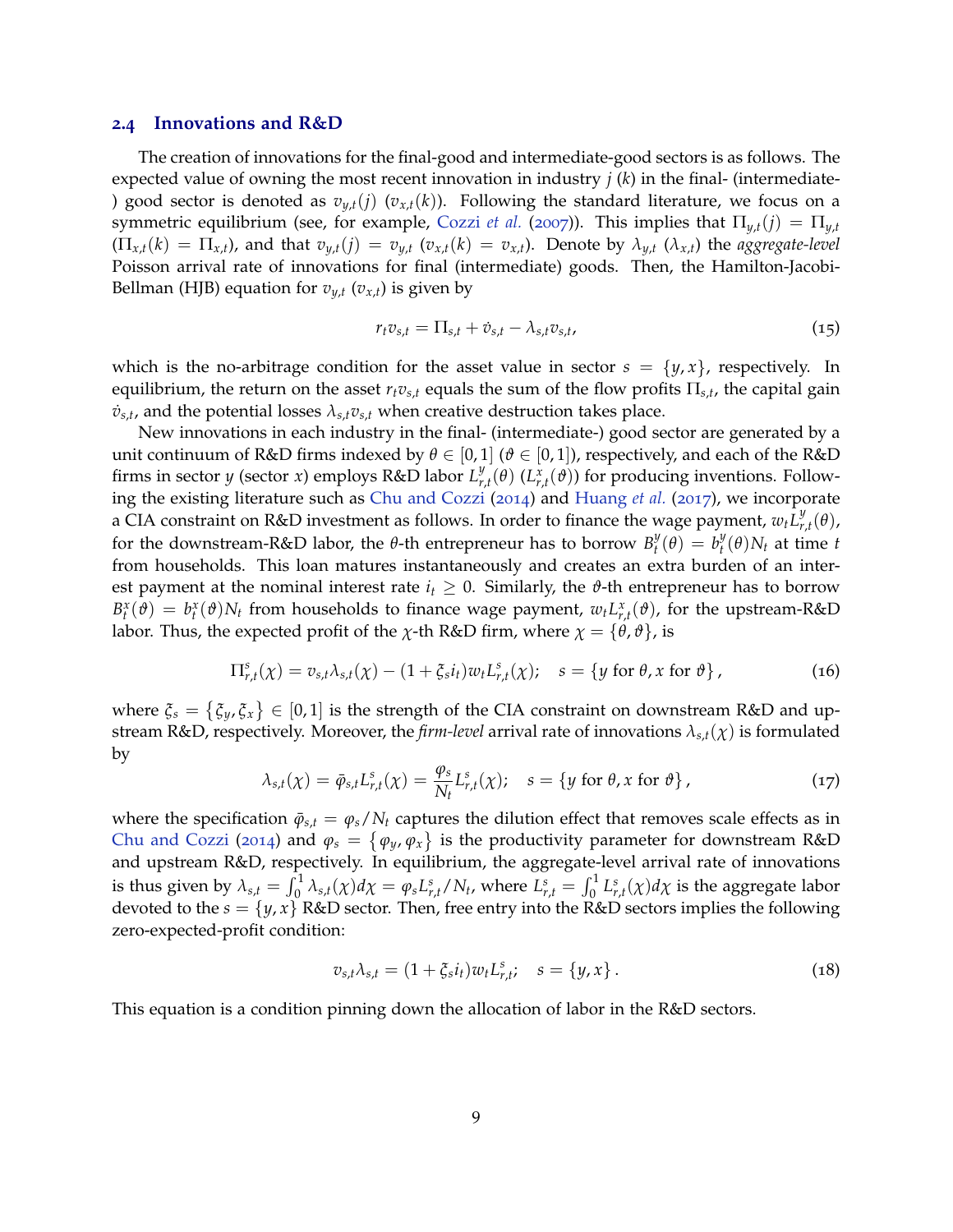#### **2.4 Innovations and R&D**

The creation of innovations for the final-good and intermediate-good sectors is as follows. The expected value of owning the most recent innovation in industry *j* (*k*) in the final- (intermediate- ) good sector is denoted as  $v_{y,t}(j)$  ( $v_{x,t}(k)$ ). Following the standard literature, we focus on a symmetric equilibrium (see, for example, Cozzi *et al.* (2007)). This implies that  $\Pi_{y,t}(j) = \Pi_{y,t}$  $(\Pi_{x,t}(k) = \Pi_{x,t})$ , and that  $v_{y,t}(j) = v_{y,t}$   $(v_{x,t}(k) = v_{x,t})$ . Denote by  $\lambda_{y,t}$   $(\lambda_{x,t})$  the aggregate-level Poisson arrival rate of innovations for final (intermediate) goods. Then, the Hamilton-Jacobi-Bellman (HJB) equation for  $v_{y,t}$  ( $v_{x,t}$ ) is given by

$$
r_t v_{s,t} = \Pi_{s,t} + \dot{v}_{s,t} - \lambda_{s,t} v_{s,t},
$$
\n
$$
(15)
$$

which is the no-arbitrage condition for the asset value in sector  $s = \{y, x\}$ , respectively. In equilibrium, the return on the asset  $r_t v_{s,t}$  equals the sum of the flow profits  $\Pi_{s,t}$ , the capital gain  $\dot{v}_{s,t}$ , and the potential losses  $\lambda_{s,t}v_{s,t}$  when creative destruction takes place.

New innovations in each industry in the final- (intermediate-) good sector are generated by a unit continuum of R&D firms indexed by  $\theta \in [0,1]$  ( $\theta \in [0,1]$ ), respectively, and each of the R&D firms in sector *y* (sector *x*) employs R&D labor *L y r*,*t* (*θ*) (*L x r*,*t* (*ϑ*)) for producing inventions. Following the existing literature such as Chu and Cozzi (2014) and Huang *et al.* (2017), we incorporate a CIA constraint on R&D investment as follows. In order to finance the wage payment,  $w_t L_r^y$ *r*,*t* (*θ*), for the downstream-R&D labor, the *θ*-th entrepreneur has to borrow  $B_t^y$  $b_t^y(\theta) = b_t^y$  $t_t^y(\theta)N_t$  at time  $t$ from households. This loan matures instantaneously and creates an extra burden of an interest payment at the nominal interest rate  $i<sub>t</sub> \geq 0$ . Similarly, the  $\vartheta$ -th entrepreneur has to borrow  $B_t^x(\theta) = b_t^x(\theta)N_t$  from households to finance wage payment,  $w_t L_{r,t}^x(\theta)$ , for the upstream-R&D labor. Thus, the expected profit of the *χ*-th R&D firm, where  $\chi = {\theta, \theta}$ , is

$$
\Pi_{r,t}^s(\chi) = v_{s,t}\lambda_{s,t}(\chi) - (1 + \xi_s i_t) w_t L_{r,t}^s(\chi); \quad s = \{y \text{ for } \theta, x \text{ for } \vartheta\},\tag{16}
$$

where  $\xi_s = \{\xi_y, \xi_x\} \in [0,1]$  is the strength of the CIA constraint on downstream R&D and upstream R&D, respectively. Moreover, the *firm-level* arrival rate of innovations *λs*,*t*(*χ*) is formulated by

$$
\lambda_{s,t}(\chi) = \bar{\varphi}_{s,t} L_{r,t}^s(\chi) = \frac{\varphi_s}{N_t} L_{r,t}^s(\chi); \quad s = \{ y \text{ for } \theta, x \text{ for } \vartheta \}, \tag{17}
$$

where the specification  $\bar{\varphi}_{s,t} = \varphi_s/N_t$  captures the dilution effect that removes scale effects as in Chu and Cozzi (2014) and  $\varphi_s = \{\varphi_y, \varphi_x\}$  is the productivity parameter for downstream R&D and upstream R&D, respectively. In equilibrium, the aggregate-level arrival rate of innovations is thus given by  $\lambda_{s,t}=\int_0^1\lambda_{s,t}(\chi)d\chi=\varphi_sL_{r,t}^s/N_t$ , where  $L_{r,t}^s=\int_0^1L_{r,t}^s(\chi)d\chi$  is the aggregate labor devoted to the  $s = \{y, x\}$  R&D sector. Then, free entry into the R&D sectors implies the following zero-expected-profit condition:

$$
v_{s,t}\lambda_{s,t} = (1 + \xi_s i_t) w_t L_{r,t}^s; \quad s = \{y, x\}.
$$
 (18)

This equation is a condition pinning down the allocation of labor in the R&D sectors.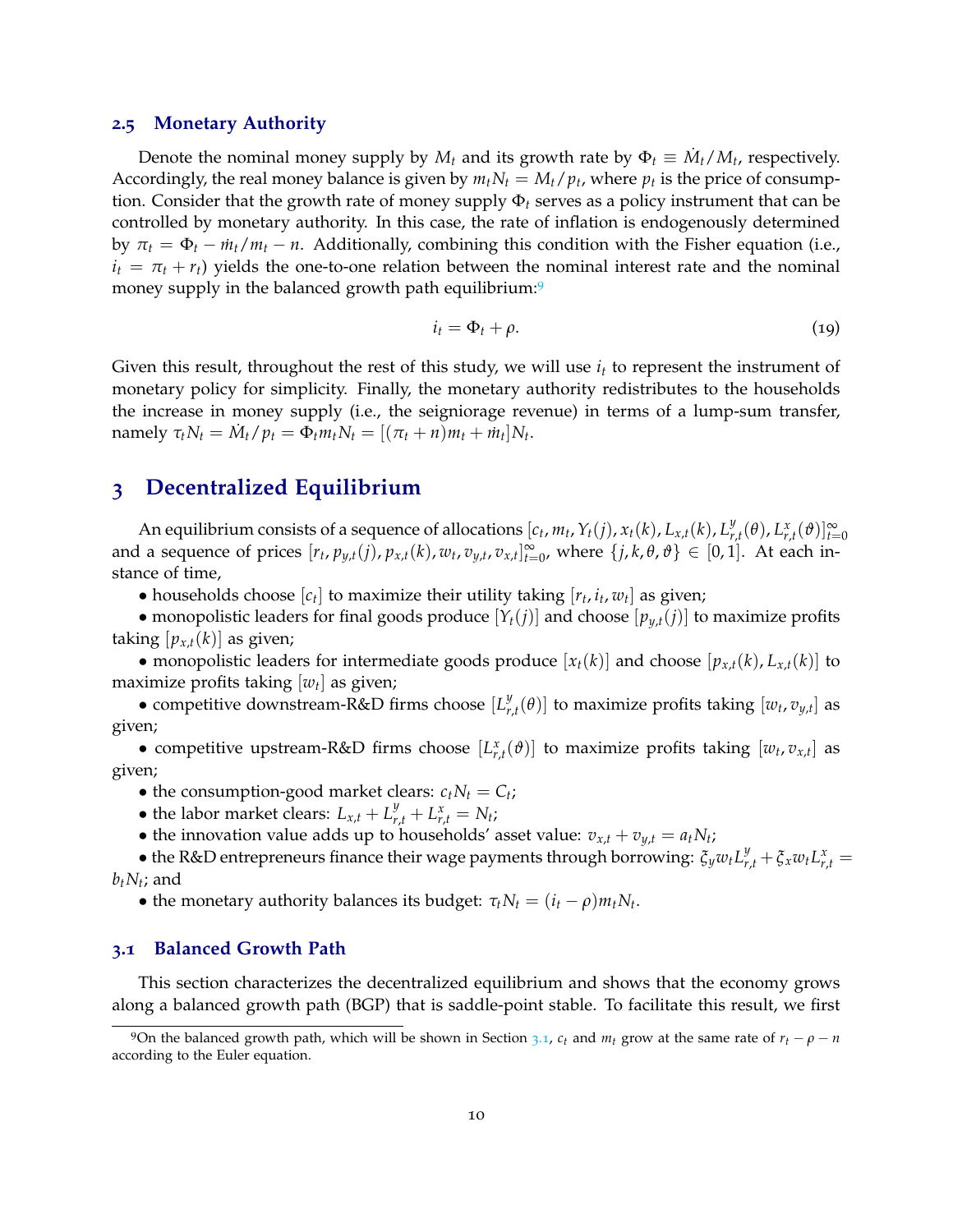#### **2.5 Monetary Authority**

Denote the nominal money supply by  $M_t$  and its growth rate by  $\Phi_t \equiv \dot{M}_t / M_t$ , respectively. Accordingly, the real money balance is given by  $m_t N_t = M_t / p_t$ , where  $p_t$  is the price of consumption. Consider that the growth rate of money supply Φ*<sup>t</sup>* serves as a policy instrument that can be controlled by monetary authority. In this case, the rate of inflation is endogenously determined by  $\pi_t = \Phi_t - \dot{m}_t/m_t - n$ . Additionally, combining this condition with the Fisher equation (i.e.,  $i_t = \pi_t + r_t$ ) yields the one-to-one relation between the nominal interest rate and the nominal money supply in the balanced growth path equilibrium:<sup>9</sup>

$$
i_t = \Phi_t + \rho. \tag{19}
$$

Given this result, throughout the rest of this study, we will use  $i_t$  to represent the instrument of monetary policy for simplicity. Finally, the monetary authority redistributes to the households the increase in money supply (i.e., the seigniorage revenue) in terms of a lump-sum transfer,  $\text{namely } \tau_t N_t = \dot{M}_t / p_t = \Phi_t m_t N_t = [(\pi_t + n) m_t + \dot{m}_t] N_t.$ 

## **3 Decentralized Equilibrium**

An equilibrium consists of a sequence of allocations  $[c_t, m_t, Y_t(j), x_t(k), L_{x,t}(k), L_y^y]$  $\int_{r,t}^{y} (\theta)$ ,  $L_{r,t}^{x} (\vartheta)$ ] $\int_{t=0}^{\infty}$ and a sequence of prices  $[r_t, p_{y,t}(j), p_{x,t}(k), w_t, v_{y,t}, v_{x,t}]_{t=0}^{\infty}$  $\sum_{t=0}^{\infty}$ , where  $\{j, k, \theta, \vartheta\} \in [0, 1]$ . At each instance of time,

• households choose  $[c_t]$  to maximize their utility taking  $[r_t, i_t, w_t]$  as given;

• monopolistic leaders for final goods produce  $[Y_t(j)]$  and choose  $[p_{u,t}(j)]$  to maximize profits taking  $[p_{x,t}(k)]$  as given;

• monopolistic leaders for intermediate goods produce  $[x_t(k)]$  and choose  $[p_{x,t}(k), L_{x,t}(k)]$  to maximize profits taking [*w<sup>t</sup>* ] as given;

• competitive downstream-R&D firms choose [*L y*  $\left[v_{r,t}(\theta)\right]$  to maximize profits taking  $\left[w_t,v_{y,t}\right]$  as given;

• competitive upstream-R&D firms choose  $[L_{r,t}^x(\vartheta)]$  to maximize profits taking  $[w_t, v_{x,t}]$  as given;

• the consumption-good market clears:  $c_t N_t = C_t$ ;

- the labor market clears:  $L_{x,t} + L_{r,t}^y + L_{r,t}^x = N_t$ ;
- the innovation value adds up to households' asset value:  $v_{x,t} + v_{y,t} = a_t N_t$ ;

• the R&D entrepreneurs finance their wage payments through borrowing:  $\zeta_y w_t L_{r,t}^y + \zeta_x w_t L_{r,t}^x =$  $b_t N_t$ ; and

• the monetary authority balances its budget:  $\tau_t N_t = (i_t - \rho) m_t N_t$ .

#### **3.1 Balanced Growth Path**

This section characterizes the decentralized equilibrium and shows that the economy grows along a balanced growth path (BGP) that is saddle-point stable. To facilitate this result, we first

<sup>9</sup>On the balanced growth path, which will be shown in Section 3.1,  $c_t$  and  $m_t$  grow at the same rate of  $r_t - \rho - n$ according to the Euler equation.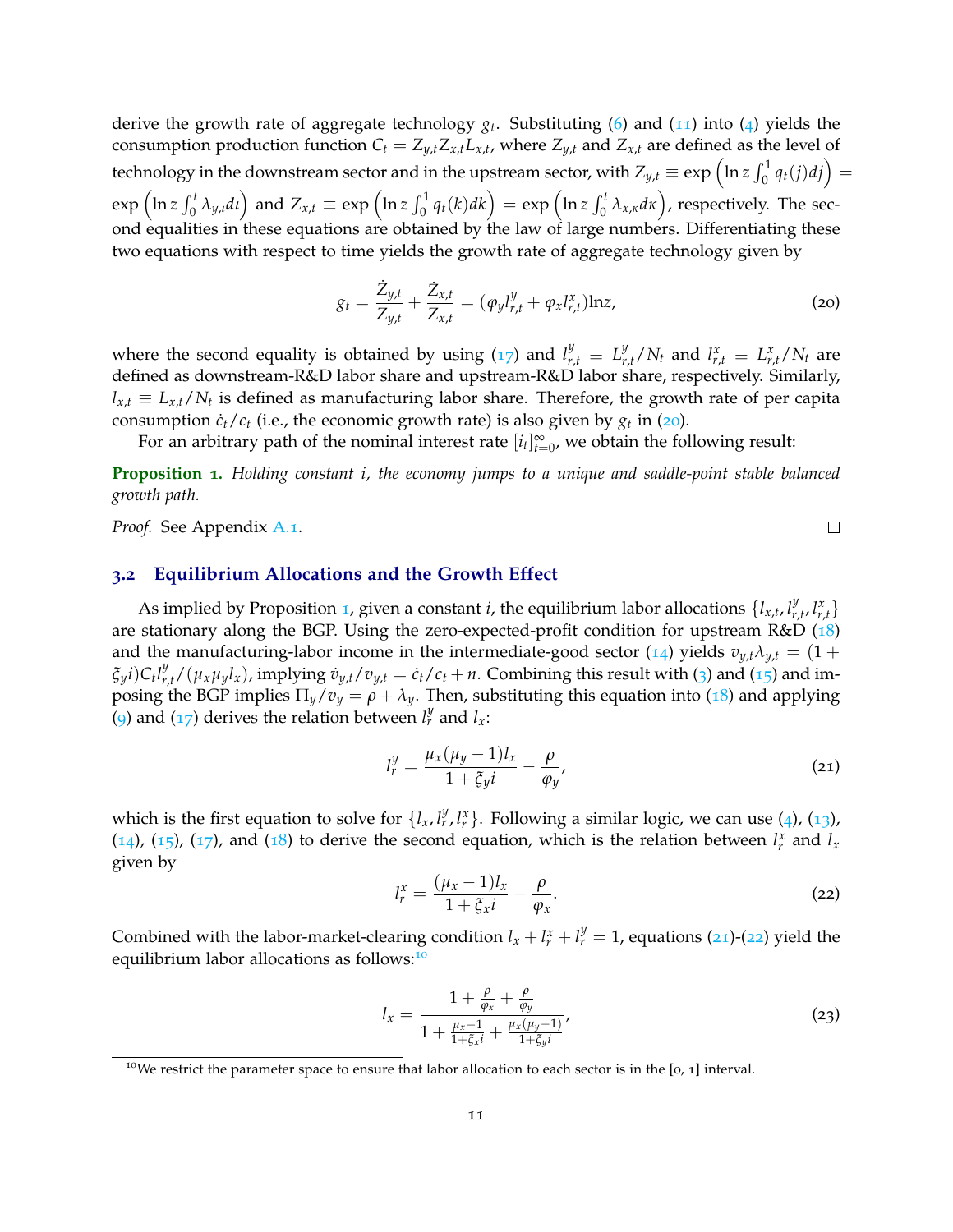derive the growth rate of aggregate technology *g<sup>t</sup>* . Substituting (6) and (11) into (4) yields the consumption production function  $C_t = Z_{y,t} Z_{x,t} L_{x,t}$ , where  $Z_{y,t}$  and  $Z_{x,t}$  are defined as the level of technology in the downstream sector and in the upstream sector, with  $Z_{y,t}\equiv \exp\left(\ln z \int_0^1 q_t(j)dj\right)=0$  $\exp\left(\ln z \int_0^t \lambda_{y,t} dt\right)$  and  $Z_{x,t} \equiv \exp\left(\ln z \int_0^1 q_t(k)dk\right) = \exp\left(\ln z \int_0^t \lambda_{x,\kappa} d\kappa\right)$ , respectively. The second equalities in these equations are obtained by the law of large numbers. Differentiating these two equations with respect to time yields the growth rate of aggregate technology given by

$$
g_t = \frac{\dot{Z}_{y,t}}{Z_{y,t}} + \frac{\dot{Z}_{x,t}}{Z_{x,t}} = (\varphi_y l_{r,t}^y + \varphi_x l_{r,t}^x) \ln z,
$$
\n(20)

where the second equality is obtained by using (17) and  $l_{r,t}^y \equiv L_{r,t}^y/N_t$  and  $l_{r,t}^x \equiv L_{r,t}^x/N_t$  are defined as downstream-R&D labor share and upstream-R&D labor share, respectively. Similarly, *lx*,*<sup>t</sup>* ≡ *Lx*,*t*/*N<sup>t</sup>* is defined as manufacturing labor share. Therefore, the growth rate of per capita consumption  $\dot{c}_t/c_t$  (i.e., the economic growth rate) is also given by  $g_t$  in (20).

For an arbitrary path of the nominal interest rate  $[i_t]_{t=1}^{\infty}$  $\sum_{t=0}^{\infty}$ , we obtain the following result:

**Proposition 1.** *Holding constant i, the economy jumps to a unique and saddle-point stable balanced growth path.*

*Proof.* See Appendix A.1.

#### **3.2 Equilibrium Allocations and the Growth Effect**

As implied by Proposition 1, given a constant *i*, the equilibrium labor allocations  $\{l_{x,t}, l_{r,x}^y\}$  $\left\{ \begin{array}{c} y \\ r, t \end{array} \right\}$ are stationary along the BGP. Using the zero-expected-profit condition for upstream R&D (18) and the manufacturing-labor income in the intermediate-good sector (14) yields  $v_{y,t} \lambda_{y,t} = (1 +$  $\xi_y i) C_t l_{r,t}^y / (\mu_x \mu_y l_x)$ , implying  $\dot{v}_{y,t}/v_{y,t} = \dot{c}_t/c_t + n$ . Combining this result with (3) and (15) and imposing the BGP implies  $\Pi_y/v_y = \rho + \lambda_y$ . Then, substituting this equation into (18) and applying (9) and (17) derives the relation between  $l_r^y$  and  $l_x$ :

$$
l_r^y = \frac{\mu_x (\mu_y - 1) l_x}{1 + \zeta_y i} - \frac{\rho}{\varphi_y},\tag{21}
$$

 $\Box$ 

which is the first equation to solve for  $\{l_x, l_r^y, l_r^x\}$ . Following a similar logic, we can use (4), (13), (14), (15), (17), and (18) to derive the second equation, which is the relation between  $l_r^x$  and  $l_x$ given by

$$
l_r^x = \frac{(\mu_x - 1)l_x}{1 + \xi_x i} - \frac{\rho}{\varphi_x}.\tag{22}
$$

Combined with the labor-market-clearing condition  $l_x + l_y^x + l_y^y = 1$ , equations (21)-(22) yield the equilibrium labor allocations as follows:<sup>10</sup>

$$
l_{x} = \frac{1 + \frac{\rho}{\varphi_{x}} + \frac{\rho}{\varphi_{y}}}{1 + \frac{\mu_{x} - 1}{1 + \xi_{x} i} + \frac{\mu_{x}(\mu_{y} - 1)}{1 + \xi_{y} i}}\tag{23}
$$

<sup>&</sup>lt;sup>10</sup>We restrict the parameter space to ensure that labor allocation to each sector is in the  $[0, 1]$  interval.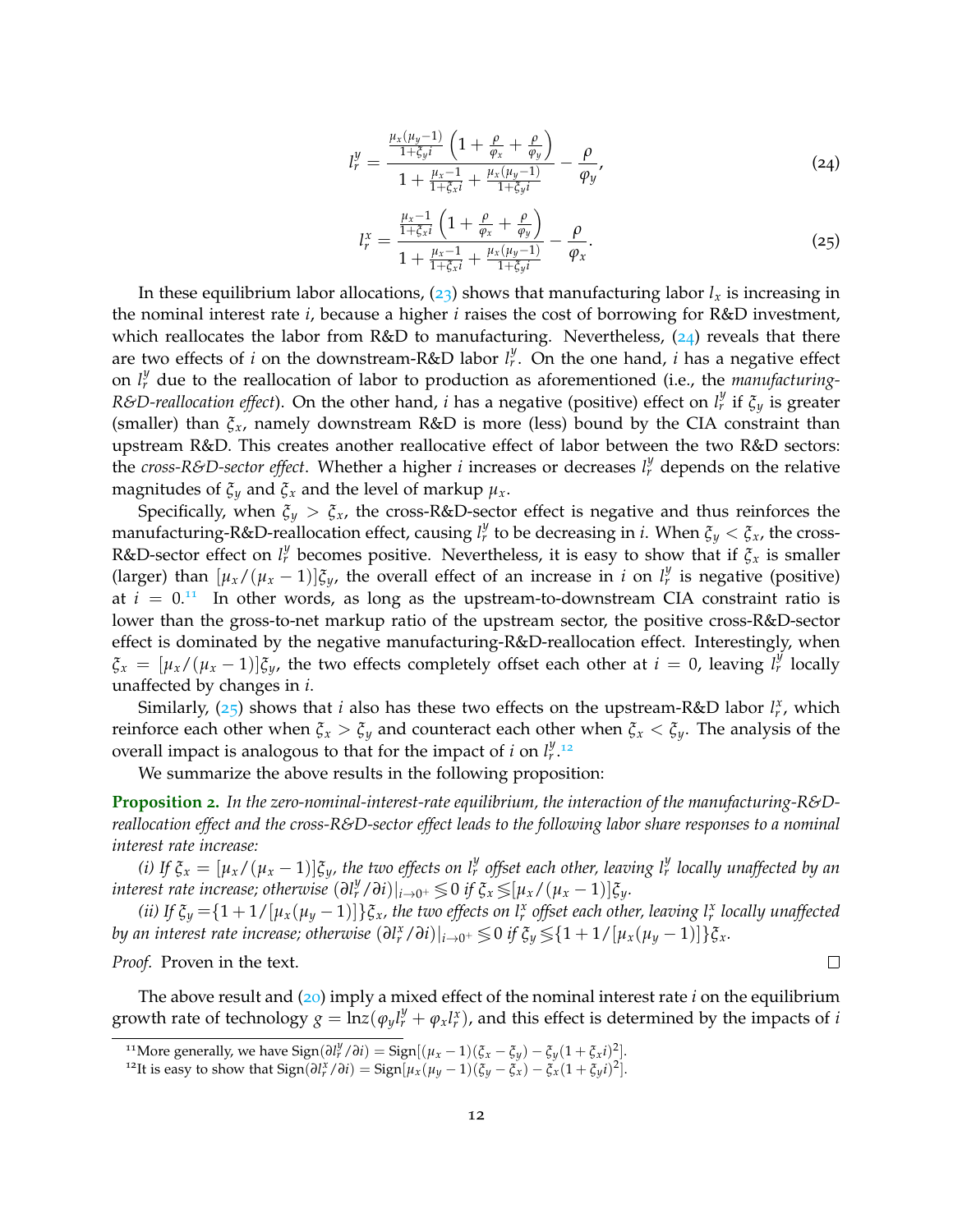$$
l_r^y = \frac{\frac{\mu_x(\mu_y - 1)}{1 + \xi_y i} \left(1 + \frac{\rho}{\varphi_x} + \frac{\rho}{\varphi_y}\right)}{1 + \frac{\mu_x - 1}{1 + \xi_x i} + \frac{\mu_x(\mu_y - 1)}{1 + \xi_y i}} - \frac{\rho}{\varphi_y},
$$
(24)

$$
l_r^x = \frac{\frac{\mu_x - 1}{1 + \xi_x i} \left( 1 + \frac{\rho}{\varphi_x} + \frac{\rho}{\varphi_y} \right)}{1 + \frac{\mu_x - 1}{1 + \xi_x i} + \frac{\mu_x(\mu_y - 1)}{1 + \xi_y i}} - \frac{\rho}{\varphi_x}.
$$
 (25)

In these equilibrium labor allocations,  $(23)$  shows that manufacturing labor  $l<sub>x</sub>$  is increasing in the nominal interest rate *i*, because a higher *i* raises the cost of borrowing for R&D investment, which reallocates the labor from  $R&D$  to manufacturing. Nevertheless, (24) reveals that there are two effects of *i* on the downstream-R&D labor *l y r* . On the one hand, *i* has a negative effect on  $l_r^y$  due to the reallocation of labor to production as aforementioned (i.e., the *manufacturing*-*R&D-reallocation effect*). On the other hand, *i* has a negative (positive) effect on  $l_r^y$  if  $\zeta_y$  is greater (smaller) than *ξx*, namely downstream R&D is more (less) bound by the CIA constraint than upstream R&D. This creates another reallocative effect of labor between the two R&D sectors: the *cross-R&D-sector effect*. Whether a higher *i* increases or decreases  $l_r^y$  depends on the relative magnitudes of  $\xi_y$  and  $\xi_x$  and the level of markup  $\mu_x$ .

Specifically, when  $\xi_y > \xi_x$ , the cross-R&D-sector effect is negative and thus reinforces the manufacturing-R&D-reallocation effect, causing  $l_r^y$  to be decreasing in *i*. When  $\xi_y < \xi_x$ , the cross-R&D-sector effect on  $l_r^y$  becomes positive. Nevertheless, it is easy to show that if  $\zeta_x$  is smaller (larger) than  $[\mu_x/(\mu_x - 1)]\xi_y$ , the overall effect of an increase in *i* on  $l^y_r$  is negative (positive) at  $i = 0.11$  In other words, as long as the upstream-to-downstream CIA constraint ratio is lower than the gross-to-net markup ratio of the upstream sector, the positive cross-R&D-sector effect is dominated by the negative manufacturing-R&D-reallocation effect. Interestingly, when  $\zeta_x = [\mu_x/(\mu_x - 1)]\zeta_y$ , the two effects completely offset each other at  $i = 0$ , leaving  $l_r^y$  locally unaffected by changes in *i*.

Similarly,  $(25)$  shows that *i* also has these two effects on the upstream-R&D labor  $l_r^x$ , which reinforce each other when  $\xi_x > \xi_y$  and counteract each other when  $\xi_x < \xi_y$ . The analysis of the overall impact is analogous to that for the impact of *i* on  $l_r^y$ .<sup>12</sup>

We summarize the above results in the following proposition:

**Proposition 2.** *In the zero-nominal-interest-rate equilibrium, the interaction of the manufacturing-R&Dreallocation effect and the cross-R&D-sector effect leads to the following labor share responses to a nominal interest rate increase:*

*(i)* If  $\xi_x = [\mu_x/(\mu_x-1)]\xi_y$ , the two effects on  $l_r^y$  offset each other, leaving  $l_r^y$  locally unaffected by an *interest rate increase; otherwise*  $(\partial l_r^y / \partial i)|_{i \to 0^+} \leqslant 0$  *if*  $\xi_x \leqslant [\mu_x / (\mu_x - 1)] \xi_y$ *.* 

*(ii)* If  $\xi_y = \{1 + 1/[\mu_x(\mu_y - 1)]\}\xi_x$ , the two effects on  $l^x_r$  offset each other, leaving  $l^x_r$  locally unaffected *by an interest rate increase; otherwise*  $(\partial l_r^x / \partial i)|_{i \to 0^+} \lessgtr 0$  *if*  $\xi_y \lessgtr 1 + 1/[{\mu_x}({\mu_y} - 1)]\}{\xi_x}$ .

*Proof.* Proven in the text.

The above result and (20) imply a mixed effect of the nominal interest rate *i* on the equilibrium growth rate of technology  $g = \ln z (\varphi_y l_r^y + \varphi_x l_r^x)$ , and this effect is determined by the impacts of *i* 

 $\Box$ 

<sup>&</sup>lt;sup>11</sup>More generally, we have  $\text{Sign}(\partial l_r^y / \partial i) = \text{Sign}[(\mu_x - 1)(\xi_x - \xi_y) - \xi_y (1 + \xi_x i)^2].$ 

<sup>&</sup>lt;sup>12</sup>It is easy to show that  $Sign(\partial l_r^x / \partial i) = Sign[\mu_x(\mu_y - 1)(\xi_y - \xi_x) - \xi_x(1 + \xi_y i)^2]$ .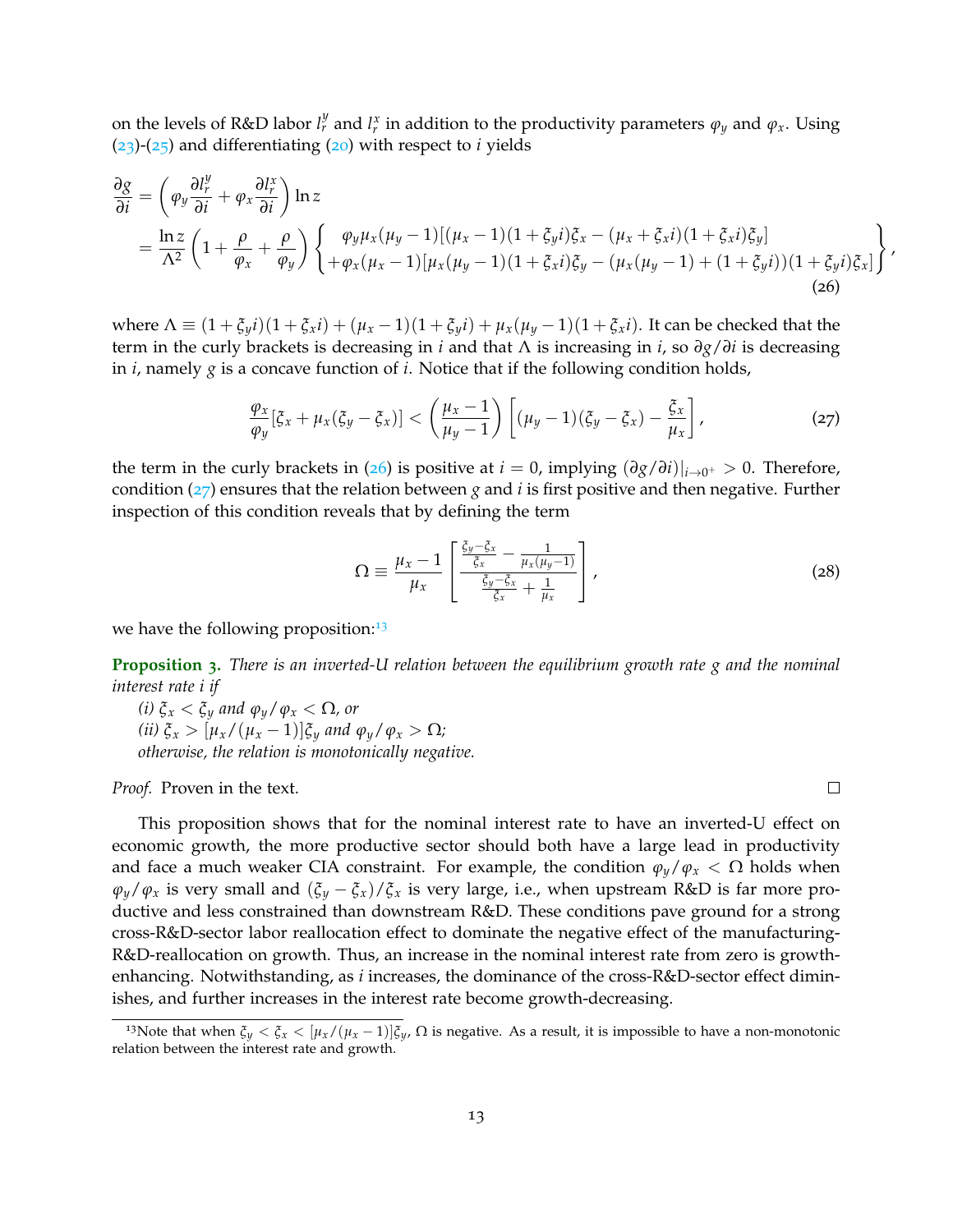on the levels of R&D labor  $l_r^y$  and  $l_r^x$  in addition to the productivity parameters  $\varphi_y$  and  $\varphi_x$ . Using (23)-(25) and differentiating (20) with respect to *i* yields

$$
\frac{\partial g}{\partial i} = \left( \varphi_y \frac{\partial l_r^y}{\partial i} + \varphi_x \frac{\partial l_r^x}{\partial i} \right) \ln z \n= \frac{\ln z}{\Lambda^2} \left( 1 + \frac{\rho}{\varphi_x} + \frac{\rho}{\varphi_y} \right) \left\{ \begin{array}{l} \varphi_y \mu_x (\mu_y - 1) [(\mu_x - 1)(1 + \xi_y i) \xi_x - (\mu_x + \xi_x i)(1 + \xi_x i) \xi_y] \\ + \varphi_x (\mu_x - 1) [\mu_x (\mu_y - 1)(1 + \xi_x i) \xi_y - (\mu_x (\mu_y - 1) + (1 + \xi_y i))(1 + \xi_y i) \xi_x] \end{array} \right\},
$$
\n(26)

 $\mathbf{v}$  where  $\Lambda \equiv (1 + \xi_y i)(1 + \xi_x i) + (\mu_x - 1)(1 + \xi_y i) + \mu_x (\mu_y - 1)(1 + \xi_x i)$ . It can be checked that the term in the curly brackets is decreasing in *i* and that Λ is increasing in *i*, so *∂g*/*∂i* is decreasing in *i*, namely *g* is a concave function of *i*. Notice that if the following condition holds,

$$
\frac{\varphi_x}{\varphi_y}[\xi_x + \mu_x(\xi_y - \xi_x)] < \left(\frac{\mu_x - 1}{\mu_y - 1}\right) \left[ (\mu_y - 1)(\xi_y - \xi_x) - \frac{\xi_x}{\mu_x} \right],\tag{27}
$$

the term in the curly brackets in (26) is positive at *i* = 0, implying  $(\partial g/\partial i)|_{i\to 0^+} > 0$ . Therefore, condition (27) ensures that the relation between *g* and *i* is first positive and then negative. Further inspection of this condition reveals that by defining the term

$$
\Omega \equiv \frac{\mu_x - 1}{\mu_x} \left[ \frac{\frac{\xi_y - \xi_x}{\xi_x} - \frac{1}{\mu_x(\mu_y - 1)}}{\frac{\xi_y - \xi_x}{\xi_x} + \frac{1}{\mu_x}} \right],
$$
\n(28)

we have the following proposition: $13$ 

**Proposition 3.** *There is an inverted-U relation between the equilibrium growth rate g and the nominal interest rate i if*

*(i)*  $\xi_x < \xi_y$  *and*  $\varphi_y / \varphi_x < \Omega$ *, or (ii)*  $\xi_x > [\mu_x/(\mu_x - 1)]\xi_y$  *and*  $\varphi_y/\varphi_x > \Omega$ *; otherwise, the relation is monotonically negative.*

*Proof.* Proven in the text.

 $\Box$ 

This proposition shows that for the nominal interest rate to have an inverted-U effect on economic growth, the more productive sector should both have a large lead in productivity and face a much weaker CIA constraint. For example, the condition  $\varphi_y/\varphi_x < \Omega$  holds when  $\varphi_y/\varphi_x$  is very small and  $(\xi_y - \xi_x)/\xi_x$  is very large, i.e., when upstream R&D is far more productive and less constrained than downstream R&D. These conditions pave ground for a strong cross-R&D-sector labor reallocation effect to dominate the negative effect of the manufacturing-R&D-reallocation on growth. Thus, an increase in the nominal interest rate from zero is growthenhancing. Notwithstanding, as *i* increases, the dominance of the cross-R&D-sector effect diminishes, and further increases in the interest rate become growth-decreasing.

<sup>&</sup>lt;sup>13</sup>Note that when  $\xi_y < \xi_x < [\mu_x/(\mu_x - 1)]\xi_y$ ,  $\Omega$  is negative. As a result, it is impossible to have a non-monotonic relation between the interest rate and growth.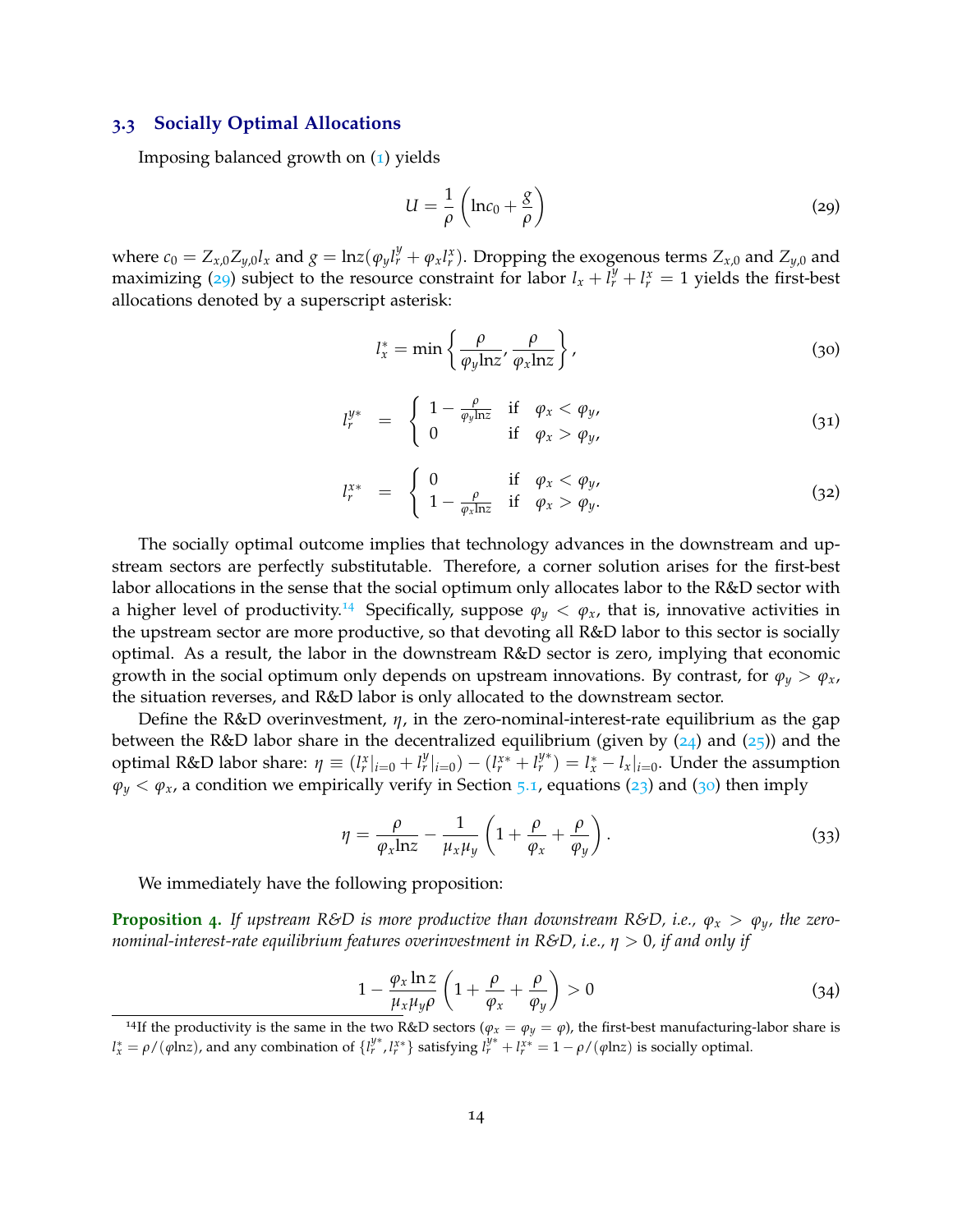#### **3.3 Socially Optimal Allocations**

Imposing balanced growth on (1) yields

$$
U = \frac{1}{\rho} \left( \ln c_0 + \frac{g}{\rho} \right) \tag{29}
$$

where  $c_0 = Z_{x,0}Z_{y,0}l_x$  and  $g = \ln z(\varphi_y l_r^y + \varphi_x l_r^x)$ . Dropping the exogenous terms  $Z_{x,0}$  and  $Z_{y,0}$  and maximizing (29) subject to the resource constraint for labor  $l_x + l_y^y + l_x^x = 1$  yields the first-best allocations denoted by a superscript asterisk:

$$
l_x^* = \min\left\{\frac{\rho}{\varphi_y \ln z}, \frac{\rho}{\varphi_x \ln z}\right\},\tag{30}
$$

$$
l_r^{y*} = \begin{cases} 1 - \frac{\rho}{\varphi_y \ln z} & \text{if } \varphi_x < \varphi_y, \\ 0 & \text{if } \varphi_x > \varphi_y, \end{cases}
$$
 (31)

$$
l_r^{x*} = \begin{cases} 0 & \text{if } \varphi_x < \varphi_y, \\ 1 - \frac{\rho}{\varphi_x \ln z} & \text{if } \varphi_x > \varphi_y. \end{cases}
$$
 (32)

The socially optimal outcome implies that technology advances in the downstream and upstream sectors are perfectly substitutable. Therefore, a corner solution arises for the first-best labor allocations in the sense that the social optimum only allocates labor to the R&D sector with a higher level of productivity.<sup>14</sup> Specifically, suppose  $\varphi_y < \varphi_x$ , that is, innovative activities in the upstream sector are more productive, so that devoting all R&D labor to this sector is socially optimal. As a result, the labor in the downstream R&D sector is zero, implying that economic growth in the social optimum only depends on upstream innovations. By contrast, for  $\varphi_y > \varphi_x$ , the situation reverses, and R&D labor is only allocated to the downstream sector.

Define the R&D overinvestment, *η*, in the zero-nominal-interest-rate equilibrium as the gap between the R&D labor share in the decentralized equilibrium (given by  $(24)$  and  $(25)$ ) and the optimal R&D labor share:  $\eta \equiv (l_r^x|_{i=0} + l_r^y|_{i=0}) - (l_r^{x*} + l_r^{y*}) = l_x^* - l_x|_{i=0}$ . Under the assumption  $\varphi_y < \varphi_x$ , a condition we empirically verify in Section 5.1, equations (23) and (30) then imply

$$
\eta = \frac{\rho}{\varphi_x \ln z} - \frac{1}{\mu_x \mu_y} \left( 1 + \frac{\rho}{\varphi_x} + \frac{\rho}{\varphi_y} \right). \tag{33}
$$

We immediately have the following proposition:

**Proposition 4.** If upstream R&D is more productive than downstream R&D, i.e.,  $\varphi_x > \varphi_y$ , the zero*nominal-interest-rate equilibrium features overinvestment in R&D, i.e., η* > 0*, if and only if*

$$
1 - \frac{\varphi_x \ln z}{\mu_x \mu_y \rho} \left( 1 + \frac{\rho}{\varphi_x} + \frac{\rho}{\varphi_y} \right) > 0 \tag{34}
$$

<sup>&</sup>lt;sup>14</sup>If the productivity is the same in the two R&D sectors ( $\varphi_x = \varphi_y = \varphi$ ), the first-best manufacturing-labor share is  $l_x^* = \rho/(\varphi \ln z)$ , and any combination of  $\{l_r^{y*}, l_r^{x*}\}$  satisfying  $l_r^{y*} + l_r^{x*} = 1 - \rho/(\varphi \ln z)$  is socially optimal.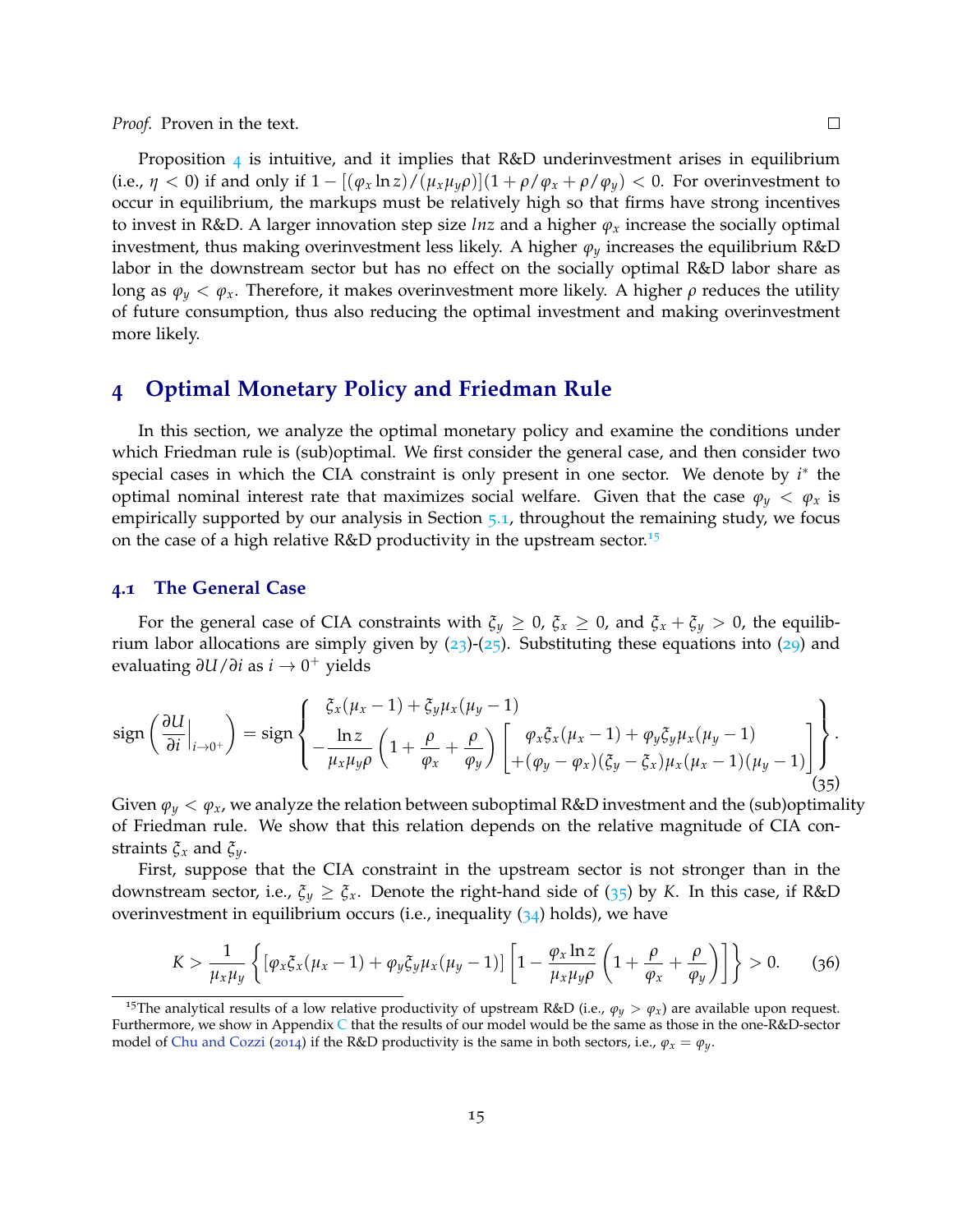*Proof.* Proven in the text.

Proposition  $\ddot{4}$  is intuitive, and it implies that R&D underinvestment arises in equilibrium (i.e.,  $\eta$  < 0) if and only if  $1 - [(\varphi_x \ln z)/(\mu_x \mu_y \rho)](1 + \rho/\varphi_x + \rho/\varphi_y)$  < 0. For overinvestment to occur in equilibrium, the markups must be relatively high so that firms have strong incentives to invest in R&D. A larger innovation step size *lnz* and a higher *ϕ<sup>x</sup>* increase the socially optimal investment, thus making overinvestment less likely. A higher  $\varphi_{\nu}$  increases the equilibrium R&D labor in the downstream sector but has no effect on the socially optimal R&D labor share as long as  $\varphi_y < \varphi_x$ . Therefore, it makes overinvestment more likely. A higher  $\rho$  reduces the utility of future consumption, thus also reducing the optimal investment and making overinvestment more likely.

## **4 Optimal Monetary Policy and Friedman Rule**

In this section, we analyze the optimal monetary policy and examine the conditions under which Friedman rule is (sub)optimal. We first consider the general case, and then consider two special cases in which the CIA constraint is only present in one sector. We denote by *i*<sup>\*</sup> the optimal nominal interest rate that maximizes social welfare. Given that the case  $\varphi_y < \varphi_x$  is empirically supported by our analysis in Section 5.1, throughout the remaining study, we focus on the case of a high relative R&D productivity in the upstream sector.<sup>15</sup>

#### **4.1 The General Case**

For the general case of CIA constraints with  $\xi_y \ge 0$ ,  $\xi_x \ge 0$ , and  $\xi_x + \xi_y > 0$ , the equilibrium labor allocations are simply given by  $(23)-(25)$ . Substituting these equations into  $(29)$  and evaluating *∂U*/*∂i* as *i* → 0 <sup>+</sup> yields

$$
\operatorname{sign}\left(\frac{\partial U}{\partial i}\Big|_{i\to 0^+}\right) = \operatorname{sign}\left\{\frac{\xi_x(\mu_x - 1) + \xi_y\mu_x(\mu_y - 1)}{-\frac{\ln z}{\mu_x\mu_y\rho}\left(1 + \frac{\rho}{\varphi_x} + \frac{\rho}{\varphi_y}\right)\left[\frac{\varphi_x\xi_x(\mu_x - 1) + \varphi_y\xi_y\mu_x(\mu_y - 1)}{+(\varphi_y - \varphi_x)(\xi_y - \xi_x)\mu_x(\mu_x - 1)(\mu_y - 1)}\right]}\right\}.
$$

Given  $\varphi_y < \varphi_x$ , we analyze the relation between suboptimal R&D investment and the (sub)optimality of Friedman rule. We show that this relation depends on the relative magnitude of CIA constraints *ξ<sup>x</sup>* and *ξy*.

First, suppose that the CIA constraint in the upstream sector is not stronger than in the downstream sector, i.e.,  $\xi_y \geq \xi_x$ . Denote the right-hand side of (35) by *K*. In this case, if R&D overinvestment in equilibrium occurs (i.e., inequality  $(34)$  holds), we have

$$
K > \frac{1}{\mu_x \mu_y} \left\{ \left[ \varphi_x \xi_x (\mu_x - 1) + \varphi_y \xi_y \mu_x (\mu_y - 1) \right] \left[ 1 - \frac{\varphi_x \ln z}{\mu_x \mu_y \rho} \left( 1 + \frac{\rho}{\varphi_x} + \frac{\rho}{\varphi_y} \right) \right] \right\} > 0. \tag{36}
$$

<sup>&</sup>lt;sup>15</sup>The analytical results of a low relative productivity of upstream R&D (i.e.,  $\varphi_y > \varphi_x$ ) are available upon request. Furthermore, we show in Appendix C that the results of our model would be the same as those in the one-R&D-sector model of Chu and Cozzi (2014) if the R&D productivity is the same in both sectors, i.e.,  $\varphi_x = \varphi_y$ .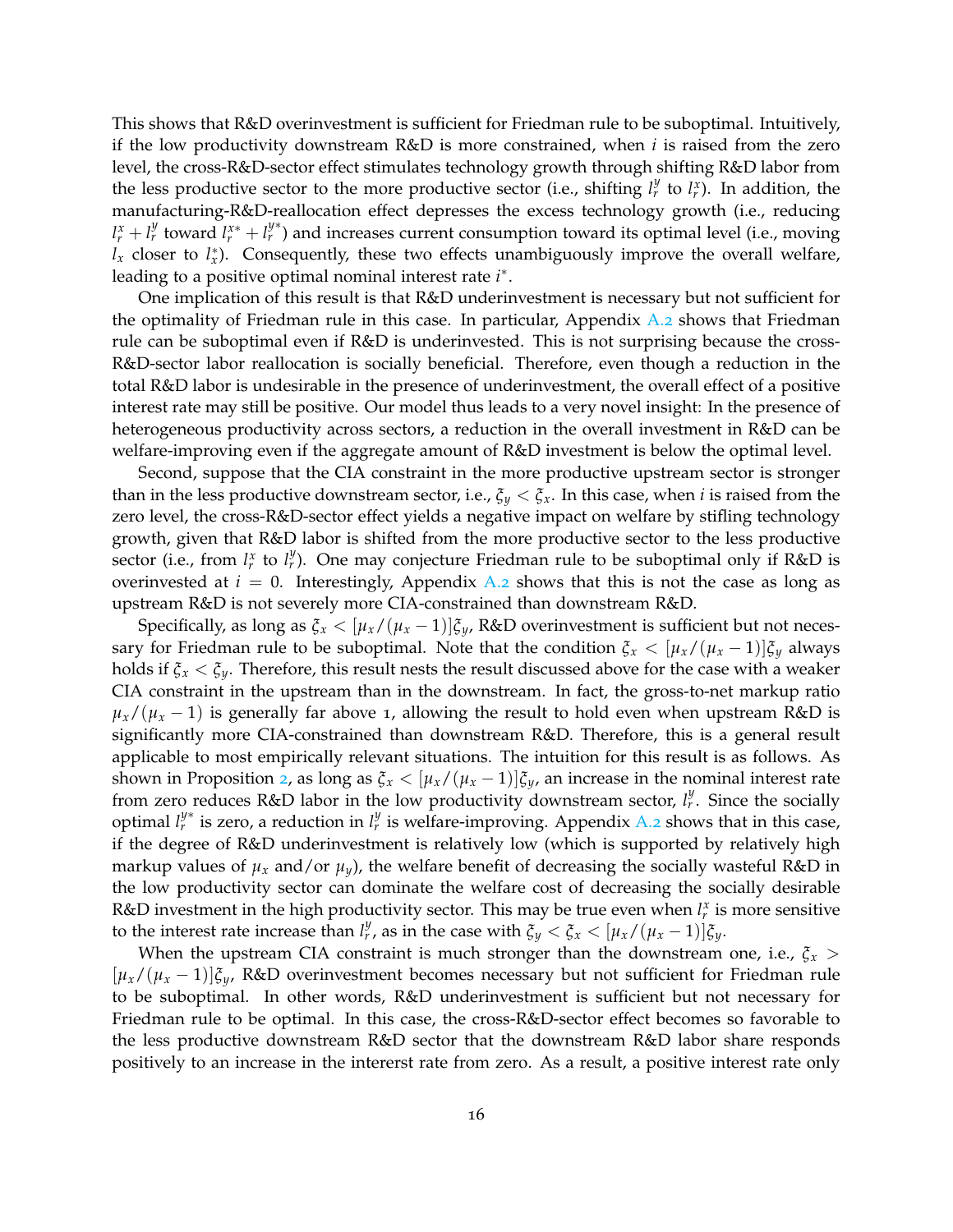This shows that R&D overinvestment is sufficient for Friedman rule to be suboptimal. Intuitively, if the low productivity downstream R&D is more constrained, when *i* is raised from the zero level, the cross-R&D-sector effect stimulates technology growth through shifting R&D labor from the less productive sector to the more productive sector (i.e., shifting  $l_r^y$  to  $l_r^x$ ). In addition, the manufacturing-R&D-reallocation effect depresses the excess technology growth (i.e., reducing  $l_r^x + l_r^y$  toward  $l_r^{x*} + l_r^{y*}$ ) and increases current consumption toward its optimal level (i.e., moving  $l_x$  closer to  $l_x^*$ ). Consequently, these two effects unambiguously improve the overall welfare, leading to a positive optimal nominal interest rate *i* ∗ .

One implication of this result is that R&D underinvestment is necessary but not sufficient for the optimality of Friedman rule in this case. In particular, Appendix  $A_{.2}$  shows that Friedman rule can be suboptimal even if R&D is underinvested. This is not surprising because the cross-R&D-sector labor reallocation is socially beneficial. Therefore, even though a reduction in the total R&D labor is undesirable in the presence of underinvestment, the overall effect of a positive interest rate may still be positive. Our model thus leads to a very novel insight: In the presence of heterogeneous productivity across sectors, a reduction in the overall investment in R&D can be welfare-improving even if the aggregate amount of R&D investment is below the optimal level.

Second, suppose that the CIA constraint in the more productive upstream sector is stronger than in the less productive downstream sector, i.e.,  $\xi_y < \xi_x$ . In this case, when *i* is raised from the zero level, the cross-R&D-sector effect yields a negative impact on welfare by stifling technology growth, given that R&D labor is shifted from the more productive sector to the less productive sector (i.e., from  $l_r^x$  to  $l_r^y$ ). One may conjecture Friedman rule to be suboptimal only if R&D is overinvested at  $i = 0$ . Interestingly, Appendix A.2 shows that this is not the case as long as upstream R&D is not severely more CIA-constrained than downstream R&D.

Specifically, as long as  $\xi_x < [\mu_x/(\mu_x-1)]\xi_y$ , R&D overinvestment is sufficient but not necessary for Friedman rule to be suboptimal. Note that the condition  $\xi_x < [\mu_x/(\mu_x - 1)]\xi_y$  always holds if  $\xi_x < \xi_y$ . Therefore, this result nests the result discussed above for the case with a weaker CIA constraint in the upstream than in the downstream. In fact, the gross-to-net markup ratio  $\mu_{x}/(\mu_{x}-1)$  is generally far above 1, allowing the result to hold even when upstream R&D is significantly more CIA-constrained than downstream R&D. Therefore, this is a general result applicable to most empirically relevant situations. The intuition for this result is as follows. As shown in Proposition 2, as long as  $\xi_x < [\mu_x/(\mu_x-1)]\xi_y$ , an increase in the nominal interest rate from zero reduces R&D labor in the low productivity downstream sector,  $l_r^y$ . Since the socially optimal  $l_r^{y*}$  is zero, a reduction in  $l_r^y$  is welfare-improving. Appendix A.2 shows that in this case, if the degree of R&D underinvestment is relatively low (which is supported by relatively high markup values of  $\mu_x$  and/or  $\mu_y$ ), the welfare benefit of decreasing the socially wasteful R&D in the low productivity sector can dominate the welfare cost of decreasing the socially desirable R&D investment in the high productivity sector. This may be true even when  $l_r^x$  is more sensitive to the interest rate increase than  $l_r^y$ , as in the case with  $\xi_y < \xi_x < [\mu_x/(\mu_x-1)]\xi_y$ .

When the upstream CIA constraint is much stronger than the downstream one, i.e.,  $\zeta_x$  > [*µx*/(*µ<sup>x</sup>* − 1)]*ξy*, R&D overinvestment becomes necessary but not sufficient for Friedman rule to be suboptimal. In other words, R&D underinvestment is sufficient but not necessary for Friedman rule to be optimal. In this case, the cross-R&D-sector effect becomes so favorable to the less productive downstream R&D sector that the downstream R&D labor share responds positively to an increase in the intererst rate from zero. As a result, a positive interest rate only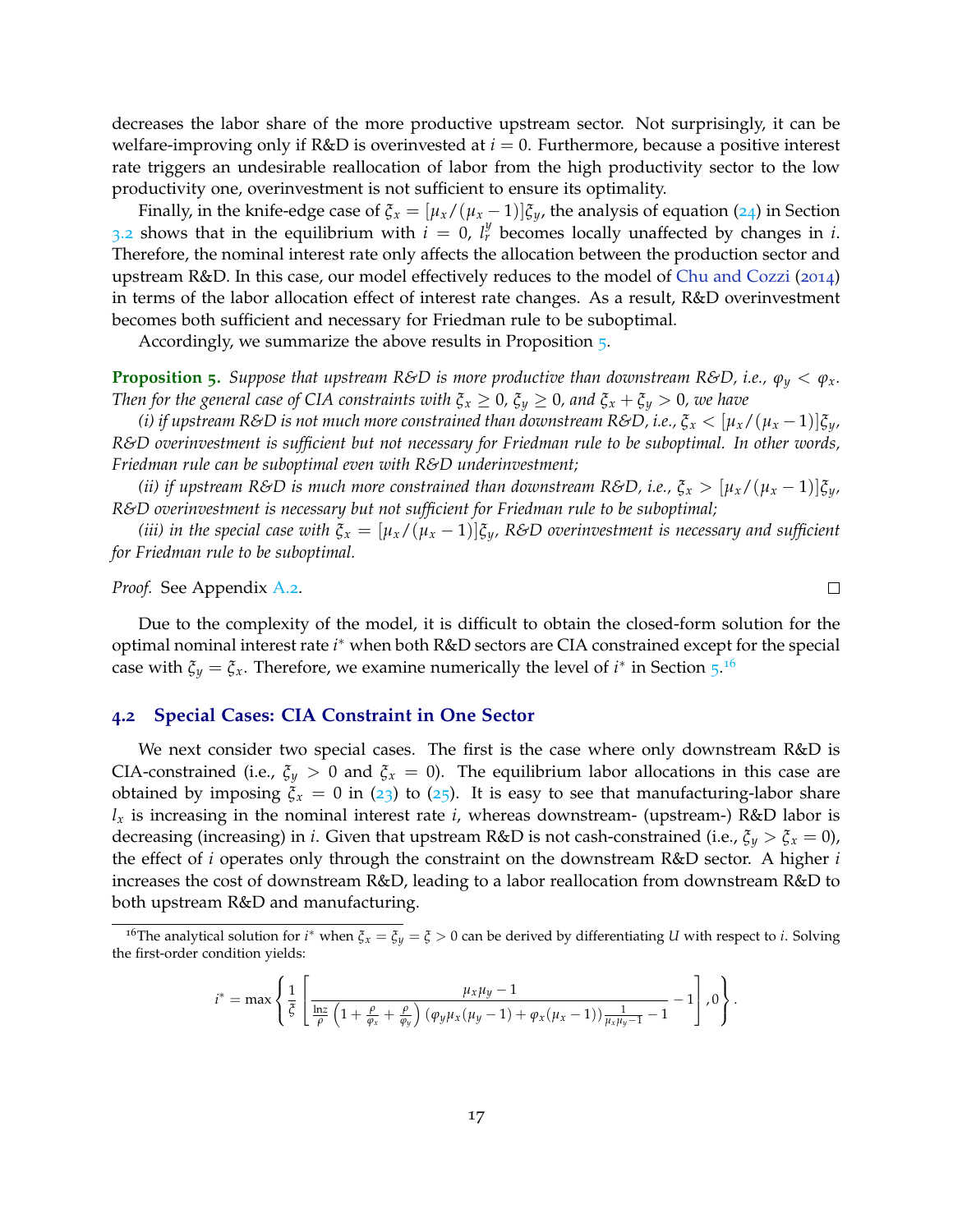decreases the labor share of the more productive upstream sector. Not surprisingly, it can be welfare-improving only if R&D is overinvested at *i* = 0. Furthermore, because a positive interest rate triggers an undesirable reallocation of labor from the high productivity sector to the low productivity one, overinvestment is not sufficient to ensure its optimality.

Finally, in the knife-edge case of  $\xi_x = [\mu_x/(\mu_x - 1)]\xi_y$ , the analysis of equation (24) in Section 3.2 shows that in the equilibrium with  $i = 0$ ,  $l_r^y$  becomes locally unaffected by changes in *i*. Therefore, the nominal interest rate only affects the allocation between the production sector and upstream R&D. In this case, our model effectively reduces to the model of Chu and Cozzi (2014) in terms of the labor allocation effect of interest rate changes. As a result, R&D overinvestment becomes both sufficient and necessary for Friedman rule to be suboptimal.

Accordingly, we summarize the above results in Proposition 5.

**Proposition 5.** Suppose that upstream R&D is more productive than downstream R&D, i.e.,  $\varphi_y < \varphi_x$ . *Then for the general case of CIA constraints with*  $\xi_x \geq 0$ *,*  $\xi_y \geq 0$ *, and*  $\xi_x + \xi_y > 0$ *, we have* 

*(i) if upstream R&D is not much more constrained than downstream R&D, i.e.,*  $\xi_x < [\mu_x/(\mu_x-1)]\xi_y$ , *R&D overinvestment is sufficient but not necessary for Friedman rule to be suboptimal. In other words, Friedman rule can be suboptimal even with R&D underinvestment;*

*(ii) if upstream R&D is much more constrained than downstream R&D, i.e.,*  $\xi_x > [\mu_x/(\mu_x - 1)]\xi_y$ *, R&D overinvestment is necessary but not sufficient for Friedman rule to be suboptimal;*

*(iii) in the special case with*  $\xi_x = [\mu_x/(\mu_x - 1)]\xi_y$ , R&D overinvestment is necessary and sufficient *for Friedman rule to be suboptimal.*

*Proof.* See Appendix A.2.

Due to the complexity of the model, it is difficult to obtain the closed-form solution for the optimal nominal interest rate *i* <sup>∗</sup> when both R&D sectors are CIA constrained except for the special case with  $\xi_y = \xi_x$ . Therefore, we examine numerically the level of  $i^*$  in Section  $5^{16}$ 

#### **4.2 Special Cases: CIA Constraint in One Sector**

We next consider two special cases. The first is the case where only downstream R&D is CIA-constrained (i.e.,  $\xi_y > 0$  and  $\xi_x = 0$ ). The equilibrium labor allocations in this case are obtained by imposing  $\xi_x = 0$  in (23) to (25). It is easy to see that manufacturing-labor share  $l_x$  is increasing in the nominal interest rate *i*, whereas downstream- (upstream-) R&D labor is decreasing (increasing) in *i*. Given that upstream R&D is not cash-constrained (i.e., *ξ<sup>y</sup>* > *ξ<sup>x</sup>* = 0), the effect of *i* operates only through the constraint on the downstream R&D sector. A higher *i* increases the cost of downstream R&D, leading to a labor reallocation from downstream R&D to both upstream R&D and manufacturing.

$$
i^* = \max\left\{\frac{1}{\xi}\left[\frac{\mu_x\mu_y - 1}{\frac{\ln z}{\rho}\left(1 + \frac{\rho}{\varphi_x} + \frac{\rho}{\varphi_y}\right)(\varphi_y\mu_x(\mu_y - 1) + \varphi_x(\mu_x - 1))\frac{1}{\mu_x\mu_y - 1} - 1}\right], 0\right\}.
$$

 $\Box$ 

<sup>16</sup>The analytical solution for *i* <sup>∗</sup> when *ξ<sup>x</sup>* = *ξ<sup>y</sup>* = *ξ* > 0 can be derived by differentiating *U* with respect to *i*. Solving the first-order condition yields: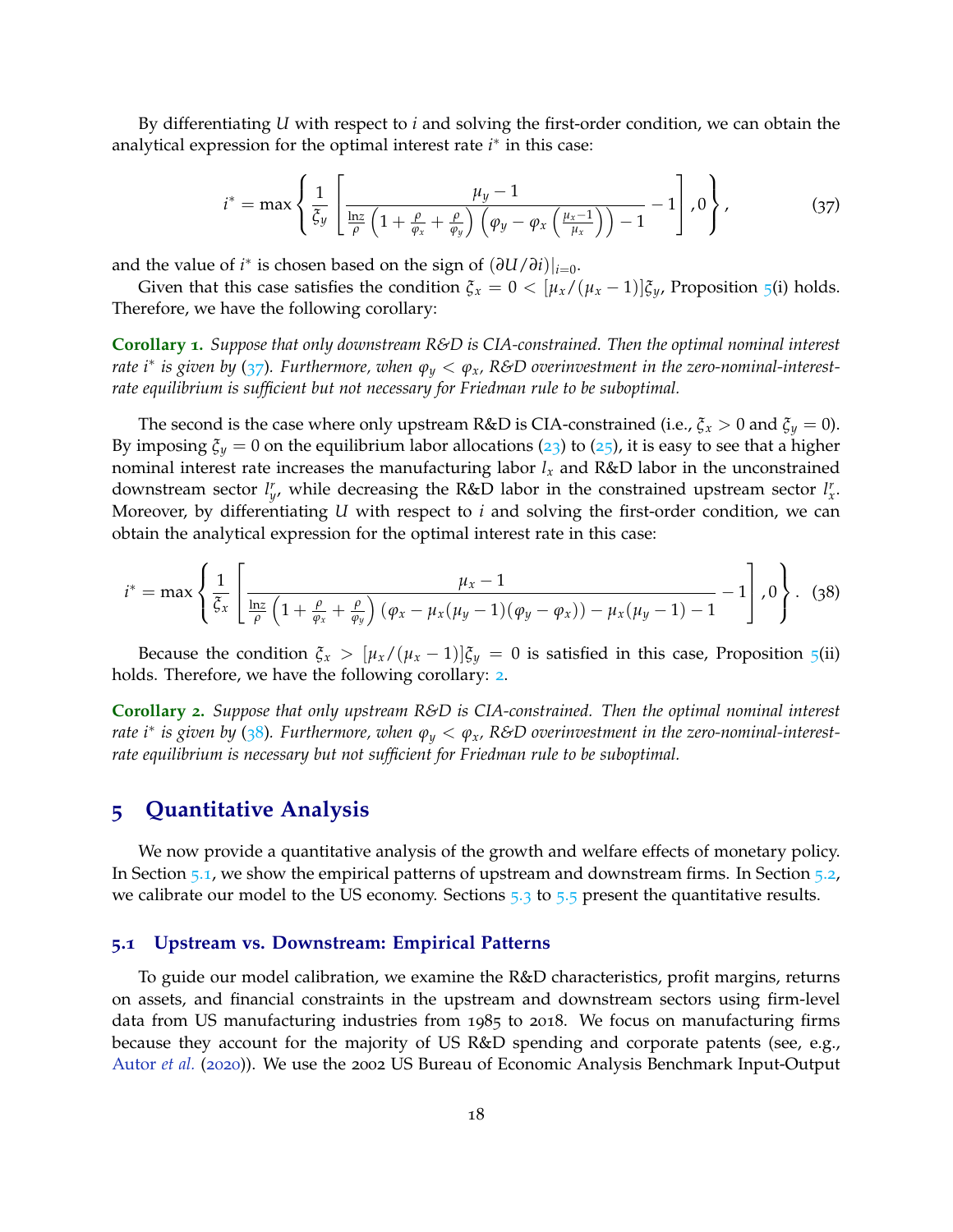By differentiating *U* with respect to *i* and solving the first-order condition, we can obtain the analytical expression for the optimal interest rate *i*<sup>∗</sup> in this case:

$$
i^* = \max\left\{\frac{1}{\xi_y}\left[\frac{\mu_y - 1}{\frac{\ln z}{\rho}\left(1 + \frac{\rho}{\varphi_x} + \frac{\rho}{\varphi_y}\right)\left(\varphi_y - \varphi_x\left(\frac{\mu_x - 1}{\mu_x}\right)\right) - 1} - 1\right], 0\right\},\tag{37}
$$

and the value of *i*<sup>\*</sup> is chosen based on the sign of  $(\partial U/\partial i)|_{i=0}$ .

Given that this case satisfies the condition  $\xi_x = 0 < [\mu_x/(\mu_x - 1)]\xi_y$ , Proposition 5(i) holds. Therefore, we have the following corollary:

**Corollary 1.** *Suppose that only downstream R&D is CIA-constrained. Then the optimal nominal interest rate i*<sup>∗</sup> *is given by* (37)*. Furthermore, when ϕ<sup>y</sup>* < *ϕx, R&D overinvestment in the zero-nominal-interestrate equilibrium is sufficient but not necessary for Friedman rule to be suboptimal.*

The second is the case where only upstream R&D is CIA-constrained (i.e.,  $\xi_x > 0$  and  $\xi_y = 0$ ). By imposing  $\xi_y = 0$  on the equilibrium labor allocations (23) to (25), it is easy to see that a higher nominal interest rate increases the manufacturing labor  $l_x$  and  $R\&D$  labor in the unconstrained downstream sector  $l_y^r$ , while decreasing the R&D labor in the constrained upstream sector  $l_x^r$ . Moreover, by differentiating *U* with respect to *i* and solving the first-order condition, we can obtain the analytical expression for the optimal interest rate in this case:

$$
i^* = \max\left\{\frac{1}{\xi_x}\left[\frac{\mu_x - 1}{\frac{\ln z}{\rho}\left(1 + \frac{\rho}{\varphi_x} + \frac{\rho}{\varphi_y}\right)(\varphi_x - \mu_x(\mu_y - 1)(\varphi_y - \varphi_x)) - \mu_x(\mu_y - 1) - 1} - 1\right], 0\right\}.
$$
 (38)

Because the condition  $\zeta_x > [\mu_x/(\mu_x - 1)]\zeta_y = 0$  is satisfied in this case, Proposition 5(ii) holds. Therefore, we have the following corollary: 2.

**Corollary 2.** *Suppose that only upstream R&D is CIA-constrained. Then the optimal nominal interest rate i*<sup>∗</sup> *is given by* (38)*. Furthermore, when ϕ<sup>y</sup>* < *ϕx, R&D overinvestment in the zero-nominal-interestrate equilibrium is necessary but not sufficient for Friedman rule to be suboptimal.*

## **5 Quantitative Analysis**

We now provide a quantitative analysis of the growth and welfare effects of monetary policy. In Section 5.1, we show the empirical patterns of upstream and downstream firms. In Section 5.2, we calibrate our model to the US economy. Sections  $5.3$  to  $5.5$  present the quantitative results.

#### **5.1 Upstream vs. Downstream: Empirical Patterns**

To guide our model calibration, we examine the R&D characteristics, profit margins, returns on assets, and financial constraints in the upstream and downstream sectors using firm-level data from US manufacturing industries from 1985 to 2018. We focus on manufacturing firms because they account for the majority of US R&D spending and corporate patents (see, e.g., Autor *et al.* (2020)). We use the 2002 US Bureau of Economic Analysis Benchmark Input-Output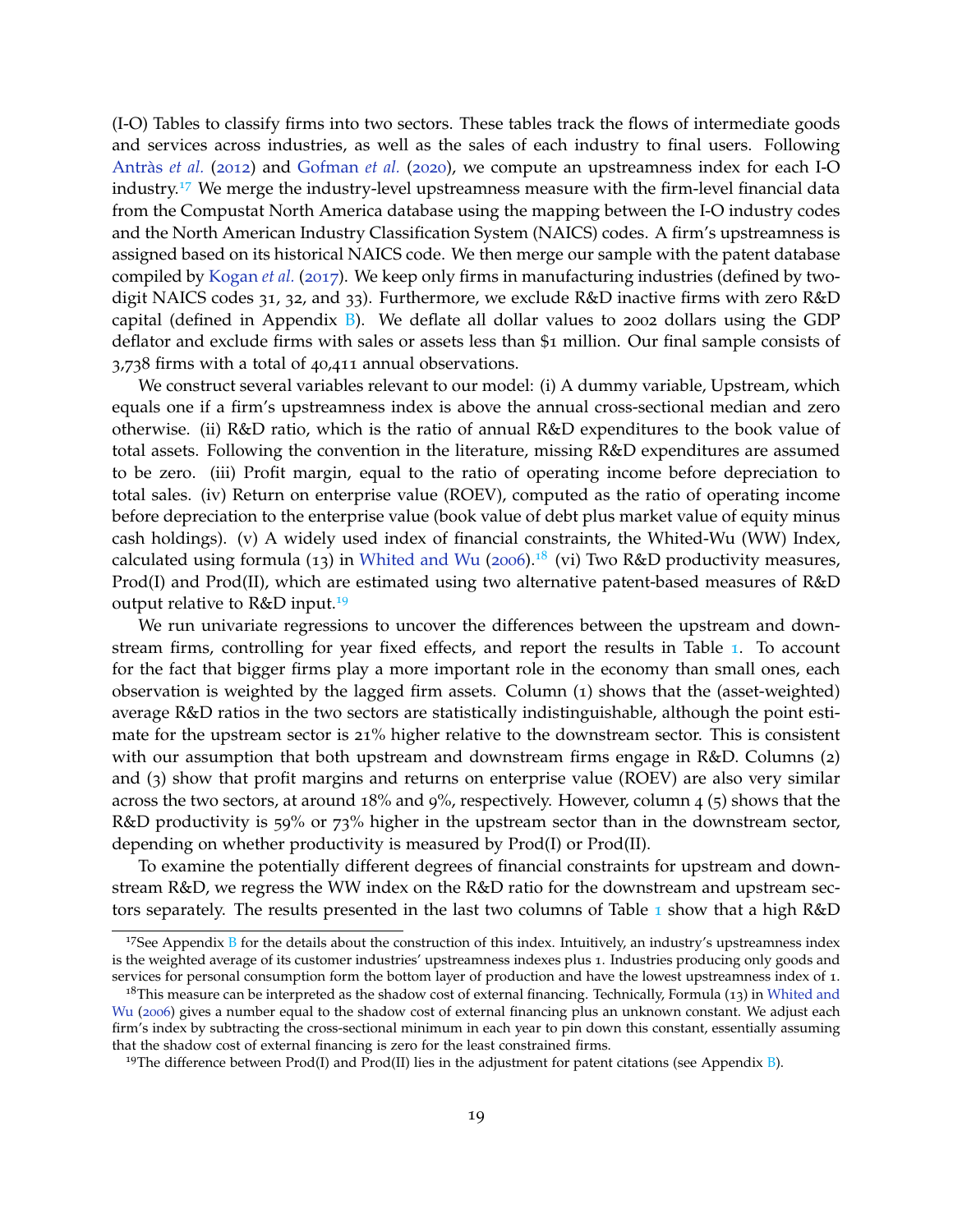(I-O) Tables to classify firms into two sectors. These tables track the flows of intermediate goods and services across industries, as well as the sales of each industry to final users. Following Antràs *et al.* (2012) and Gofman *et al.* (2020), we compute an upstreamness index for each I-O industry.<sup>17</sup> We merge the industry-level upstreamness measure with the firm-level financial data from the Compustat North America database using the mapping between the I-O industry codes and the North American Industry Classification System (NAICS) codes. A firm's upstreamness is assigned based on its historical NAICS code. We then merge our sample with the patent database compiled by Kogan *et al.* (2017). We keep only firms in manufacturing industries (defined by twodigit NAICS codes 31, 32, and 33). Furthermore, we exclude R&D inactive firms with zero R&D capital (defined in Appendix  $B$ ). We deflate all dollar values to 2002 dollars using the GDP deflator and exclude firms with sales or assets less than \$1 million. Our final sample consists of 3,738 firms with a total of 40,411 annual observations.

We construct several variables relevant to our model: (i) A dummy variable, Upstream, which equals one if a firm's upstreamness index is above the annual cross-sectional median and zero otherwise. (ii) R&D ratio, which is the ratio of annual R&D expenditures to the book value of total assets. Following the convention in the literature, missing R&D expenditures are assumed to be zero. (iii) Profit margin, equal to the ratio of operating income before depreciation to total sales. (iv) Return on enterprise value (ROEV), computed as the ratio of operating income before depreciation to the enterprise value (book value of debt plus market value of equity minus cash holdings). (v) A widely used index of financial constraints, the Whited-Wu (WW) Index, calculated using formula (13) in Whited and Wu (2006).<sup>18</sup> (vi) Two R&D productivity measures, Prod(I) and Prod(II), which are estimated using two alternative patent-based measures of R&D output relative to R&D input.<sup>19</sup>

We run univariate regressions to uncover the differences between the upstream and downstream firms, controlling for year fixed effects, and report the results in Table 1. To account for the fact that bigger firms play a more important role in the economy than small ones, each observation is weighted by the lagged firm assets. Column (1) shows that the (asset-weighted) average R&D ratios in the two sectors are statistically indistinguishable, although the point estimate for the upstream sector is 21% higher relative to the downstream sector. This is consistent with our assumption that both upstream and downstream firms engage in R&D. Columns (2) and (3) show that profit margins and returns on enterprise value (ROEV) are also very similar across the two sectors, at around 18% and 9%, respectively. However, column 4 (5) shows that the R&D productivity is 59% or 73% higher in the upstream sector than in the downstream sector, depending on whether productivity is measured by Prod(I) or Prod(II).

To examine the potentially different degrees of financial constraints for upstream and downstream R&D, we regress the WW index on the R&D ratio for the downstream and upstream sectors separately. The results presented in the last two columns of Table 1 show that a high R&D

 $17$ See Appendix B for the details about the construction of this index. Intuitively, an industry's upstreamness index is the weighted average of its customer industries' upstreamness indexes plus 1. Industries producing only goods and services for personal consumption form the bottom layer of production and have the lowest upstreamness index of 1.

<sup>&</sup>lt;sup>18</sup>This measure can be interpreted as the shadow cost of external financing. Technically, Formula (13) in Whited and Wu (2006) gives a number equal to the shadow cost of external financing plus an unknown constant. We adjust each firm's index by subtracting the cross-sectional minimum in each year to pin down this constant, essentially assuming that the shadow cost of external financing is zero for the least constrained firms.

<sup>&</sup>lt;sup>19</sup>The difference between Prod(I) and Prod(II) lies in the adjustment for patent citations (see Appendix B).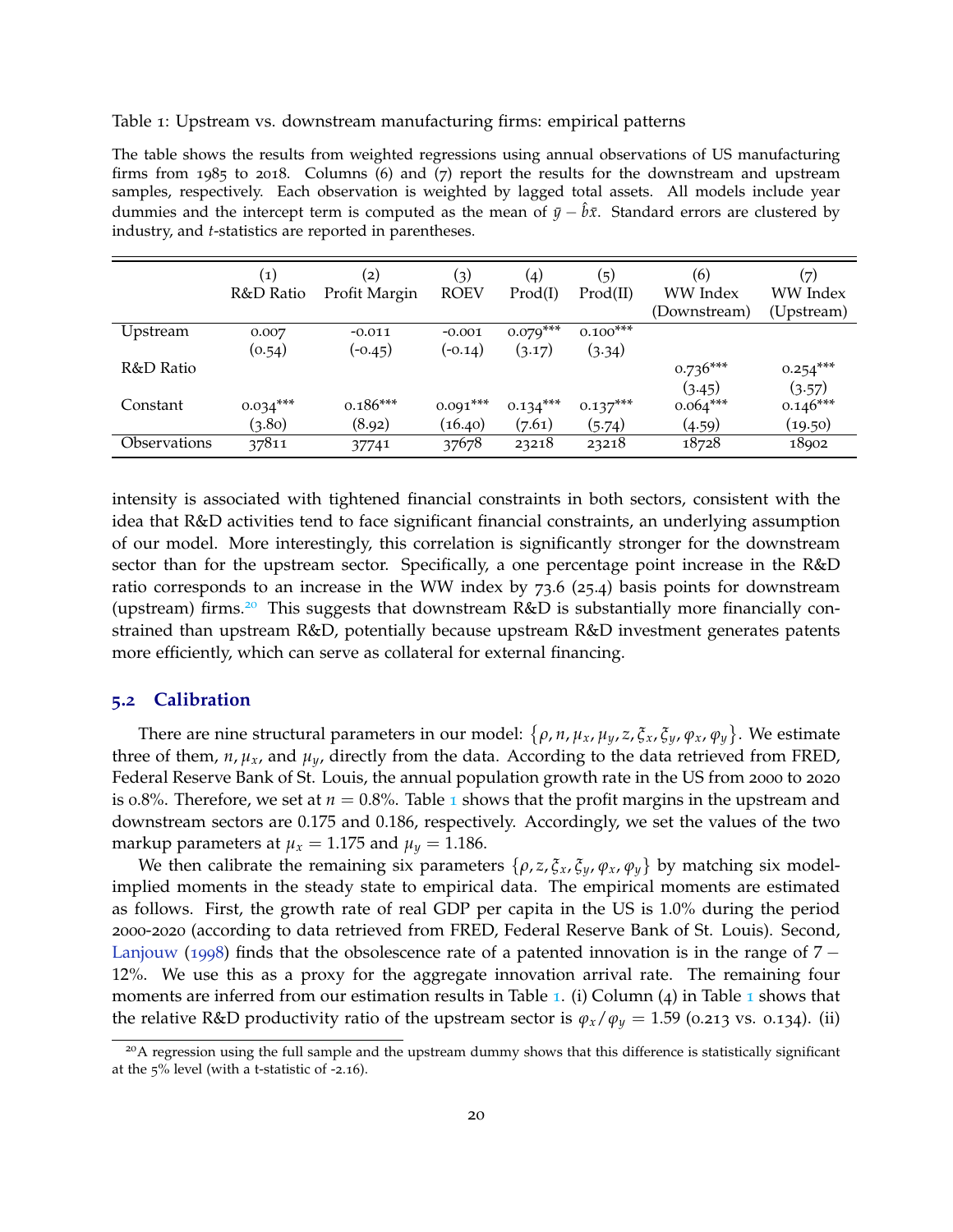Table 1: Upstream vs. downstream manufacturing firms: empirical patterns

The table shows the results from weighted regressions using annual observations of US manufacturing firms from 1985 to 2018. Columns (6) and (7) report the results for the downstream and upstream samples, respectively. Each observation is weighted by lagged total assets. All models include year dummies and the intercept term is computed as the mean of  $\bar{y}-b\bar{x}$ . Standard errors are clustered by industry, and *t*-statistics are reported in parentheses.

|                     | $\left( 1\right)$ | (2)           | $\left( 3\right)$ | (4)        | (5)        | (6)          | (7)        |
|---------------------|-------------------|---------------|-------------------|------------|------------|--------------|------------|
|                     | R&D Ratio         | Profit Margin | <b>ROEV</b>       | Prod(I)    | Prod(II)   | WW Index     | WW Index   |
|                     |                   |               |                   |            |            | (Downstream) | (Upstream) |
| Upstream            | 0.007             | $-0.011$      | $-0.001$          | $0.079***$ | $0.100***$ |              |            |
|                     | (0.54)            | $(-0.45)$     | $(-0.14)$         | (3.17)     | (3.34)     |              |            |
| R&D Ratio           |                   |               |                   |            |            | $0.736***$   | $0.254***$ |
|                     |                   |               |                   |            |            | (3.45)       | (3.57)     |
| Constant            | $0.034***$        | $0.186***$    | $0.091***$        | $0.134***$ | $0.137***$ | $0.064***$   | $0.146***$ |
|                     | (3.80)            | (8.92)        | (16.40)           | (7.61)     | (5.74)     | (4.59)       | (19.50)    |
| <b>Observations</b> | 37811             | 37741         | 37678             | 23218      | 23218      | 18728        | 18902      |

intensity is associated with tightened financial constraints in both sectors, consistent with the idea that R&D activities tend to face significant financial constraints, an underlying assumption of our model. More interestingly, this correlation is significantly stronger for the downstream sector than for the upstream sector. Specifically, a one percentage point increase in the R&D ratio corresponds to an increase in the WW index by 73.6 (25.4) basis points for downstream (upstream) firms.<sup>20</sup> This suggests that downstream  $R&D$  is substantially more financially constrained than upstream R&D, potentially because upstream R&D investment generates patents more efficiently, which can serve as collateral for external financing.

#### **5.2 Calibration**

There are nine structural parameters in our model: *ρ*, *n*, *µx*, *µy*, *z*, *ξx*, *ξy*, *ϕx*, *ϕ<sup>y</sup>* . We estimate three of them,  $n, \mu_x$ , and  $\mu_y$ , directly from the data. According to the data retrieved from FRED, Federal Reserve Bank of St. Louis, the annual population growth rate in the US from 2000 to 2020 is 0.8%. Therefore, we set at  $n = 0.8$ %. Table 1 shows that the profit margins in the upstream and downstream sectors are 0.175 and 0.186, respectively. Accordingly, we set the values of the two markup parameters at  $\mu_x = 1.175$  and  $\mu_y = 1.186$ .

We then calibrate the remaining six parameters  $\{\rho, z, \xi_x, \xi_y, \varphi_x, \varphi_y\}$  by matching six modelimplied moments in the steady state to empirical data. The empirical moments are estimated as follows. First, the growth rate of real GDP per capita in the US is 1.0% during the period 2000-2020 (according to data retrieved from FRED, Federal Reserve Bank of St. Louis). Second, Lanjouw (1998) finds that the obsolescence rate of a patented innovation is in the range of 7 − 12%. We use this as a proxy for the aggregate innovation arrival rate. The remaining four moments are inferred from our estimation results in Table 1. (i) Column  $(4)$  in Table 1 shows that the relative R&D productivity ratio of the upstream sector is  $\varphi_x/\varphi_y = 1.59$  (0.213 vs. 0.134). (ii)

<sup>&</sup>lt;sup>20</sup>A regression using the full sample and the upstream dummy shows that this difference is statistically significant at the 5% level (with a t-statistic of -2.16).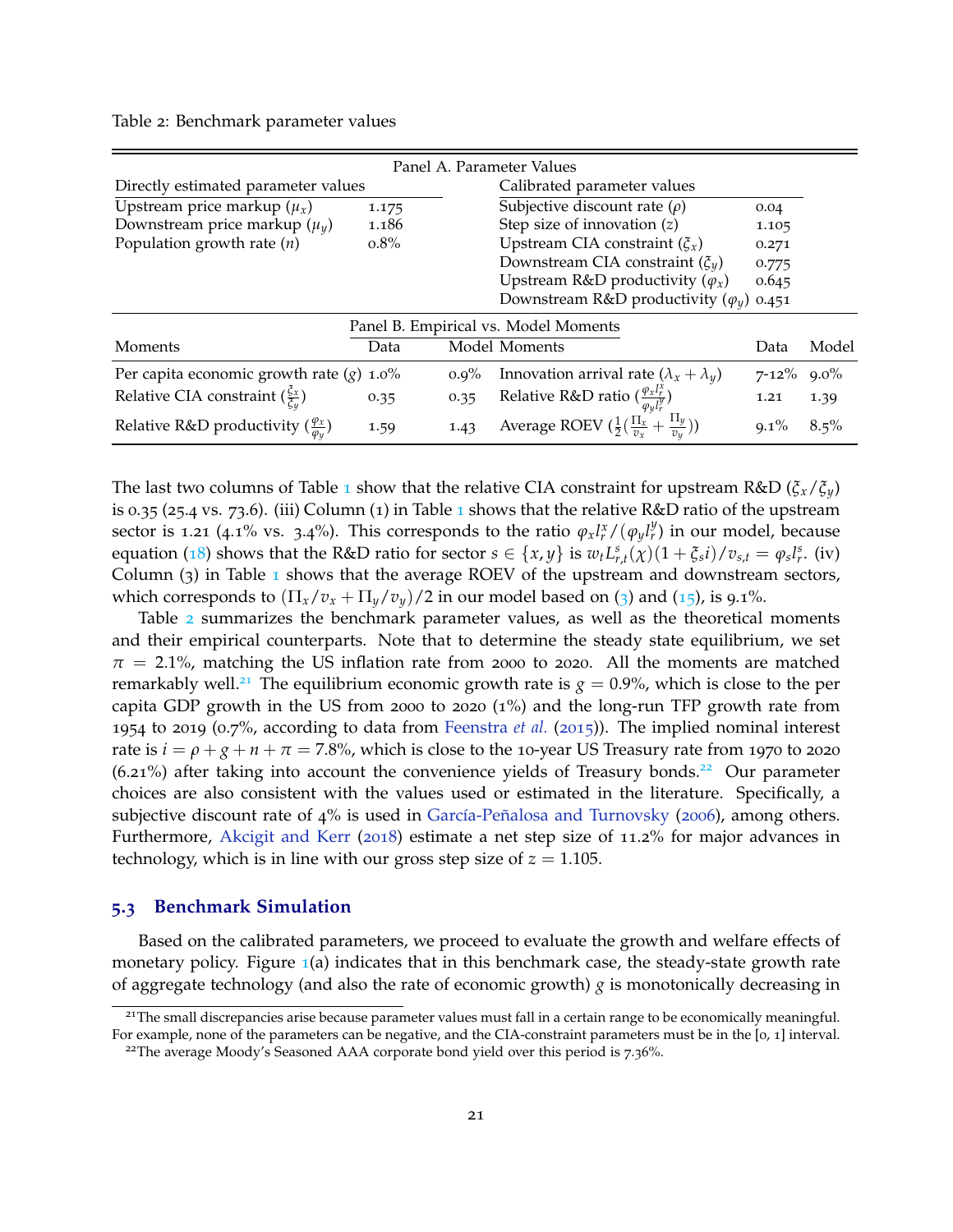Table 2: Benchmark parameter values

| Panel A. Parameter Values                                |                             |         |                                                                     |            |         |  |  |  |  |  |  |  |
|----------------------------------------------------------|-----------------------------|---------|---------------------------------------------------------------------|------------|---------|--|--|--|--|--|--|--|
| Directly estimated parameter values                      | Calibrated parameter values |         |                                                                     |            |         |  |  |  |  |  |  |  |
| Upstream price markup $(\mu_x)$                          | 1.175                       |         | Subjective discount rate $(\rho)$                                   | 0.04       |         |  |  |  |  |  |  |  |
| Downstream price markup $(\mu_y)$                        | 1.186                       |         | Step size of innovation $(z)$                                       | 1.105      |         |  |  |  |  |  |  |  |
| Population growth rate $(n)$                             | $0.8\%$                     |         | Upstream CIA constraint $(\xi_x)$                                   | 0.271      |         |  |  |  |  |  |  |  |
|                                                          |                             |         | Downstream CIA constraint $(\xi_u)$                                 | 0.775      |         |  |  |  |  |  |  |  |
|                                                          |                             |         | Upstream R&D productivity $(\varphi_x)$                             | 0.645      |         |  |  |  |  |  |  |  |
|                                                          |                             |         | Downstream R&D productivity $(\varphi_u)$                           | 0.451      |         |  |  |  |  |  |  |  |
| Panel B. Empirical vs. Model Moments                     |                             |         |                                                                     |            |         |  |  |  |  |  |  |  |
| Moments                                                  | Data                        |         | Model Moments                                                       | Data       | Model   |  |  |  |  |  |  |  |
| Per capita economic growth rate $(g)$ 1.0%               |                             | $0.9\%$ | Innovation arrival rate $(\lambda_x + \lambda_y)$                   | $7 - 12\%$ | $9.0\%$ |  |  |  |  |  |  |  |
| Relative CIA constraint $(\frac{\zeta_x}{\zeta_y})$      | 0.35                        | 0.35    | Relative R&D ratio $(\frac{\varphi_{x}l_{r}^{\lambda}}{a}$          | 1.21       | 1.39    |  |  |  |  |  |  |  |
| Relative R&D productivity $(\frac{\varphi_x}{\omega_y})$ | 1.59                        | 1.43    | Average ROEV $(\frac{1}{2}(\frac{\Pi_x}{v_x} + \frac{\Pi_y}{v_y}))$ | $9.1\%$    | $8.5\%$ |  |  |  |  |  |  |  |

The last two columns of Table 1 show that the relative CIA constraint for upstream R&D ( $\xi_x/\xi_y$ ) is 0.35 (25.4 vs. 73.6). (iii) Column (1) in Table 1 shows that the relative R&D ratio of the upstream sector is 1.21 (4.1% vs. 3.4%). This corresponds to the ratio  $\varphi_x l^x_r/(\varphi_y l^y_r)$  in our model, because equation (18) shows that the R&D ratio for sector  $s \in \{x,y\}$  is  $w_t L_{r,t}^s(\chi)(1+\xi_s i)/v_{s,t} = \varphi_s l_r^s$ . (iv) Column  $(3)$  in Table 1 shows that the average ROEV of the upstream and downstream sectors, which corresponds to  $(\Pi_x/v_x + \Pi_y/v_y)/2$  in our model based on (3) and (15), is 9.1%.

Table 2 summarizes the benchmark parameter values, as well as the theoretical moments and their empirical counterparts. Note that to determine the steady state equilibrium, we set  $\pi$  = 2.1%, matching the US inflation rate from 2000 to 2020. All the moments are matched remarkably well.<sup>21</sup> The equilibrium economic growth rate is  $g = 0.9\%$ , which is close to the per capita GDP growth in the US from 2000 to 2020 (1%) and the long-run TFP growth rate from 1954 to 2019 (0.7%, according to data from Feenstra *et al.* (2015)). The implied nominal interest rate is  $i = \rho + g + n + \pi = 7.8\%$ , which is close to the 10-year US Treasury rate from 1970 to 2020  $(6.21\%)$  after taking into account the convenience yields of Treasury bonds.<sup>22</sup> Our parameter choices are also consistent with the values used or estimated in the literature. Specifically, a subjective discount rate of 4% is used in García-Peñalosa and Turnovsky (2006), among others. Furthermore, Akcigit and Kerr (2018) estimate a net step size of 11.2% for major advances in technology, which is in line with our gross step size of  $z = 1.105$ .

#### **5.3 Benchmark Simulation**

Based on the calibrated parameters, we proceed to evaluate the growth and welfare effects of monetary policy. Figure  $\mathbb{1}(a)$  indicates that in this benchmark case, the steady-state growth rate of aggregate technology (and also the rate of economic growth)  $g$  is monotonically decreasing in

<sup>&</sup>lt;sup>21</sup>The small discrepancies arise because parameter values must fall in a certain range to be economically meaningful. For example, none of the parameters can be negative, and the CIA-constraint parameters must be in the [0, 1] interval.

<sup>&</sup>lt;sup>22</sup>The average Moody's Seasoned AAA corporate bond yield over this period is 7.36%.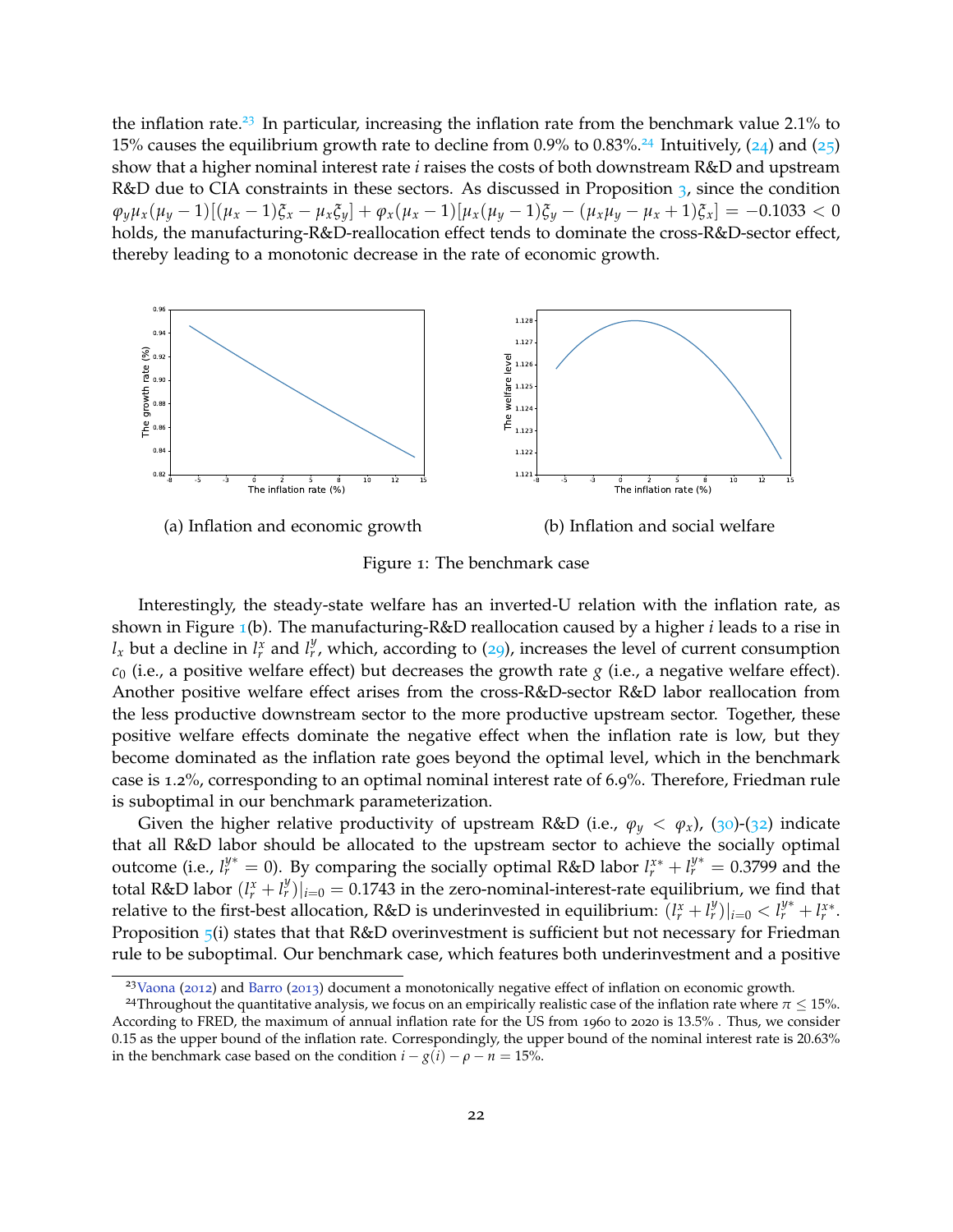the inflation rate.<sup>23</sup> In particular, increasing the inflation rate from the benchmark value  $2.1\%$  to 15% causes the equilibrium growth rate to decline from 0.9% to 0.83%.<sup>24</sup> Intuitively, (24) and (25) show that a higher nominal interest rate *i* raises the costs of both downstream R&D and upstream R&D due to CIA constraints in these sectors. As discussed in Proposition 3, since the condition  $\varphi_y \mu_x (\mu_y - 1) [(\mu_x - 1) \xi_x - \mu_x \xi_y] + \varphi_x (\mu_x - 1) [\mu_x (\mu_y - 1) \xi_y - (\mu_x \mu_y - \mu_x + 1) \xi_x] = -0.1033 < 0$ holds, the manufacturing-R&D-reallocation effect tends to dominate the cross-R&D-sector effect, thereby leading to a monotonic decrease in the rate of economic growth.



Figure 1: The benchmark case

Interestingly, the steady-state welfare has an inverted-U relation with the inflation rate, as shown in Figure 1(b). The manufacturing-R&D reallocation caused by a higher *i* leads to a rise in  $l_x$  but a decline in  $l_r^x$  and  $l_r^y$ , which, according to (29), increases the level of current consumption  $c_0$  (i.e., a positive welfare effect) but decreases the growth rate  $g$  (i.e., a negative welfare effect). Another positive welfare effect arises from the cross-R&D-sector R&D labor reallocation from the less productive downstream sector to the more productive upstream sector. Together, these positive welfare effects dominate the negative effect when the inflation rate is low, but they become dominated as the inflation rate goes beyond the optimal level, which in the benchmark case is 1.2%, corresponding to an optimal nominal interest rate of 6.9%. Therefore, Friedman rule is suboptimal in our benchmark parameterization.

Given the higher relative productivity of upstream R&D (i.e.,  $\varphi_y < \varphi_x$ ), (30)-(32) indicate that all R&D labor should be allocated to the upstream sector to achieve the socially optimal outcome (i.e.,  $l_r^{y*} = 0$ ). By comparing the socially optimal R&D labor  $l_r^{x*} + l_r^{y*} = 0.3799$  and the total R&D labor  $(l_r^x + l_r^y)|_{i=0} = 0.1743$  in the zero-nominal-interest-rate equilibrium, we find that relative to the first-best allocation, R&D is underinvested in equilibrium:  $(l_r^x + l_r^y)|_{i=0} < l_r^{y*} + l_r^{x*}$ . Proposition 5(i) states that that R&D overinvestment is sufficient but not necessary for Friedman rule to be suboptimal. Our benchmark case, which features both underinvestment and a positive

 $23V<sub>4</sub>$  and Barro (2013) document a monotonically negative effect of inflation on economic growth.

<sup>&</sup>lt;sup>24</sup>Throughout the quantitative analysis, we focus on an empirically realistic case of the inflation rate where  $\pi \leq 15$ %. According to FRED, the maximum of annual inflation rate for the US from 1960 to 2020 is 13.5% . Thus, we consider 0.15 as the upper bound of the inflation rate. Correspondingly, the upper bound of the nominal interest rate is 20.63% in the benchmark case based on the condition  $i - g(i) - \rho - n = 15$ %.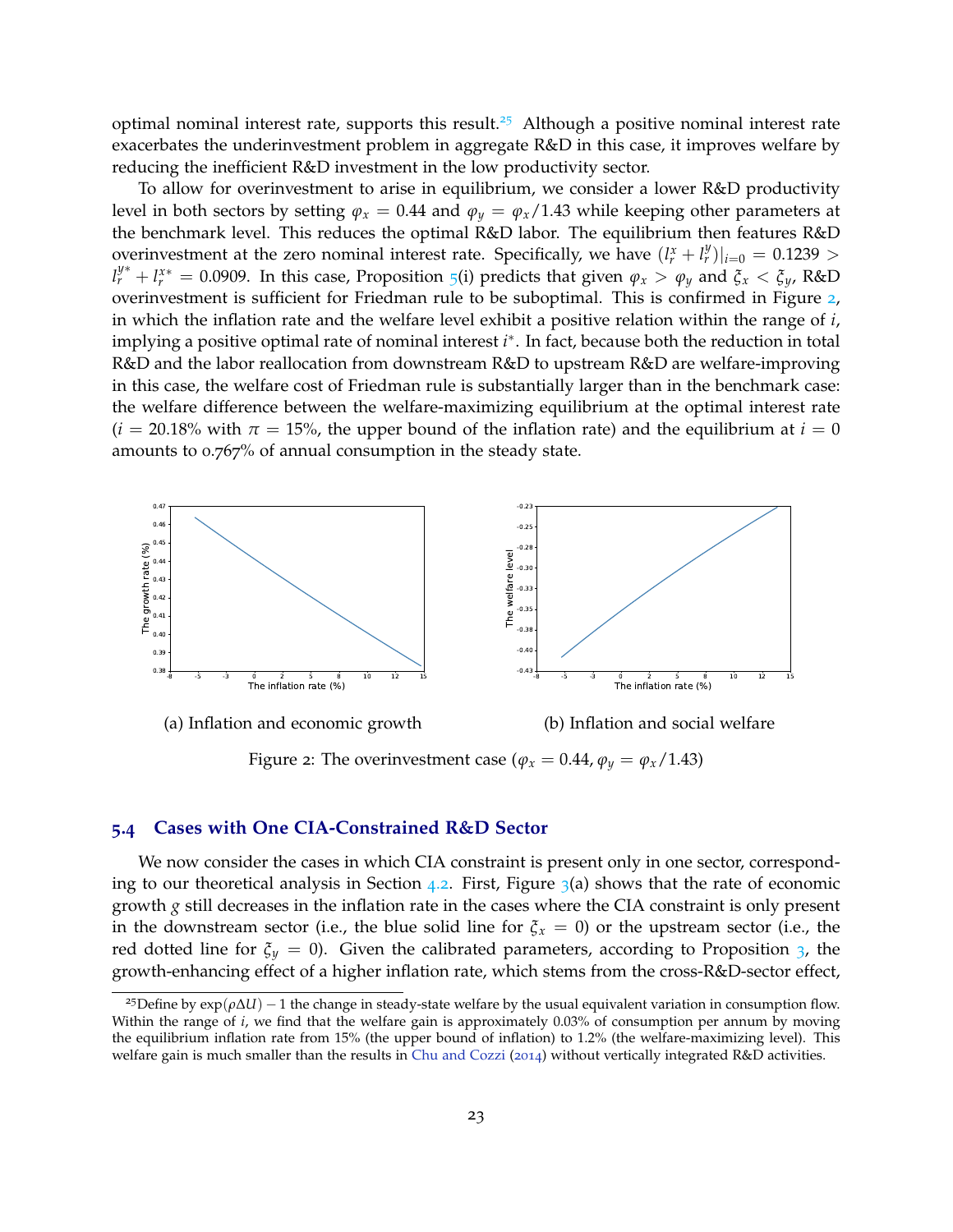optimal nominal interest rate, supports this result.<sup>25</sup> Although a positive nominal interest rate exacerbates the underinvestment problem in aggregate R&D in this case, it improves welfare by reducing the inefficient R&D investment in the low productivity sector.

To allow for overinvestment to arise in equilibrium, we consider a lower R&D productivity level in both sectors by setting  $\varphi_x = 0.44$  and  $\varphi_y = \varphi_x/1.43$  while keeping other parameters at the benchmark level. This reduces the optimal R&D labor. The equilibrium then features R&D overinvestment at the zero nominal interest rate. Specifically, we have  $(l_r^x + l_r^y)|_{i=0} = 0.1239 >$  $l_r^{y*} + l_r^{x*} = 0.0909$ . In this case, Proposition 5(i) predicts that given  $\varphi_x > \varphi_y$  and  $\zeta_x < \zeta_y$ , R&D overinvestment is sufficient for Friedman rule to be suboptimal. This is confirmed in Figure 2, in which the inflation rate and the welfare level exhibit a positive relation within the range of *i*, implying a positive optimal rate of nominal interest *i* ∗ . In fact, because both the reduction in total R&D and the labor reallocation from downstream R&D to upstream R&D are welfare-improving in this case, the welfare cost of Friedman rule is substantially larger than in the benchmark case: the welfare difference between the welfare-maximizing equilibrium at the optimal interest rate  $(i = 20.18\%$  with  $\pi = 15\%$ , the upper bound of the inflation rate) and the equilibrium at  $i = 0$ amounts to 0.767% of annual consumption in the steady state.



(a) Inflation and economic growth (b) Inflation and social welfare

Figure 2: The overinvestment case ( $\varphi_x = 0.44$ ,  $\varphi_y = \varphi_x/1.43$ )

#### **5.4 Cases with One CIA-Constrained R&D Sector**

We now consider the cases in which CIA constraint is present only in one sector, corresponding to our theoretical analysis in Section 4.2. First, Figure  $\frac{1}{3}$ (a) shows that the rate of economic growth *g* still decreases in the inflation rate in the cases where the CIA constraint is only present in the downstream sector (i.e., the blue solid line for  $\xi_x = 0$ ) or the upstream sector (i.e., the red dotted line for  $\xi_y = 0$ ). Given the calibrated parameters, according to Proposition 3, the growth-enhancing effect of a higher inflation rate, which stems from the cross-R&D-sector effect,

<sup>&</sup>lt;sup>25</sup>Define by  $exp(\rho \Delta U) - 1$  the change in steady-state welfare by the usual equivalent variation in consumption flow. Within the range of *i*, we find that the welfare gain is approximately 0.03% of consumption per annum by moving the equilibrium inflation rate from 15% (the upper bound of inflation) to 1.2% (the welfare-maximizing level). This welfare gain is much smaller than the results in Chu and Cozzi (2014) without vertically integrated R&D activities.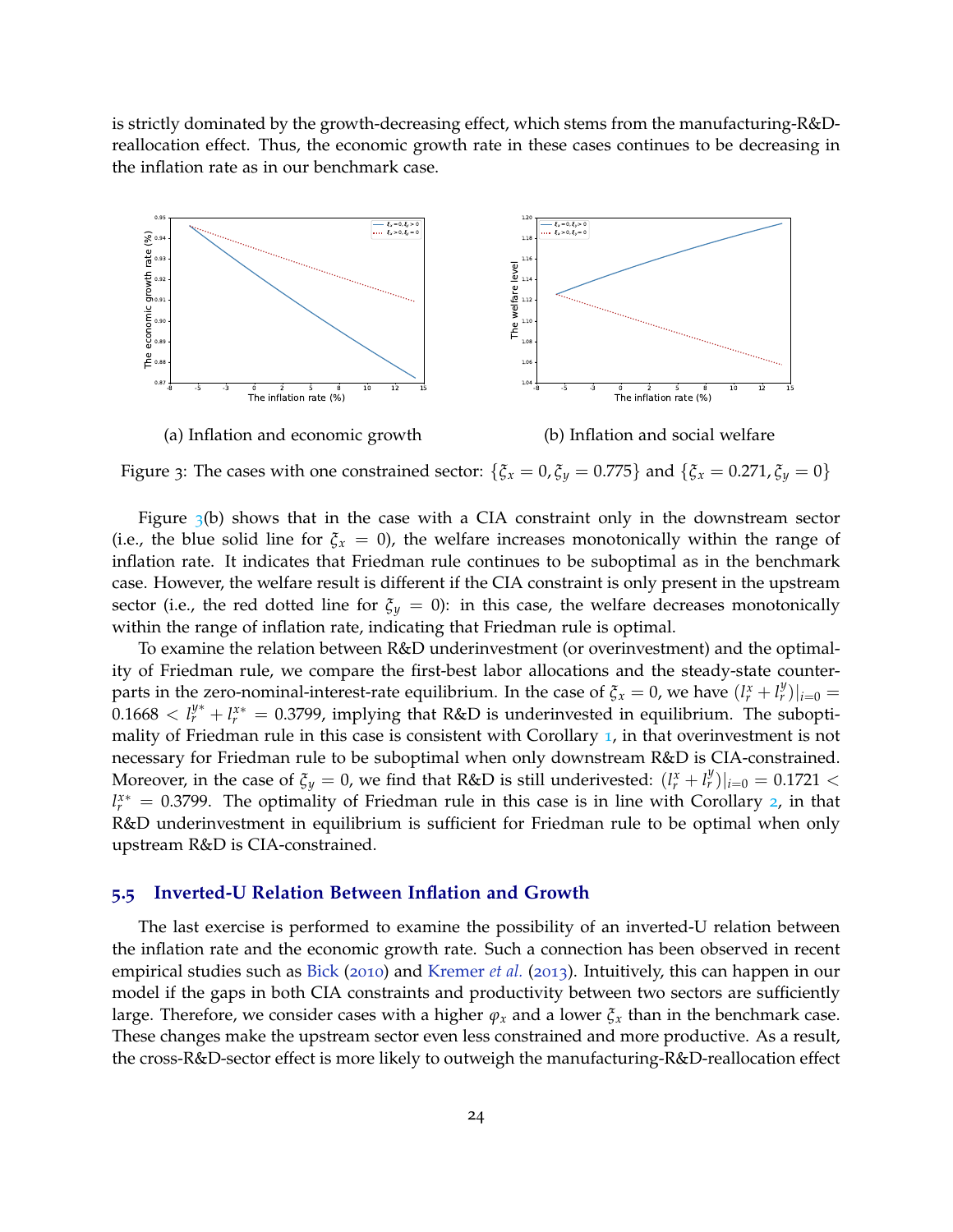is strictly dominated by the growth-decreasing effect, which stems from the manufacturing-R&Dreallocation effect. Thus, the economic growth rate in these cases continues to be decreasing in the inflation rate as in our benchmark case.



Figure 3: The cases with one constrained sector:  $\{\xi_x = 0, \xi_y = 0.775\}$  and  $\{\xi_x = 0.271, \xi_y = 0\}$ 

Figure  $\beta$ (b) shows that in the case with a CIA constraint only in the downstream sector (i.e., the blue solid line for  $\zeta$ <sub>*x*</sub> = 0), the welfare increases monotonically within the range of inflation rate. It indicates that Friedman rule continues to be suboptimal as in the benchmark case. However, the welfare result is different if the CIA constraint is only present in the upstream sector (i.e., the red dotted line for  $\xi_y = 0$ ): in this case, the welfare decreases monotonically within the range of inflation rate, indicating that Friedman rule is optimal.

To examine the relation between R&D underinvestment (or overinvestment) and the optimality of Friedman rule, we compare the first-best labor allocations and the steady-state counterparts in the zero-nominal-interest-rate equilibrium. In the case of  $\zeta_x = 0$ , we have  $(l^x_r + l^y_r)|_{i=0}$  $0.1668 < l_r^{\mathcal{Y}^*} + l_r^{\mathcal{X}^*} = 0.3799$ , implying that R&D is underinvested in equilibrium. The suboptimality of Friedman rule in this case is consistent with Corollary 1, in that overinvestment is not necessary for Friedman rule to be suboptimal when only downstream R&D is CIA-constrained. Moreover, in the case of  $\zeta_y = 0$ , we find that R&D is still underivested:  $(l_r^x + l_r^y)|_{i=0} = 0.1721$  < *l*<sup>*x*∗</sup> = 0.3799. The optimality of Friedman rule in this case is in line with Corollary 2, in that R&D underinvestment in equilibrium is sufficient for Friedman rule to be optimal when only upstream R&D is CIA-constrained.

#### **5.5 Inverted-U Relation Between Inflation and Growth**

The last exercise is performed to examine the possibility of an inverted-U relation between the inflation rate and the economic growth rate. Such a connection has been observed in recent empirical studies such as Bick (2010) and Kremer *et al.* (2013). Intuitively, this can happen in our model if the gaps in both CIA constraints and productivity between two sectors are sufficiently large. Therefore, we consider cases with a higher  $\varphi_x$  and a lower  $\zeta_x$  than in the benchmark case. These changes make the upstream sector even less constrained and more productive. As a result, the cross-R&D-sector effect is more likely to outweigh the manufacturing-R&D-reallocation effect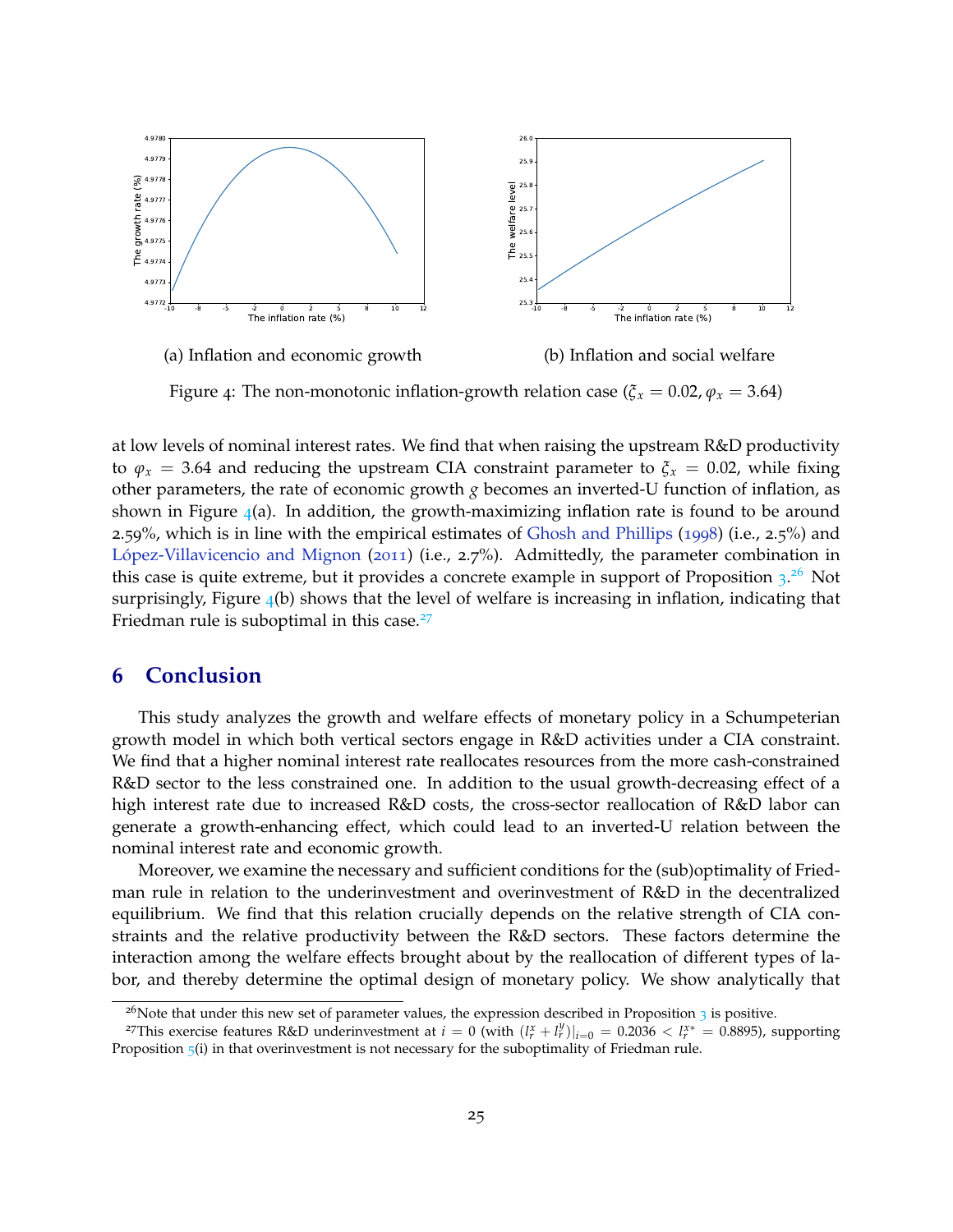

Figure 4: The non-monotonic inflation-growth relation case ( $\zeta_x = 0.02$ ,  $\varphi_x = 3.64$ )

at low levels of nominal interest rates. We find that when raising the upstream R&D productivity to  $\varphi_x = 3.64$  and reducing the upstream CIA constraint parameter to  $\xi_x = 0.02$ , while fixing other parameters, the rate of economic growth *g* becomes an inverted-U function of inflation, as shown in Figure  $4(a)$ . In addition, the growth-maximizing inflation rate is found to be around 2.59%, which is in line with the empirical estimates of Ghosh and Phillips (1998) (i.e., 2.5%) and López-Villavicencio and Mignon (2011) (i.e., 2.7%). Admittedly, the parameter combination in this case is quite extreme, but it provides a concrete example in support of Proposition  $3.^{26}$  Not surprisingly, Figure  $_4$ (b) shows that the level of welfare is increasing in inflation, indicating that Friedman rule is suboptimal in this case. $27$ 

## **6 Conclusion**

This study analyzes the growth and welfare effects of monetary policy in a Schumpeterian growth model in which both vertical sectors engage in R&D activities under a CIA constraint. We find that a higher nominal interest rate reallocates resources from the more cash-constrained R&D sector to the less constrained one. In addition to the usual growth-decreasing effect of a high interest rate due to increased R&D costs, the cross-sector reallocation of R&D labor can generate a growth-enhancing effect, which could lead to an inverted-U relation between the nominal interest rate and economic growth.

Moreover, we examine the necessary and sufficient conditions for the (sub)optimality of Friedman rule in relation to the underinvestment and overinvestment of R&D in the decentralized equilibrium. We find that this relation crucially depends on the relative strength of CIA constraints and the relative productivity between the R&D sectors. These factors determine the interaction among the welfare effects brought about by the reallocation of different types of labor, and thereby determine the optimal design of monetary policy. We show analytically that

<sup>&</sup>lt;sup>26</sup>Note that under this new set of parameter values, the expression described in Proposition  $3$  is positive.

<sup>&</sup>lt;sup>27</sup>This exercise features R&D underinvestment at  $i = 0$  (with  $(l_r^x + l_r^y)|_{i=0} = 0.2036 < l_r^{x*} = 0.8895$ ), supporting Proposition  $5(i)$  in that overinvestment is not necessary for the suboptimality of Friedman rule.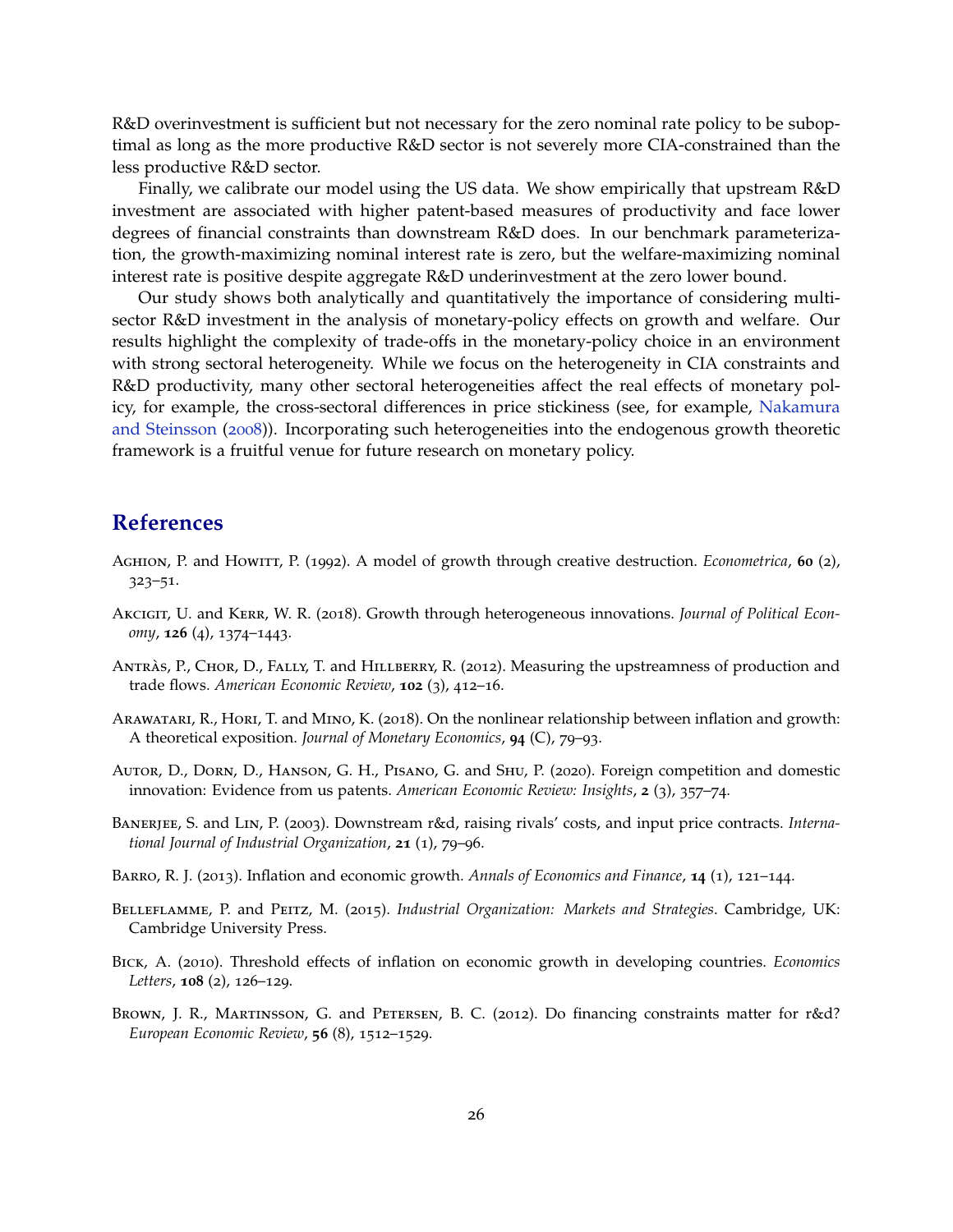R&D overinvestment is sufficient but not necessary for the zero nominal rate policy to be suboptimal as long as the more productive R&D sector is not severely more CIA-constrained than the less productive R&D sector.

Finally, we calibrate our model using the US data. We show empirically that upstream R&D investment are associated with higher patent-based measures of productivity and face lower degrees of financial constraints than downstream R&D does. In our benchmark parameterization, the growth-maximizing nominal interest rate is zero, but the welfare-maximizing nominal interest rate is positive despite aggregate R&D underinvestment at the zero lower bound.

Our study shows both analytically and quantitatively the importance of considering multisector R&D investment in the analysis of monetary-policy effects on growth and welfare. Our results highlight the complexity of trade-offs in the monetary-policy choice in an environment with strong sectoral heterogeneity. While we focus on the heterogeneity in CIA constraints and R&D productivity, many other sectoral heterogeneities affect the real effects of monetary policy, for example, the cross-sectoral differences in price stickiness (see, for example, Nakamura and Steinsson (2008)). Incorporating such heterogeneities into the endogenous growth theoretic framework is a fruitful venue for future research on monetary policy.

## **References**

- Aghion, P. and Howitt, P. (1992). A model of growth through creative destruction. *Econometrica*, **60** (2), 323–51.
- Akcigit, U. and Kerr, W. R. (2018). Growth through heterogeneous innovations. *Journal of Political Economy*, **126** (4), 1374–1443.
- ANTRÀS, P., CHOR, D., FALLY, T. and HILLBERRY, R. (2012). Measuring the upstreamness of production and trade flows. *American Economic Review*, **102** (3), 412–16.
- Arawatari, R., Hori, T. and Mino, K. (2018). On the nonlinear relationship between inflation and growth: A theoretical exposition. *Journal of Monetary Economics*, **94** (C), 79–93.
- Autor, D., Dorn, D., Hanson, G. H., Pisano, G. and Shu, P. (2020). Foreign competition and domestic innovation: Evidence from us patents. *American Economic Review: Insights*, **2** (3), 357–74.
- Banerjee, S. and Lin, P. (2003). Downstream r&d, raising rivals' costs, and input price contracts. *International Journal of Industrial Organization*, **21** (1), 79–96.
- Barro, R. J. (2013). Inflation and economic growth. *Annals of Economics and Finance*, **14** (1), 121–144.
- Belleflamme, P. and Peitz, M. (2015). *Industrial Organization: Markets and Strategies*. Cambridge, UK: Cambridge University Press.
- Bick, A. (2010). Threshold effects of inflation on economic growth in developing countries. *Economics Letters*, **108** (2), 126–129.
- Brown, J. R., Martinsson, G. and Petersen, B. C. (2012). Do financing constraints matter for r&d? *European Economic Review*, **56** (8), 1512–1529.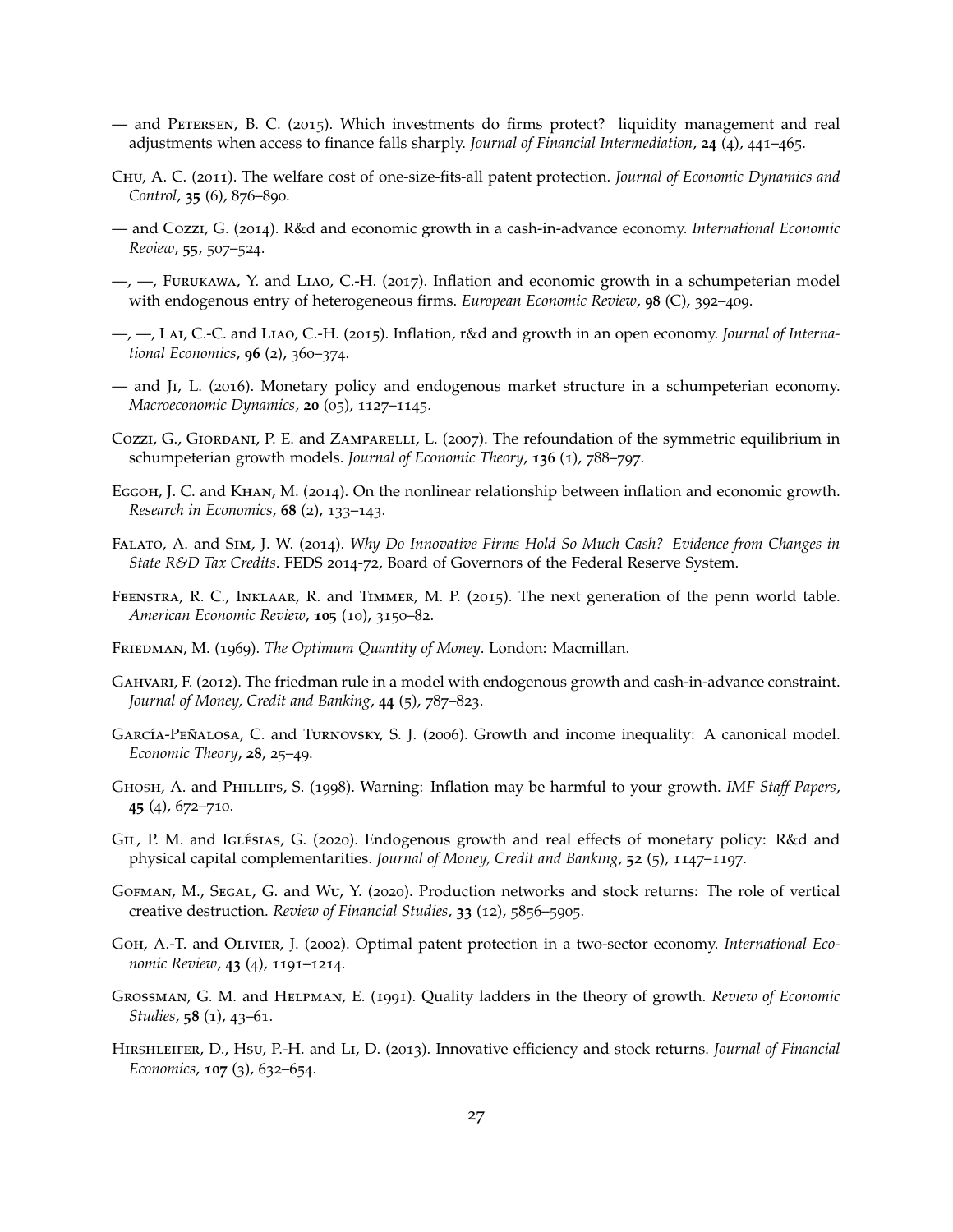- and Petersen, B. C. (2015). Which investments do firms protect? liquidity management and real adjustments when access to finance falls sharply. *Journal of Financial Intermediation*, **24** (4), 441–465.
- Chu, A. C. (2011). The welfare cost of one-size-fits-all patent protection. *Journal of Economic Dynamics and Control*, **35** (6), 876–890.
- and Cozzi, G. (2014). R&d and economic growth in a cash-in-advance economy. *International Economic Review*, **55**, 507–524.
- —, —, Furukawa, Y. and Liao, C.-H. (2017). Inflation and economic growth in a schumpeterian model with endogenous entry of heterogeneous firms. *European Economic Review*, **98** (C), 392–409.
- —, —, Lai, C.-C. and Liao, C.-H. (2015). Inflation, r&d and growth in an open economy. *Journal of International Economics*, **96** (2), 360–374.
- and Ji, L. (2016). Monetary policy and endogenous market structure in a schumpeterian economy. *Macroeconomic Dynamics*, **20** (05), 1127–1145.
- Cozzi, G., Giordani, P. E. and Zamparelli, L. (2007). The refoundation of the symmetric equilibrium in schumpeterian growth models. *Journal of Economic Theory*, **136** (1), 788–797.
- Eggoh, J. C. and Khan, M. (2014). On the nonlinear relationship between inflation and economic growth. *Research in Economics*, **68** (2), 133–143.
- Falato, A. and Sim, J. W. (2014). *Why Do Innovative Firms Hold So Much Cash? Evidence from Changes in State R&D Tax Credits*. FEDS 2014-72, Board of Governors of the Federal Reserve System.
- Feenstra, R. C., Inklaar, R. and Timmer, M. P. (2015). The next generation of the penn world table. *American Economic Review*, **105** (10), 3150–82.
- Friedman, M. (1969). *The Optimum Quantity of Money*. London: Macmillan.
- GAHVARI, F. (2012). The friedman rule in a model with endogenous growth and cash-in-advance constraint. *Journal of Money, Credit and Banking*, **44** (5), 787–823.
- García-Peñalosa, C. and Turnovsky, S. J. (2006). Growth and income inequality: A canonical model. *Economic Theory*, **28**, 25–49.
- Ghosh, A. and Phillips, S. (1998). Warning: Inflation may be harmful to your growth. *IMF Staff Papers*, **45** (4), 672–710.
- GIL, P. M. and IGLÉSIAS, G. (2020). Endogenous growth and real effects of monetary policy: R&d and physical capital complementarities. *Journal of Money, Credit and Banking*, **52** (5), 1147–1197.
- Gofman, M., Segal, G. and Wu, Y. (2020). Production networks and stock returns: The role of vertical creative destruction. *Review of Financial Studies*, **33** (12), 5856–5905.
- Goh, A.-T. and Olivier, J. (2002). Optimal patent protection in a two-sector economy. *International Economic Review*, **43** (4), 1191–1214.
- Grossman, G. M. and Helpman, E. (1991). Quality ladders in the theory of growth. *Review of Economic Studies*, **58** (1), 43–61.
- Hirshleifer, D., Hsu, P.-H. and Li, D. (2013). Innovative efficiency and stock returns. *Journal of Financial Economics*, **107** (3), 632–654.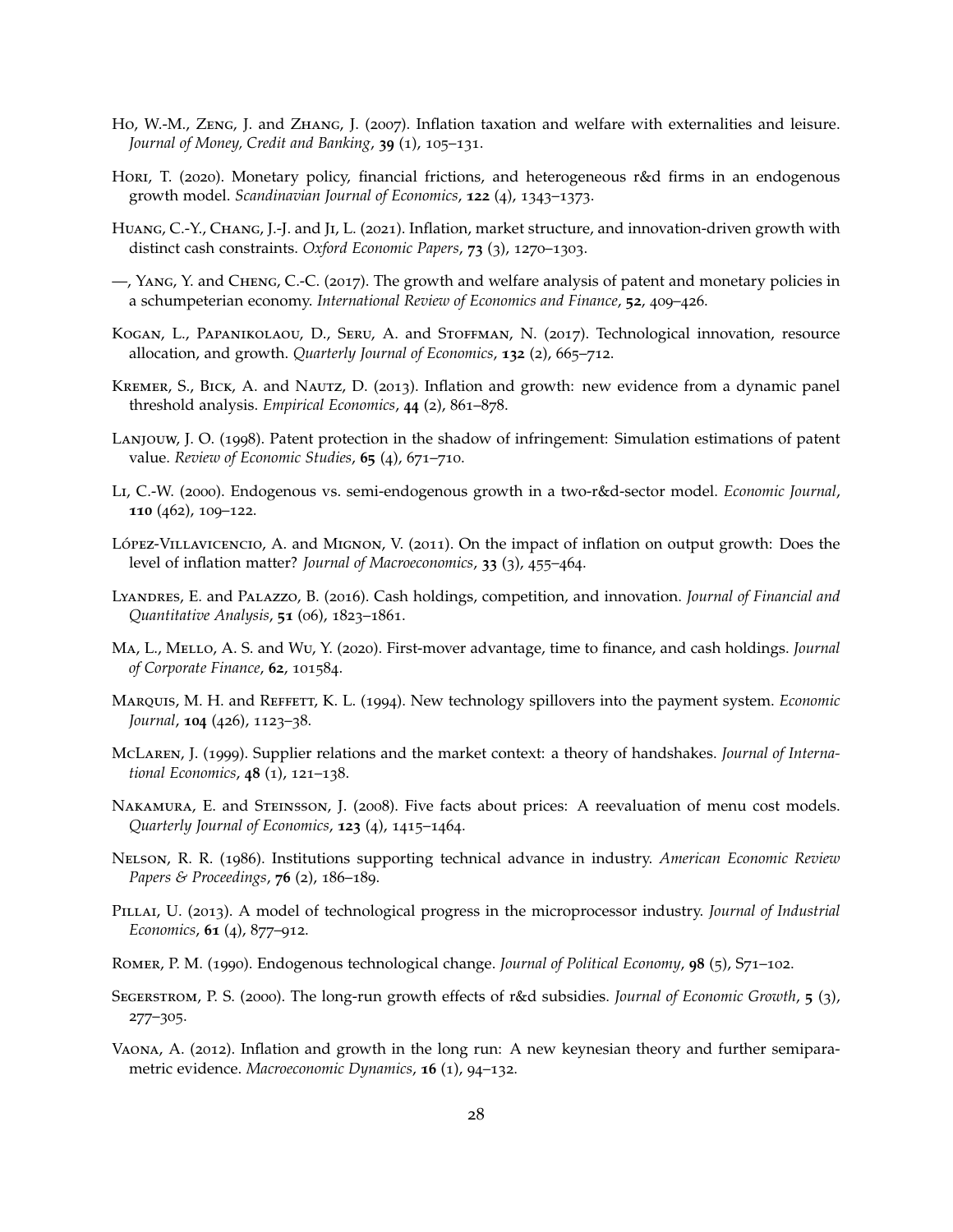- Ho, W.-M., Zeng, J. and Zhang, J. (2007). Inflation taxation and welfare with externalities and leisure. *Journal of Money, Credit and Banking*, **39** (1), 105–131.
- Hori, T. (2020). Monetary policy, financial frictions, and heterogeneous r&d firms in an endogenous growth model. *Scandinavian Journal of Economics*, **122** (4), 1343–1373.
- Huang, C.-Y., Chang, J.-J. and Ji, L. (2021). Inflation, market structure, and innovation-driven growth with distinct cash constraints. *Oxford Economic Papers*, **73** (3), 1270–1303.
- —, Yang, Y. and Cheng, C.-C. (2017). The growth and welfare analysis of patent and monetary policies in a schumpeterian economy. *International Review of Economics and Finance*, **52**, 409–426.
- Kogan, L., Papanikolaou, D., Seru, A. and Stoffman, N. (2017). Technological innovation, resource allocation, and growth. *Quarterly Journal of Economics*, **132** (2), 665–712.
- Kremer, S., Bick, A. and Nautz, D. (2013). Inflation and growth: new evidence from a dynamic panel threshold analysis. *Empirical Economics*, **44** (2), 861–878.
- Lanjouw, J. O. (1998). Patent protection in the shadow of infringement: Simulation estimations of patent value. *Review of Economic Studies*, **65** (4), 671–710.
- Li, C.-W. (2000). Endogenous vs. semi-endogenous growth in a two-r&d-sector model. *Economic Journal*, **110** (462), 109–122.
- López-Villavicencio, A. and Mignon, V. (2011). On the impact of inflation on output growth: Does the level of inflation matter? *Journal of Macroeconomics*, **33** (3), 455–464.
- Lyandres, E. and Palazzo, B. (2016). Cash holdings, competition, and innovation. *Journal of Financial and Quantitative Analysis*, **51** (06), 1823–1861.
- Ma, L., Mello, A. S. and Wu, Y. (2020). First-mover advantage, time to finance, and cash holdings. *Journal of Corporate Finance*, **62**, 101584.
- Marquis, M. H. and Reffett, K. L. (1994). New technology spillovers into the payment system. *Economic Journal*, **104** (426), 1123–38.
- McLaren, J. (1999). Supplier relations and the market context: a theory of handshakes. *Journal of International Economics*, **48** (1), 121–138.
- NAKAMURA, E. and STEINSSON, J. (2008). Five facts about prices: A reevaluation of menu cost models. *Quarterly Journal of Economics*, **123** (4), 1415–1464.
- Nelson, R. R. (1986). Institutions supporting technical advance in industry. *American Economic Review Papers & Proceedings*, **76** (2), 186–189.
- Pillai, U. (2013). A model of technological progress in the microprocessor industry. *Journal of Industrial Economics*, **61** (4), 877–912.
- Romer, P. M. (1990). Endogenous technological change. *Journal of Political Economy*, **98** (5), S71–102.
- Segerstrom, P. S. (2000). The long-run growth effects of r&d subsidies. *Journal of Economic Growth*, **5** (3), 277–305.
- Vaona, A. (2012). Inflation and growth in the long run: A new keynesian theory and further semiparametric evidence. *Macroeconomic Dynamics*, **16** (1), 94–132.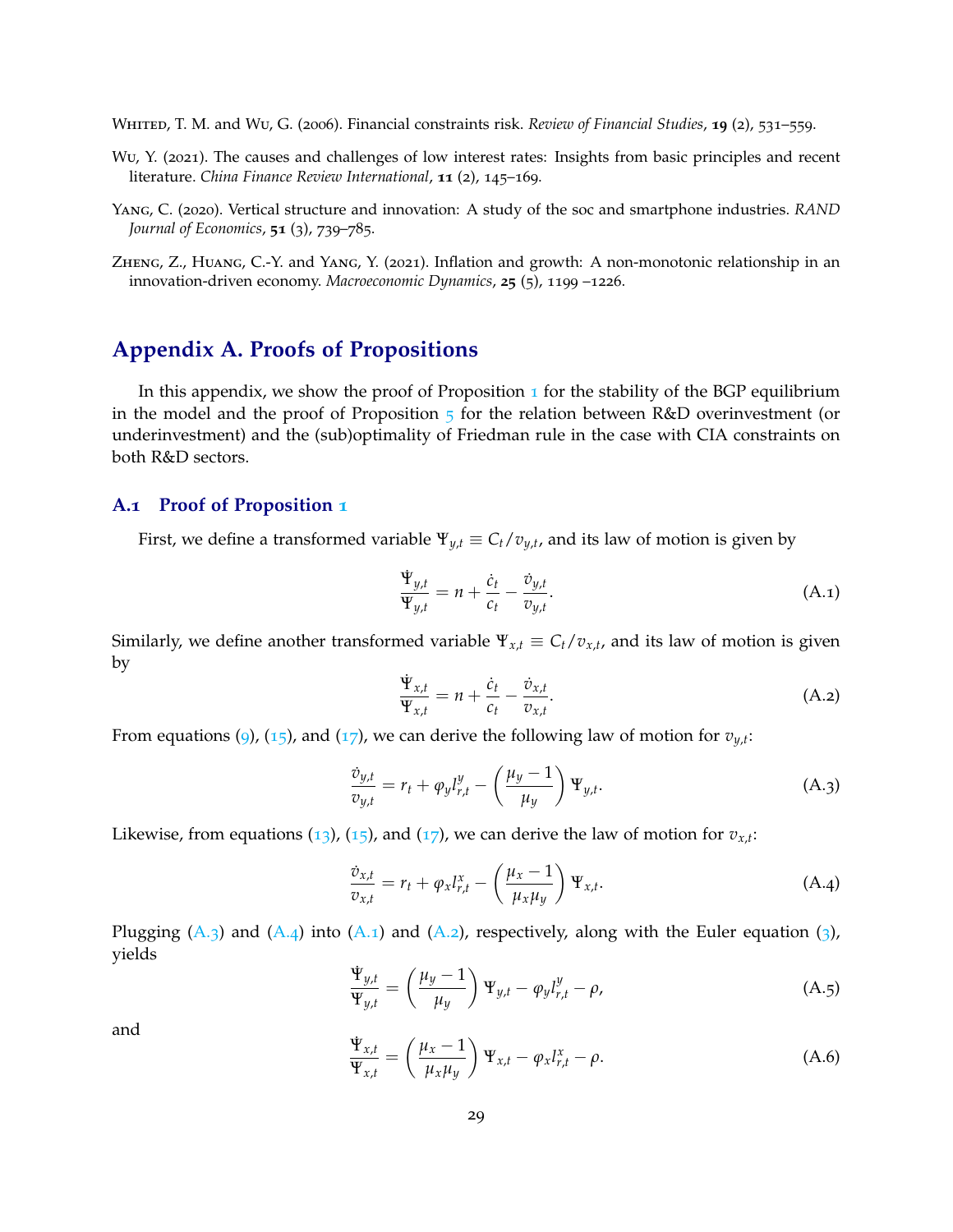WHITED, T. M. and Wu, G. (2006). Financial constraints risk. *Review of Financial Studies*, **19** (2), 531–559.

- Wu, Y. (2021). The causes and challenges of low interest rates: Insights from basic principles and recent literature. *China Finance Review International*, **11** (2), 145–169.
- Yang, C. (2020). Vertical structure and innovation: A study of the soc and smartphone industries. *RAND Journal of Economics*, **51** (3), 739–785.
- Zheng, Z., Huang, C.-Y. and Yang, Y. (2021). Inflation and growth: A non-monotonic relationship in an innovation-driven economy. *Macroeconomic Dynamics*, **25** (5), 1199 –1226.

## **Appendix A. Proofs of Propositions**

In this appendix, we show the proof of Proposition  $\bf{1}$  for the stability of the BGP equilibrium in the model and the proof of Proposition  $5$  for the relation between R&D overinvestment (or underinvestment) and the (sub)optimality of Friedman rule in the case with CIA constraints on both R&D sectors.

#### **A.1 Proof of Proposition 1**

First, we define a transformed variable  $\Psi_{y,t} \equiv C_t/v_{y,t}$ , and its law of motion is given by

$$
\frac{\dot{\mathbf{\Psi}}_{y,t}}{\mathbf{\Psi}_{y,t}} = n + \frac{\dot{c}_t}{c_t} - \frac{\dot{v}_{y,t}}{v_{y,t}}.
$$
\n(A.1)

Similarly, we define another transformed variable  $\Psi_{x,t} \equiv C_t/v_{x,t}$ , and its law of motion is given by

$$
\frac{\dot{\Psi}_{x,t}}{\Psi_{x,t}} = n + \frac{\dot{c}_t}{c_t} - \frac{\dot{v}_{x,t}}{v_{x,t}}.
$$
\n(A.2)

From equations (9), (15), and (17), we can derive the following law of motion for  $v_{y,t}$ :

$$
\frac{\dot{v}_{y,t}}{v_{y,t}} = r_t + \varphi_y l_{r,t}^y - \left(\frac{\mu_y - 1}{\mu_y}\right) \Psi_{y,t}.
$$
\n(A.3)

Likewise, from equations  $(13)$ ,  $(15)$ , and  $(17)$ , we can derive the law of motion for  $v_{x,t}$ :

$$
\frac{\dot{v}_{x,t}}{v_{x,t}} = r_t + \varphi_x l_{r,t}^x - \left(\frac{\mu_x - 1}{\mu_x \mu_y}\right) \Psi_{x,t}.
$$
\n(A.4)

Plugging  $(A_3)$  and  $(A_4)$  into  $(A_1)$  and  $(A_2)$ , respectively, along with the Euler equation  $(3)$ , yields

$$
\frac{\dot{\Psi}_{y,t}}{\Psi_{y,t}} = \left(\frac{\mu_y - 1}{\mu_y}\right) \Psi_{y,t} - \varphi_y l_{r,t}^y - \rho,\tag{A.5}
$$

and

$$
\frac{\dot{\Psi}_{x,t}}{\Psi_{x,t}} = \left(\frac{\mu_x - 1}{\mu_x \mu_y}\right) \Psi_{x,t} - \varphi_x l_{r,t}^x - \rho.
$$
\n(A.6)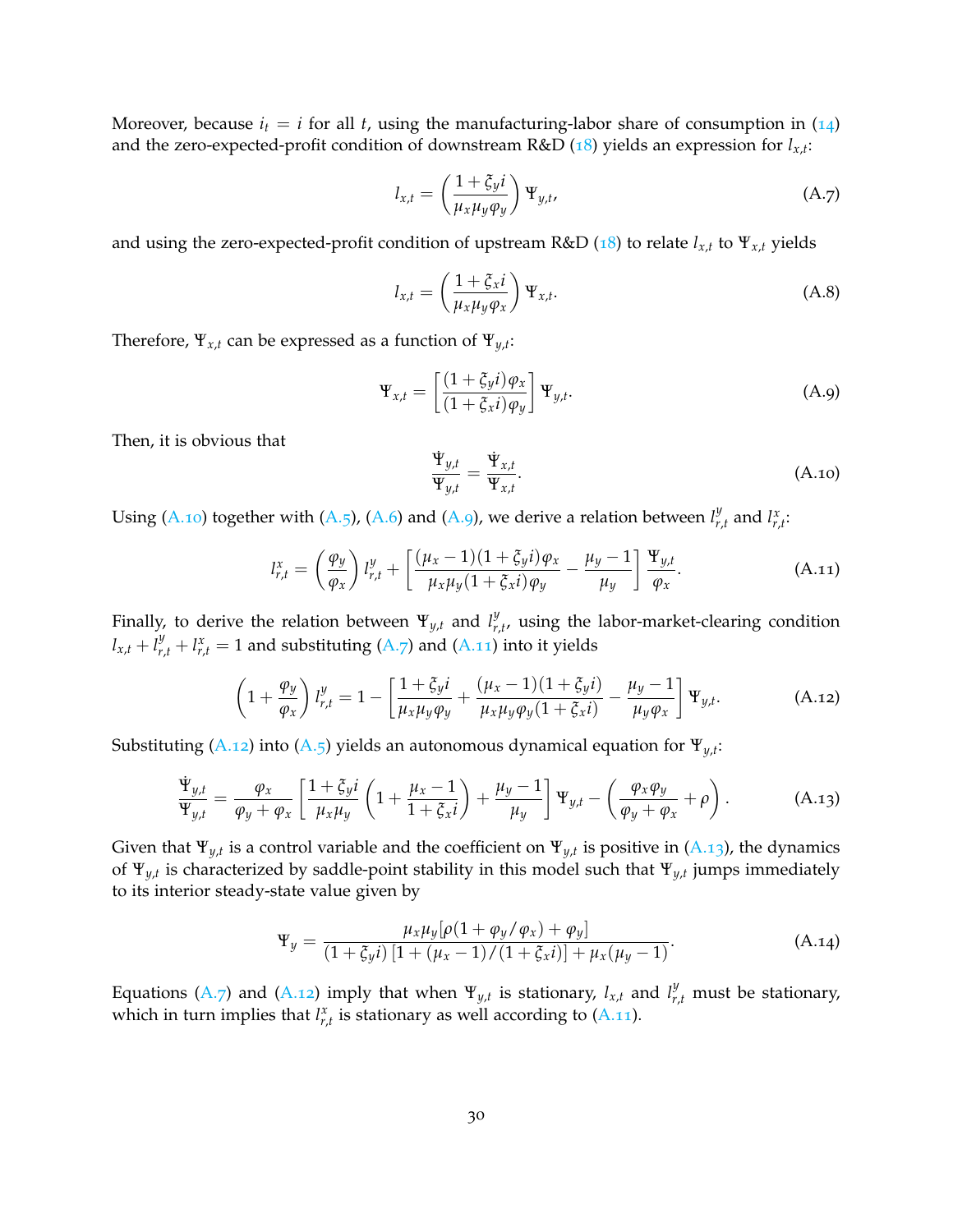Moreover, because  $i_t = i$  for all *t*, using the manufacturing-labor share of consumption in  $(14)$ and the zero-expected-profit condition of downstream R&D (18) yields an expression for *lx*,*<sup>t</sup>* :

$$
l_{x,t} = \left(\frac{1+\xi_{y}i}{\mu_{x}\mu_{y}\varphi_{y}}\right)\Psi_{y,t},\tag{A.7}
$$

and using the zero-expected-profit condition of upstream R&D (18) to relate *lx*,*<sup>t</sup>* to Ψ*x*,*<sup>t</sup>* yields

$$
l_{x,t} = \left(\frac{1+\xi_{x}i}{\mu_{x}\mu_{y}\varphi_{x}}\right)\Psi_{x,t}.
$$
 (A.8)

Therefore, Ψ*x*,*<sup>t</sup>* can be expressed as a function of Ψ*y*,*<sup>t</sup>* :

$$
\Psi_{x,t} = \left[ \frac{(1+\xi_{y}i)\varphi_{x}}{(1+\xi_{x}i)\varphi_{y}} \right] \Psi_{y,t}.
$$
\n(A.9)

Then, it is obvious that

$$
\frac{\Psi_{y,t}}{\Psi_{y,t}} = \frac{\Psi_{x,t}}{\Psi_{x,t}}.
$$
\n(A.10)

Using (A.10) together with (A.5), (A.6) and (A.9), we derive a relation between  $l_L^y$  $\int_{r,t}^{y}$  and  $l_{r,t}^{x}$ :

$$
l_{r,t}^x = \left(\frac{\varphi_y}{\varphi_x}\right) l_{r,t}^y + \left[\frac{(\mu_x - 1)(1 + \xi_y i)\varphi_x}{\mu_x \mu_y (1 + \xi_x i)\varphi_y} - \frac{\mu_y - 1}{\mu_y}\right] \frac{\Psi_{y,t}}{\varphi_x}.
$$
 (A.11)

Finally, to derive the relation between  $\Psi_{y,t}$  and  $l_{r}^y$  $r_{r,t}$ , using the labor-market-clearing condition  $l_{x,t} + l_{r,t}^y + l_{r,t}^x = 1$  and substituting (A.7) and (A.11) into it yields

$$
\left(1+\frac{\varphi_y}{\varphi_x}\right)l_{r,t}^y = 1 - \left[\frac{1+\xi_y i}{\mu_x \mu_y \varphi_y} + \frac{(\mu_x-1)(1+\xi_y i)}{\mu_x \mu_y \varphi_y (1+\xi_x i)} - \frac{\mu_y-1}{\mu_y \varphi_x}\right]\Psi_{y,t}.
$$
\n(A.12)

Substituting (A.12) into (A.5) yields an autonomous dynamical equation for Ψ*y*,*<sup>t</sup>* :

$$
\frac{\Psi_{y,t}}{\Psi_{y,t}} = \frac{\varphi_x}{\varphi_y + \varphi_x} \left[ \frac{1 + \xi_y i}{\mu_x \mu_y} \left( 1 + \frac{\mu_x - 1}{1 + \xi_x i} \right) + \frac{\mu_y - 1}{\mu_y} \right] \Psi_{y,t} - \left( \frac{\varphi_x \varphi_y}{\varphi_y + \varphi_x} + \rho \right). \tag{A.13}
$$

Given that  $\Psi_{y,t}$  is a control variable and the coefficient on  $\Psi_{y,t}$  is positive in (A.13), the dynamics of Ψ*y*,*<sup>t</sup>* is characterized by saddle-point stability in this model such that Ψ*y*,*<sup>t</sup>* jumps immediately to its interior steady-state value given by

$$
\Psi_y = \frac{\mu_x \mu_y [\rho (1 + \varphi_y / \varphi_x) + \varphi_y]}{(1 + \xi_y i) [1 + (\mu_x - 1) / (1 + \xi_x i)] + \mu_x (\mu_y - 1)}.
$$
 (A.14)

Equations (A.7) and (A.12) imply that when  $\Psi_{y,t}$  is stationary,  $l_{x,t}$  and  $l_{r,t}^y$  must be stationary, which in turn implies that  $l_{r,t}^x$  is stationary as well according to  $(A.11)$ .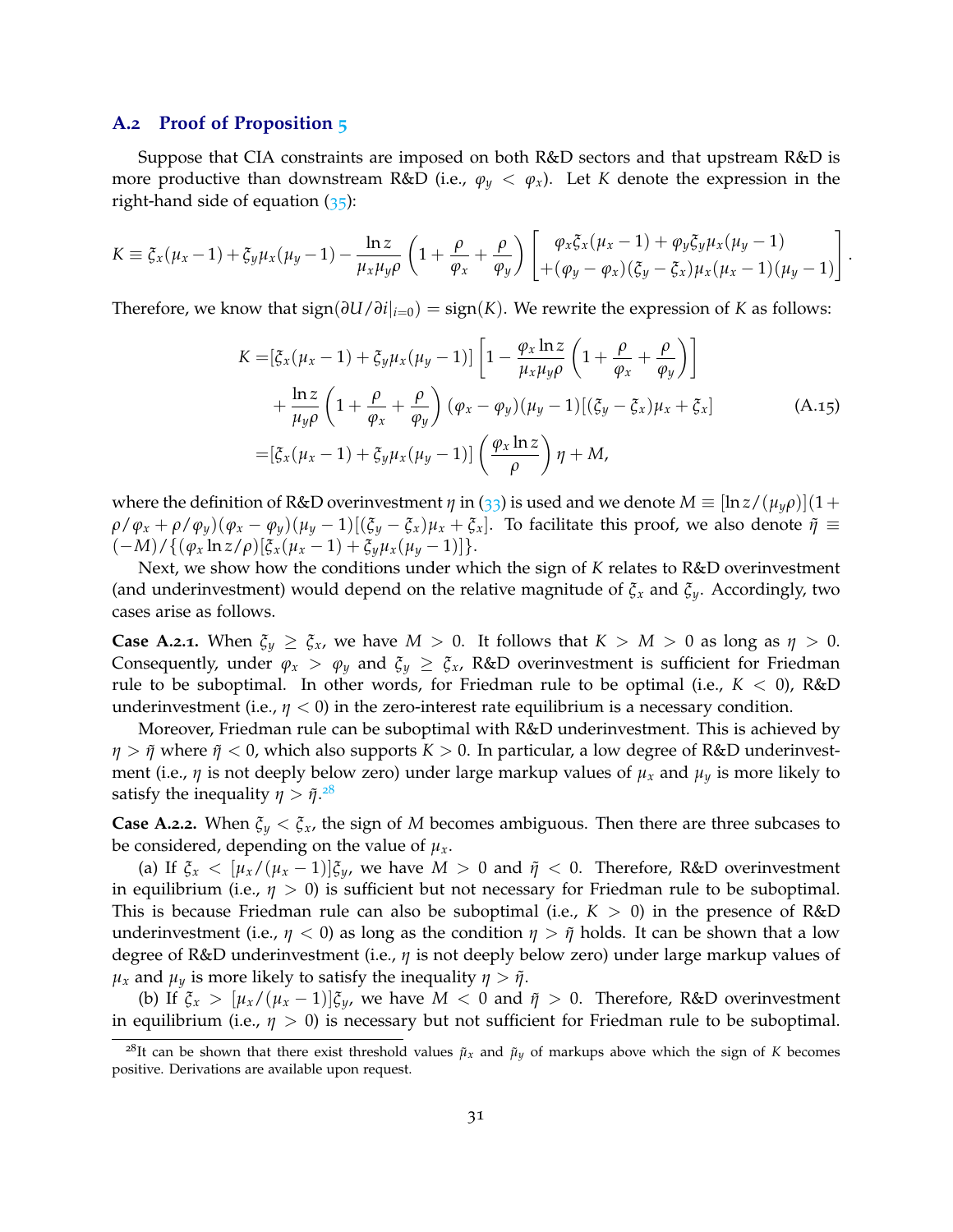#### **A.2 Proof of Proposition 5**

Suppose that CIA constraints are imposed on both R&D sectors and that upstream R&D is more productive than downstream R&D (i.e.,  $\varphi_y < \varphi_x$ ). Let *K* denote the expression in the right-hand side of equation (35):

$$
K = \xi_x(\mu_x - 1) + \xi_y \mu_x(\mu_y - 1) - \frac{\ln z}{\mu_x \mu_y \rho} \left(1 + \frac{\rho}{\varphi_x} + \frac{\rho}{\varphi_y}\right) \left[\begin{matrix} \varphi_x \xi_x(\mu_x - 1) + \varphi_y \xi_y \mu_x(\mu_y - 1) \\ + (\varphi_y - \varphi_x)(\xi_y - \xi_x) \mu_x(\mu_x - 1)(\mu_y - 1) \end{matrix}\right]
$$

Therefore, we know that sign(*∂U*/*∂i*|*i*=0) = sign(*K*). We rewrite the expression of *K* as follows:

$$
K = \left[\xi_x(\mu_x - 1) + \xi_y \mu_x(\mu_y - 1)\right] \left[1 - \frac{\varphi_x \ln z}{\mu_x \mu_y \rho} \left(1 + \frac{\rho}{\varphi_x} + \frac{\rho}{\varphi_y}\right)\right]
$$
  
+ 
$$
\frac{\ln z}{\mu_y \rho} \left(1 + \frac{\rho}{\varphi_x} + \frac{\rho}{\varphi_y}\right) (\varphi_x - \varphi_y)(\mu_y - 1) [(\xi_y - \xi_x)\mu_x + \xi_x]
$$
(A.15)  
= 
$$
\left[\xi_x(\mu_x - 1) + \xi_y \mu_x(\mu_y - 1)\right] \left(\frac{\varphi_x \ln z}{\rho}\right) \eta + M,
$$

.

where the definition of R&D overinvestment  $\eta$  in (33) is used and we denote  $M \equiv [\ln z/(\mu_y \rho)](1+\rho_z \rho)$  $\rho/\varphi_x + \rho/\varphi_y(\varphi_x - \varphi_y)(\mu_y - 1)[(\xi_y - \xi_x)\mu_x + \xi_x].$  To facilitate this proof, we also denote  $\tilde{\eta} \equiv$  $(-M)/\{(\varphi_x \ln z/\rho) [\xi_x(\mu_x-1)+\xi_y \mu_x(\mu_y-1)]\}.$ 

Next, we show how the conditions under which the sign of *K* relates to R&D overinvestment (and underinvestment) would depend on the relative magnitude of *ξ<sup>x</sup>* and *ξy*. Accordingly, two cases arise as follows.

**Case A.2.1.** When  $\xi_y \geq \xi_x$ , we have  $M > 0$ . It follows that  $K > M > 0$  as long as  $\eta > 0$ . Consequently, under  $\varphi_x > \varphi_y$  and  $\xi_y \geq \xi_x$ , R&D overinvestment is sufficient for Friedman rule to be suboptimal. In other words, for Friedman rule to be optimal (i.e.,  $K < 0$ ), R&D underinvestment (i.e.,  $\eta < 0$ ) in the zero-interest rate equilibrium is a necessary condition.

Moreover, Friedman rule can be suboptimal with R&D underinvestment. This is achieved by *η* > *ῆ* where *ῆ* < 0, which also supports *K* > 0. In particular, a low degree of R&D underinvestment (i.e.,  $\eta$  is not deeply below zero) under large markup values of  $\mu_x$  and  $\mu_y$  is more likely to satisfy the inequality  $\eta > \tilde{\eta}.^{28}$ 

**Case A.2.2.** When  $\xi_y < \xi_x$ , the sign of *M* becomes ambiguous. Then there are three subcases to be considered, depending on the value of  $\mu_x$ .

(a) If  $\xi_x < [\mu_x/(\mu_x-1)]\xi_y$ , we have  $M > 0$  and  $\tilde{\eta} < 0$ . Therefore, R&D overinvestment in equilibrium (i.e.,  $\eta > 0$ ) is sufficient but not necessary for Friedman rule to be suboptimal. This is because Friedman rule can also be suboptimal (i.e.,  $K > 0$ ) in the presence of R&D underinvestment (i.e.,  $\eta$  < 0) as long as the condition  $\eta > \tilde{\eta}$  holds. It can be shown that a low degree of R&D underinvestment (i.e., *η* is not deeply below zero) under large markup values of *μ*<sub>*x*</sub> and *μ*<sub>*y*</sub> is more likely to satisfy the inequality *η* > *ῆ*.

(b) If  $\xi_x > [\mu_x/(\mu_x - 1)]\xi_y$ , we have  $M < 0$  and  $\tilde{\eta} > 0$ . Therefore, R&D overinvestment in equilibrium (i.e.,  $\eta > 0$ ) is necessary but not sufficient for Friedman rule to be suboptimal.

<sup>&</sup>lt;sup>28</sup>It can be shown that there exist threshold values  $\tilde{\mu}_x$  and  $\tilde{\mu}_y$  of markups above which the sign of *K* becomes positive. Derivations are available upon request.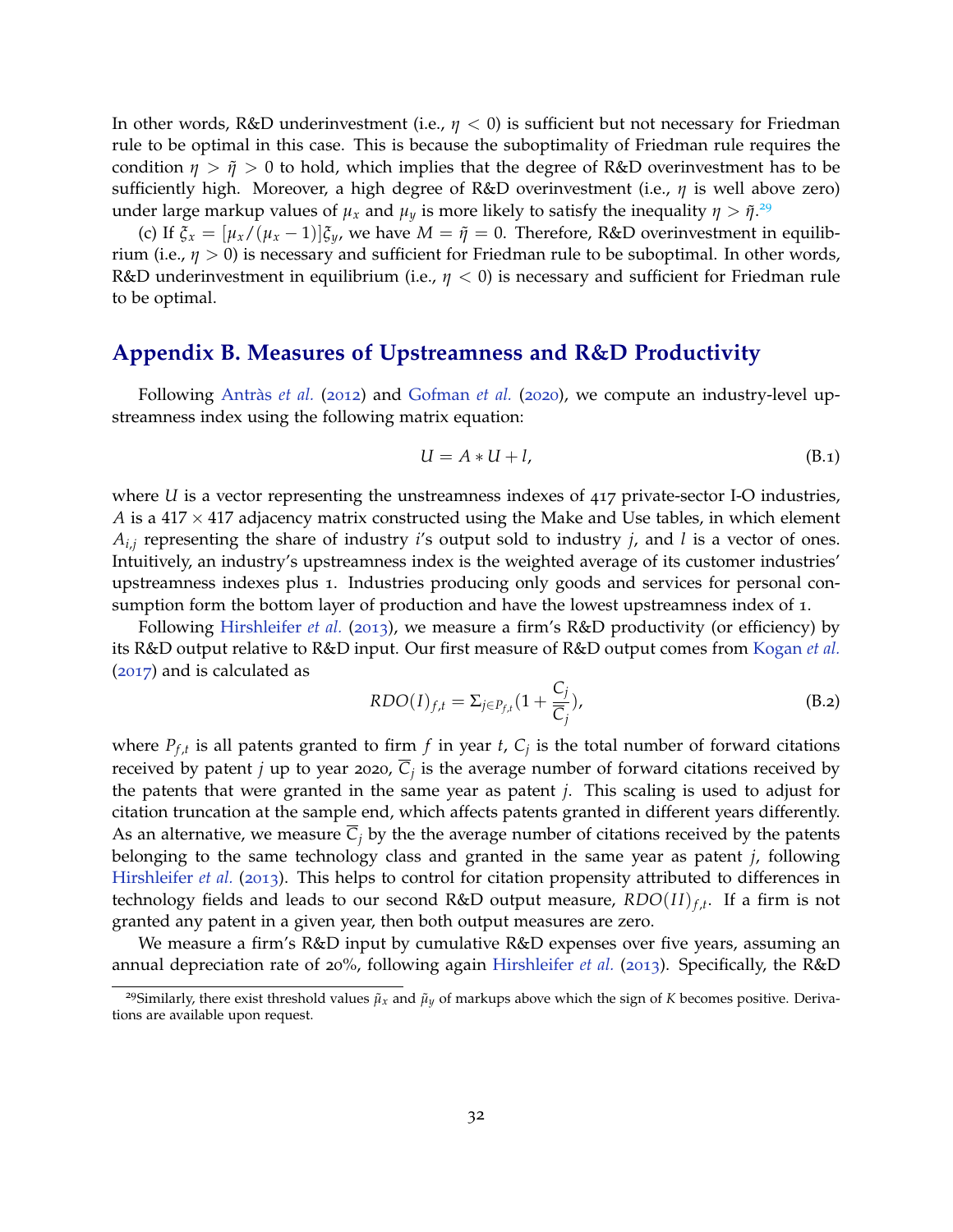In other words, R&D underinvestment (i.e.,  $\eta$  < 0) is sufficient but not necessary for Friedman rule to be optimal in this case. This is because the suboptimality of Friedman rule requires the condition  $\eta > \tilde{\eta} > 0$  to hold, which implies that the degree of R&D overinvestment has to be sufficiently high. Moreover, a high degree of R&D overinvestment (i.e., *η* is well above zero) under large markup values of  $\mu_x$  and  $\mu_y$  is more likely to satisfy the inequality  $\eta > \tilde{\eta}^{29}$ 

(c) If  $\xi_x = [\mu_x/(\mu_x - 1)]\xi_y$ , we have  $M = \tilde{\eta} = 0$ . Therefore, R&D overinvestment in equilibrium (i.e.,  $\eta > 0$ ) is necessary and sufficient for Friedman rule to be suboptimal. In other words, R&D underinvestment in equilibrium (i.e., *η* < 0) is necessary and sufficient for Friedman rule to be optimal.

## **Appendix B. Measures of Upstreamness and R&D Productivity**

Following Antràs *et al.* (2012) and Gofman *et al.* (2020), we compute an industry-level upstreamness index using the following matrix equation:

$$
U = A * U + l,\tag{B.1}
$$

where *U* is a vector representing the unstreamness indexes of 417 private-sector I-O industries, *A* is a 417  $\times$  417 adjacency matrix constructed using the Make and Use tables, in which element *Ai*,*<sup>j</sup>* representing the share of industry *i*'s output sold to industry *j*, and *l* is a vector of ones. Intuitively, an industry's upstreamness index is the weighted average of its customer industries' upstreamness indexes plus 1. Industries producing only goods and services for personal consumption form the bottom layer of production and have the lowest upstreamness index of 1.

Following Hirshleifer *et al.* (2013), we measure a firm's R&D productivity (or efficiency) by its R&D output relative to R&D input. Our first measure of R&D output comes from Kogan *et al.* (2017) and is calculated as

$$
RDO(I)_{f,t} = \Sigma_{j \in P_{f,t}} (1 + \frac{C_j}{\overline{C}_j}),
$$
\n(B.2)

where  $P_{f,t}$  is all patents granted to firm  $f$  in year  $t$ ,  $C_j$  is the total number of forward citations received by patent *j* up to year 2020, *C<sup>j</sup>* is the average number of forward citations received by the patents that were granted in the same year as patent *j*. This scaling is used to adjust for citation truncation at the sample end, which affects patents granted in different years differently. As an alternative, we measure  $C_j$  by the the average number of citations received by the patents belonging to the same technology class and granted in the same year as patent *j*, following Hirshleifer *et al.* (2013). This helps to control for citation propensity attributed to differences in technology fields and leads to our second R&D output measure, *RDO*(*I I*)*<sup>f</sup>* ,*<sup>t</sup>* . If a firm is not granted any patent in a given year, then both output measures are zero.

We measure a firm's R&D input by cumulative R&D expenses over five years, assuming an annual depreciation rate of 20%, following again Hirshleifer *et al.* (2013). Specifically, the R&D

<sup>&</sup>lt;sup>29</sup>Similarly, there exist threshold values  $\tilde{\mu}_x$  and  $\tilde{\mu}_y$  of markups above which the sign of *K* becomes positive. Derivations are available upon request.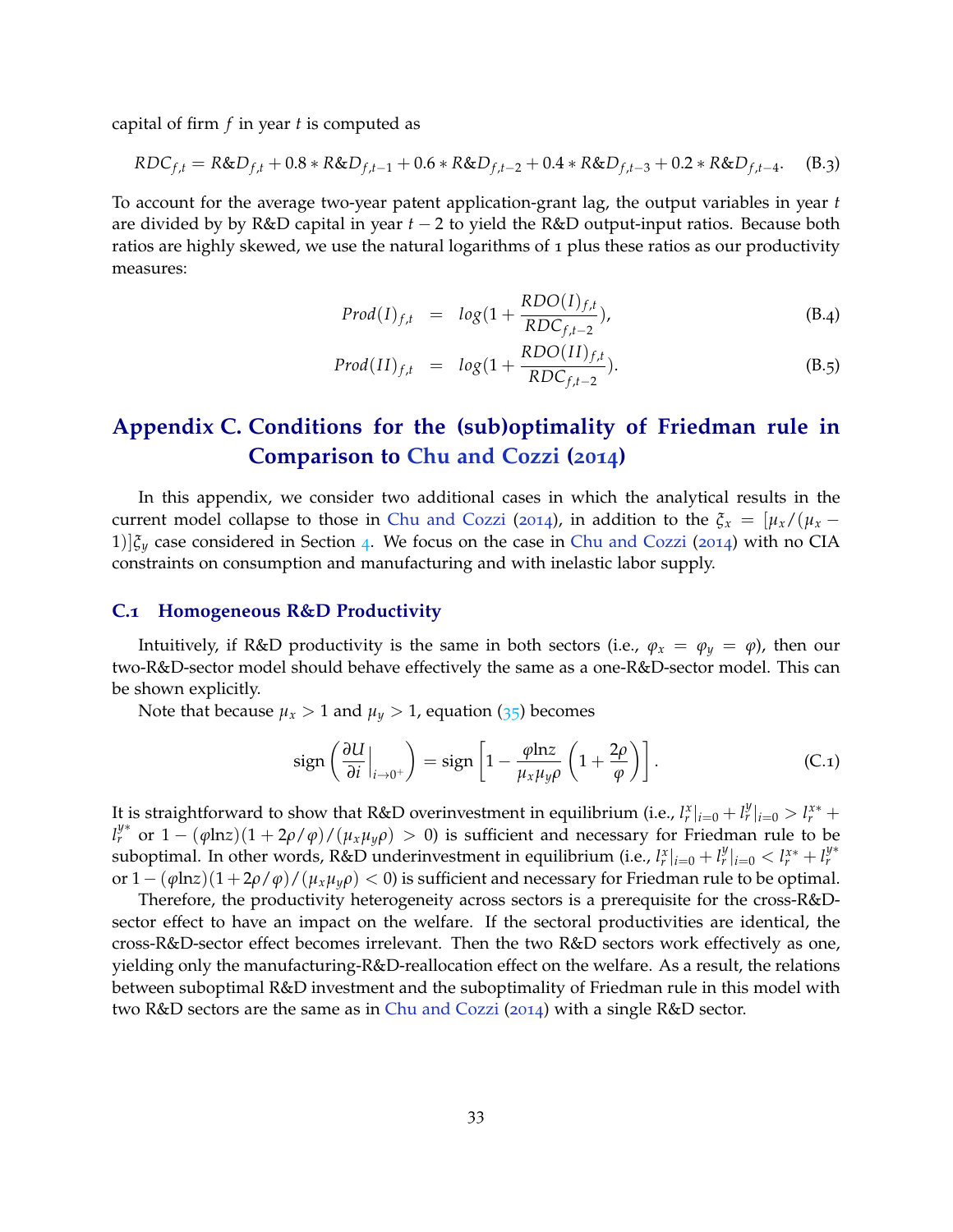capital of firm *f* in year *t* is computed as

$$
RDC_{f,t} = R&D_{f,t} + 0.8 * R&D_{f,t-1} + 0.6 * R&D_{f,t-2} + 0.4 * R&D_{f,t-3} + 0.2 * R&D_{f,t-4}.\tag{B.3}
$$

To account for the average two-year patent application-grant lag, the output variables in year *t* are divided by by R&D capital in year *t* − 2 to yield the R&D output-input ratios. Because both ratios are highly skewed, we use the natural logarithms of 1 plus these ratios as our productivity measures:

$$
Prod(I)_{f,t} = log(1 + \frac{RDO(I)_{f,t}}{RDC_{f,t-2}}),
$$
\n(B.4)

$$
Prod(II)_{f,t} = log(1 + \frac{RDO(II)_{f,t}}{RDC_{f,t-2}}).
$$
\n(B.5)

## **Appendix C. Conditions for the (sub)optimality of Friedman rule in Comparison to Chu and Cozzi (2014)**

In this appendix, we consider two additional cases in which the analytical results in the current model collapse to those in Chu and Cozzi (2014), in addition to the  $\xi_x = [\mu_x/(\mu_x -$ 1) $|\xi_y|$  case considered in Section 4. We focus on the case in Chu and Cozzi (2014) with no CIA constraints on consumption and manufacturing and with inelastic labor supply.

#### **C.1 Homogeneous R&D Productivity**

Intuitively, if R&D productivity is the same in both sectors (i.e.,  $\varphi_x = \varphi_y = \varphi$ ), then our two-R&D-sector model should behave effectively the same as a one-R&D-sector model. This can be shown explicitly.

Note that because  $\mu_x > 1$  and  $\mu_y > 1$ , equation (35) becomes

$$
\operatorname{sign}\left(\frac{\partial U}{\partial i}\Big|_{i\to 0^+}\right) = \operatorname{sign}\left[1 - \frac{\varphi \ln z}{\mu_x \mu_y \rho} \left(1 + \frac{2\rho}{\varphi}\right)\right].\tag{C.1}
$$

It is straightforward to show that R&D overinvestment in equilibrium (i.e.,  $l_r^x|_{i=0} + l_r^y|_{i=0} > l_r^{x*} + l_r^y$  $l_r^{\psi^*}$  or  $1 - (\varphi \ln z)(1 + 2\rho/\varphi)/(\mu_x \mu_y \rho) > 0$ ) is sufficient and necessary for Friedman rule to be suboptimal. In other words, R&D underinvestment in equilibrium (i.e.,  $l_r^x|_{i=0} + l_r^y|_{i=0} < l_r^{x*} + l_r^{y*}$ or  $1 - (\varphi \ln z)(1 + 2\rho/\varphi)/(\mu_x \mu_y \rho) < 0$ ) is sufficient and necessary for Friedman rule to be optimal.

Therefore, the productivity heterogeneity across sectors is a prerequisite for the cross-R&Dsector effect to have an impact on the welfare. If the sectoral productivities are identical, the cross-R&D-sector effect becomes irrelevant. Then the two R&D sectors work effectively as one, yielding only the manufacturing-R&D-reallocation effect on the welfare. As a result, the relations between suboptimal R&D investment and the suboptimality of Friedman rule in this model with two R&D sectors are the same as in Chu and Cozzi (2014) with a single R&D sector.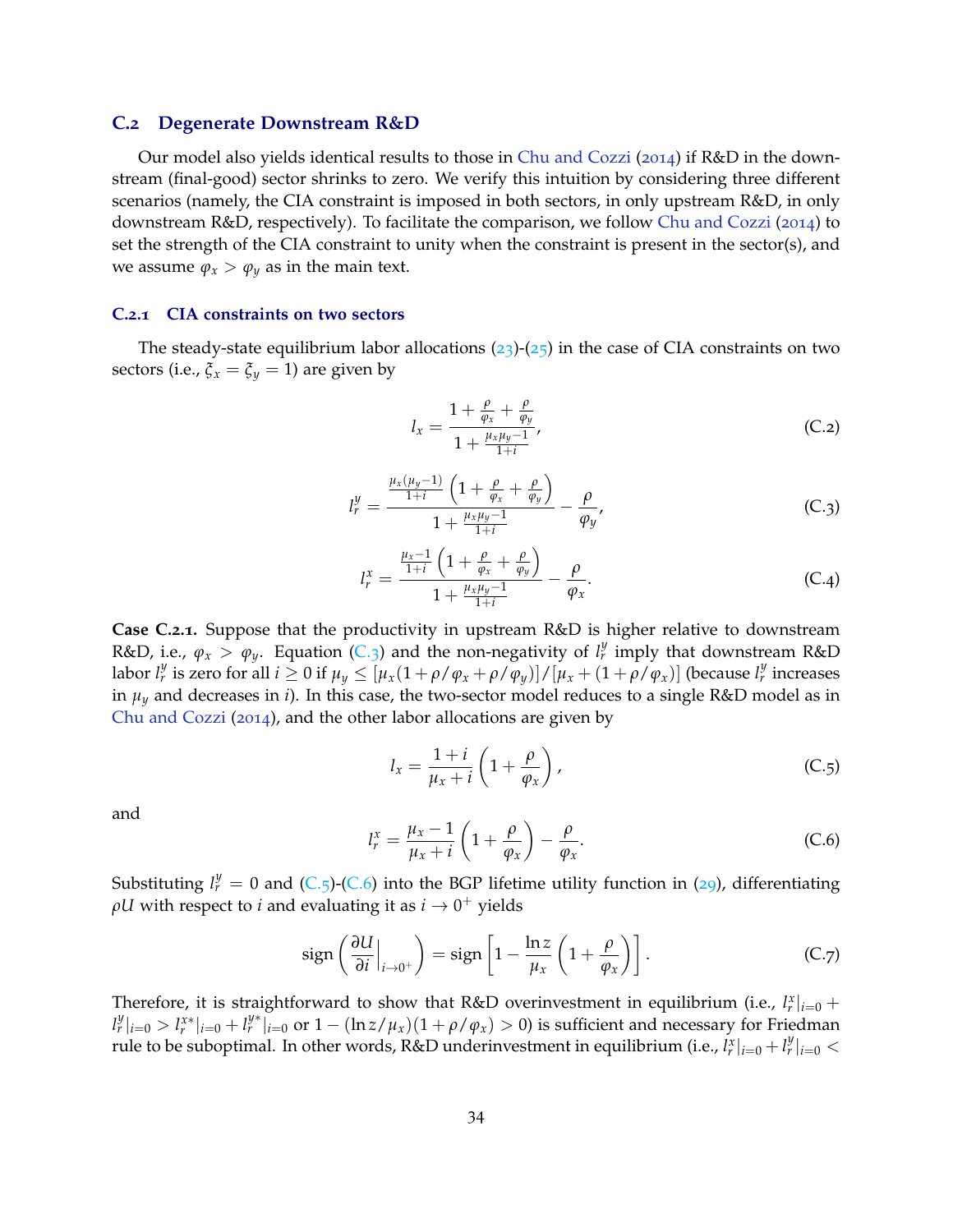#### **C.2 Degenerate Downstream R&D**

Our model also yields identical results to those in Chu and Cozzi (2014) if  $R&D$  in the downstream (final-good) sector shrinks to zero. We verify this intuition by considering three different scenarios (namely, the CIA constraint is imposed in both sectors, in only upstream R&D, in only downstream R&D, respectively). To facilitate the comparison, we follow Chu and Cozzi (2014) to set the strength of the CIA constraint to unity when the constraint is present in the sector(s), and we assume  $\varphi_x > \varphi_y$  as in the main text.

#### **C.2.1 CIA constraints on two sectors**

The steady-state equilibrium labor allocations  $(23)-(25)$  in the case of CIA constraints on two sectors (i.e.,  $\xi_x = \xi_y = 1$ ) are given by

$$
l_x = \frac{1 + \frac{\rho}{\varphi_x} + \frac{\rho}{\varphi_y}}{1 + \frac{\mu_x \mu_y - 1}{1 + i}},
$$
(C.2)

$$
l_r^y = \frac{\frac{\mu_x(\mu_y - 1)}{1+i} \left(1 + \frac{\rho}{\varphi_x} + \frac{\rho}{\varphi_y}\right)}{1 + \frac{\mu_x\mu_y - 1}{1+i}} - \frac{\rho}{\varphi_y},
$$
 (C.3)

$$
l_r^x = \frac{\frac{\mu_x - 1}{1+i} \left( 1 + \frac{\rho}{\varphi_x} + \frac{\rho}{\varphi_y} \right)}{1 + \frac{\mu_x \mu_y - 1}{1+i}} - \frac{\rho}{\varphi_x}.
$$
 (C.4)

**Case C.2.1.** Suppose that the productivity in upstream R&D is higher relative to downstream R&D, i.e.,  $\varphi_x > \varphi_y$ . Equation (C.3) and the non-negativity of  $l_r^y$  imply that downstream R&D labor  $l_r^y$  is zero for all  $i \geq 0$  if  $\mu_y \leq [\mu_x(1+\rho/\varphi_x+\rho/\varphi_y)]/[\mu_x+(1+\rho/\varphi_x)]$  (because  $l_r^y$  increases in  $\mu_y$  and decreases in *i*). In this case, the two-sector model reduces to a single R&D model as in Chu and Cozzi (2014), and the other labor allocations are given by

$$
l_x = \frac{1+i}{\mu_x + i} \left( 1 + \frac{\rho}{\varphi_x} \right), \tag{C.5}
$$

and

$$
l_r^x = \frac{\mu_x - 1}{\mu_x + i} \left( 1 + \frac{\rho}{\varphi_x} \right) - \frac{\rho}{\varphi_x}.
$$
 (C.6)

Substituting  $l_r^y = 0$  and (C.5)-(C.6) into the BGP lifetime utility function in (29), differentiating  $\rho U$  with respect to *i* and evaluating it as  $i \to 0^+$  yields

$$
\operatorname{sign}\left(\frac{\partial U}{\partial i}\Big|_{i\to 0^+}\right) = \operatorname{sign}\left[1 - \frac{\ln z}{\mu_x}\left(1 + \frac{\rho}{\varphi_x}\right)\right].\tag{C.7}
$$

Therefore, it is straightforward to show that R&D overinvestment in equilibrium (i.e.,  $l_r^x|_{i=0}$  +  $|l_r^y|_{i=0} > l_r^{x*}|_{i=0} + l_r^{y*}|_{i=0}$  or  $1 - (\ln z/\mu_x)(1 + \rho/\varphi_x) > 0$ ) is sufficient and necessary for Friedman rule to be suboptimal. In other words, R&D underinvestment in equilibrium (i.e.,  $l_r^x|_{i=0} + l_r^y|_{i=0} <$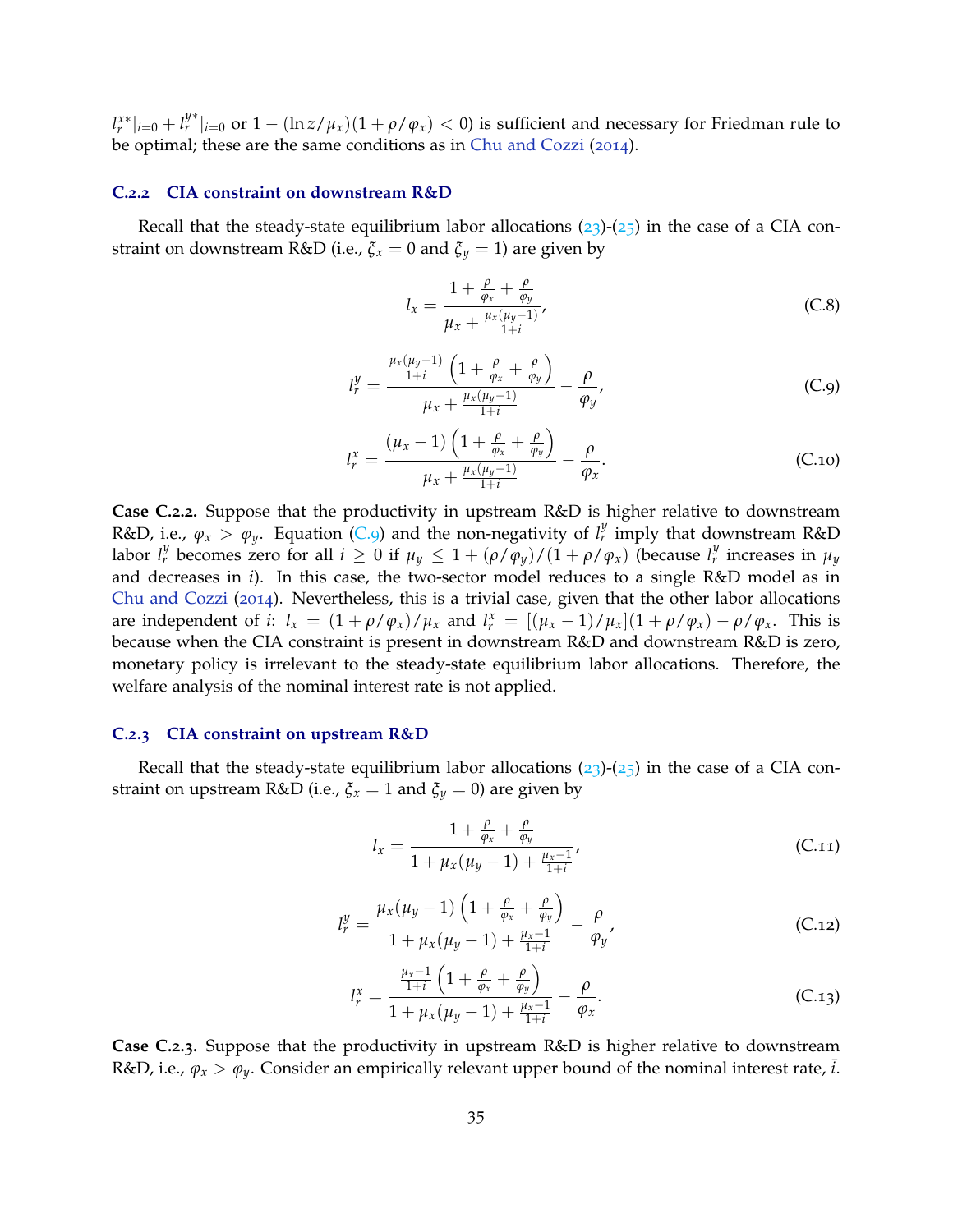$|l_r^{x*}|_{i=0} + l_r^{y*}|_{i=0}$  or  $1 - (\ln z/\mu_x)(1 + \rho/\varphi_x) < 0$ ) is sufficient and necessary for Friedman rule to be optimal; these are the same conditions as in Chu and Cozzi (2014).

#### **C.2.2 CIA constraint on downstream R&D**

Recall that the steady-state equilibrium labor allocations  $(23)-(25)$  in the case of a CIA constraint on downstream R&D (i.e.,  $\zeta_x = 0$  and  $\zeta_y = 1$ ) are given by

$$
l_x = \frac{1 + \frac{\rho}{\varphi_x} + \frac{\rho}{\varphi_y}}{\mu_x + \frac{\mu_x(\mu_y - 1)}{1 + i}},
$$
 (C.8)

$$
l_r^y = \frac{\frac{\mu_x(\mu_y - 1)}{1+i} \left(1 + \frac{\rho}{\varphi_x} + \frac{\rho}{\varphi_y}\right)}{\mu_x + \frac{\mu_x(\mu_y - 1)}{1+i}} - \frac{\rho}{\varphi_y},
$$
(C.9)

$$
l_r^x = \frac{(\mu_x - 1) \left( 1 + \frac{\rho}{\varphi_x} + \frac{\rho}{\varphi_y} \right)}{\mu_x + \frac{\mu_x(\mu_y - 1)}{1 + i}} - \frac{\rho}{\varphi_x}.
$$
 (C.10)

**Case C.2.2.** Suppose that the productivity in upstream R&D is higher relative to downstream R&D, i.e.,  $\varphi_x > \varphi_y$ . Equation (C.9) and the non-negativity of  $l_r^y$  imply that downstream R&D labor  $l_r^y$  becomes zero for all  $i \geq 0$  if  $\mu_y \leq 1 + (\rho/\bar{\varphi}_y)/(1 + \rho/\varphi_x)$  (because  $l_r^y$  increases in  $\mu_y$ and decreases in *i*). In this case, the two-sector model reduces to a single R&D model as in Chu and Cozzi (2014). Nevertheless, this is a trivial case, given that the other labor allocations are independent of *i*:  $l_x = (1 + \rho/\varphi_x)/\mu_x$  and  $l_r^x = [(\mu_x - 1)/\mu_x](1 + \rho/\varphi_x) - \rho/\varphi_x$ . This is because when the CIA constraint is present in downstream R&D and downstream R&D is zero, monetary policy is irrelevant to the steady-state equilibrium labor allocations. Therefore, the welfare analysis of the nominal interest rate is not applied.

### **C.2.3 CIA constraint on upstream R&D**

Recall that the steady-state equilibrium labor allocations  $(23)-(25)$  in the case of a CIA constraint on upstream R&D (i.e.,  $\xi_x = 1$  and  $\xi_y = 0$ ) are given by

$$
l_x = \frac{1 + \frac{\rho}{\varphi_x} + \frac{\rho}{\varphi_y}}{1 + \mu_x(\mu_y - 1) + \frac{\mu_x - 1}{1 + i}},
$$
 (C.11)

$$
l_r^y = \frac{\mu_x(\mu_y - 1) \left( 1 + \frac{\rho}{\varphi_x} + \frac{\rho}{\varphi_y} \right)}{1 + \mu_x(\mu_y - 1) + \frac{\mu_x - 1}{1 + i}} - \frac{\rho}{\varphi_y},
$$
 (C.12)

$$
l_r^x = \frac{\frac{\mu_x - 1}{1+i} \left( 1 + \frac{\rho}{\varphi_x} + \frac{\rho}{\varphi_y} \right)}{1 + \mu_x (\mu_y - 1) + \frac{\mu_x - 1}{1+i}} - \frac{\rho}{\varphi_x}.
$$
 (C.13)

**Case C.2.3.** Suppose that the productivity in upstream R&D is higher relative to downstream R&D, i.e.,  $\varphi_x > \varphi_y$ . Consider an empirically relevant upper bound of the nominal interest rate,  $\overline{i}$ .